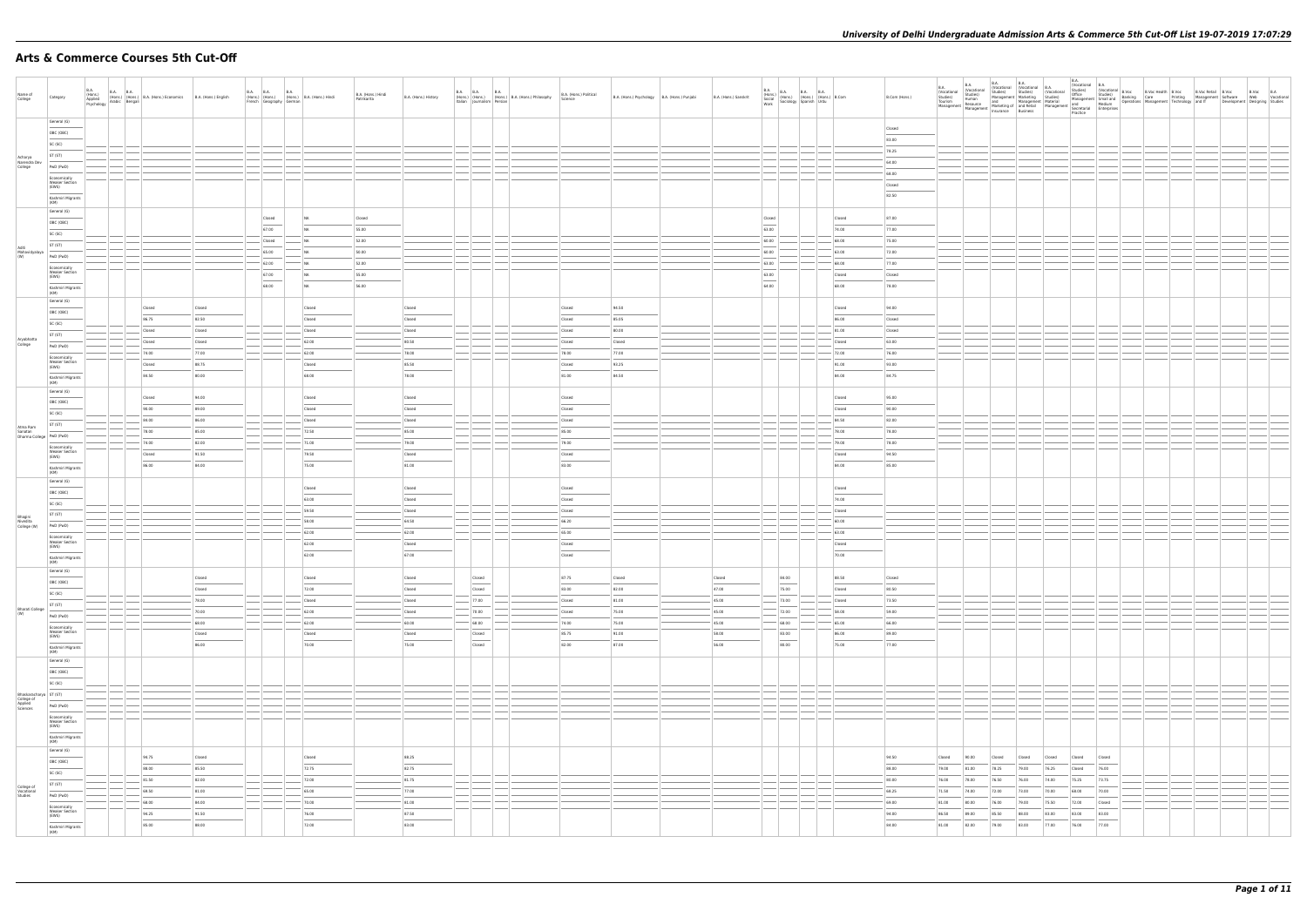## **Arts & Commerce Courses 5th Cut-Off**

| Name of<br>College                                          | Category                                                                                                                                                                                                                                                                                                                                                                                                                                                                            | B.A.<br>(Hons.)<br>Applied<br>(Hons.)<br>Applied (Hons.) (Hons.) B.A. (Hons.) Economics B.A. (Hons.) English<br>Psychology Arabic Bengali |                |                  | <b>B.A.</b><br><b>B.A. B.A.</b><br>(Hons.) (Hons.) (Hons.) B.A. (Hons.) Hindi<br>French Geography German |                | B.A. (Hons.) Hindi<br>Patrikarita | B.A. (Hons.) History | <b>B.A. B.A. B.A.</b>     |                  | (Hons.) (Hons.) (Hons.) B.A. (Hons.) Philosophy<br>Italian Journalism Persian | B.A. (Hons.) Political<br>Science | B.A. (Hons.) Psychology   B.A. (Hons.) Punjabi | B.A. (Hons.) Sanskrit | $\begin{tabular}{ l l l l } \hline B.A. & B.A. & B.A. & B.A. & B.A. & B.A. & \\\hline (Hons.) & (Hons.) & (Hons.) & (Hons.) & B. Com & \\\hline Sociology & Spanish & Urdu & \\\hline \end{tabular}$ |                | B.Com (Hons.)  |                                                                   |
|-------------------------------------------------------------|-------------------------------------------------------------------------------------------------------------------------------------------------------------------------------------------------------------------------------------------------------------------------------------------------------------------------------------------------------------------------------------------------------------------------------------------------------------------------------------|-------------------------------------------------------------------------------------------------------------------------------------------|----------------|------------------|----------------------------------------------------------------------------------------------------------|----------------|-----------------------------------|----------------------|---------------------------|------------------|-------------------------------------------------------------------------------|-----------------------------------|------------------------------------------------|-----------------------|------------------------------------------------------------------------------------------------------------------------------------------------------------------------------------------------------|----------------|----------------|-------------------------------------------------------------------|
|                                                             | General (G)                                                                                                                                                                                                                                                                                                                                                                                                                                                                         |                                                                                                                                           |                |                  |                                                                                                          |                |                                   |                      |                           |                  |                                                                               |                                   |                                                |                       |                                                                                                                                                                                                      |                | Closed         |                                                                   |
|                                                             | OBC (OBC)<br>SC (SC)                                                                                                                                                                                                                                                                                                                                                                                                                                                                |                                                                                                                                           |                |                  |                                                                                                          |                |                                   |                      |                           |                  |                                                                               |                                   |                                                |                       |                                                                                                                                                                                                      |                | 83.00          |                                                                   |
|                                                             | ST (ST)                                                                                                                                                                                                                                                                                                                                                                                                                                                                             |                                                                                                                                           |                |                  |                                                                                                          |                |                                   |                      |                           |                  |                                                                               |                                   |                                                |                       |                                                                                                                                                                                                      |                | 78.25          |                                                                   |
| Acharya<br>Narendra Dev<br>College                          | PwD (PwD)                                                                                                                                                                                                                                                                                                                                                                                                                                                                           |                                                                                                                                           |                |                  |                                                                                                          |                |                                   |                      |                           |                  |                                                                               |                                   |                                                |                       |                                                                                                                                                                                                      |                | 64.00          |                                                                   |
|                                                             | Economically                                                                                                                                                                                                                                                                                                                                                                                                                                                                        |                                                                                                                                           |                |                  |                                                                                                          |                |                                   |                      |                           |                  |                                                                               |                                   |                                                |                       |                                                                                                                                                                                                      |                | 68.00          |                                                                   |
|                                                             | <b>Weaker Section</b><br>(EWS)                                                                                                                                                                                                                                                                                                                                                                                                                                                      |                                                                                                                                           |                |                  |                                                                                                          |                |                                   |                      |                           |                  |                                                                               |                                   |                                                |                       |                                                                                                                                                                                                      |                | Closed         |                                                                   |
|                                                             | Kashmiri Migrants                                                                                                                                                                                                                                                                                                                                                                                                                                                                   |                                                                                                                                           |                |                  |                                                                                                          |                |                                   |                      |                           |                  |                                                                               |                                   |                                                |                       |                                                                                                                                                                                                      |                | 82.50          |                                                                   |
|                                                             | (KM)<br>General (G)                                                                                                                                                                                                                                                                                                                                                                                                                                                                 |                                                                                                                                           |                |                  |                                                                                                          |                |                                   |                      |                           |                  |                                                                               |                                   |                                                |                       |                                                                                                                                                                                                      |                |                |                                                                   |
|                                                             | OBC (OBC)                                                                                                                                                                                                                                                                                                                                                                                                                                                                           |                                                                                                                                           |                |                  | Closed                                                                                                   | I NA           | Closed                            |                      |                           |                  |                                                                               |                                   |                                                |                       | Closed                                                                                                                                                                                               | Closed         | 87.00          |                                                                   |
|                                                             | SC (SC)                                                                                                                                                                                                                                                                                                                                                                                                                                                                             |                                                                                                                                           |                |                  | 67.00                                                                                                    | NA             | 55.00                             |                      |                           |                  |                                                                               |                                   |                                                |                       | 63.00                                                                                                                                                                                                | 74.00          | 77.00          |                                                                   |
|                                                             | ST (ST)                                                                                                                                                                                                                                                                                                                                                                                                                                                                             |                                                                                                                                           |                |                  | Closed                                                                                                   | NA.            | 52.00                             |                      |                           |                  |                                                                               |                                   |                                                |                       | 60.00                                                                                                                                                                                                | 68.00          | 75.00          |                                                                   |
| Aditi<br>Mahavidyalaya<br>(W)                               | PwD (PwD)                                                                                                                                                                                                                                                                                                                                                                                                                                                                           |                                                                                                                                           |                |                  | 65.00                                                                                                    | NA             | 50.00                             |                      |                           |                  |                                                                               |                                   |                                                |                       | 60.00                                                                                                                                                                                                | 63.00          | 72.00          |                                                                   |
|                                                             | Economically                                                                                                                                                                                                                                                                                                                                                                                                                                                                        |                                                                                                                                           |                |                  | 62.00                                                                                                    | NA             | 52.00                             |                      |                           |                  |                                                                               |                                   |                                                |                       | 63.00                                                                                                                                                                                                | 68.00          | 77.00          |                                                                   |
|                                                             | <b>Weaker Section</b><br>(EWS)                                                                                                                                                                                                                                                                                                                                                                                                                                                      |                                                                                                                                           |                |                  | 67.00                                                                                                    | NA             | 55.00                             |                      |                           |                  |                                                                               |                                   |                                                |                       | 63.00                                                                                                                                                                                                | Closed         | Closed         |                                                                   |
|                                                             | Kashmiri Migrants                                                                                                                                                                                                                                                                                                                                                                                                                                                                   |                                                                                                                                           |                |                  | 68.00                                                                                                    | NA             | 56.00                             |                      |                           |                  |                                                                               |                                   |                                                |                       | 64.00                                                                                                                                                                                                | 68.00          | 78.00          |                                                                   |
|                                                             | (KM)<br>General (G)                                                                                                                                                                                                                                                                                                                                                                                                                                                                 |                                                                                                                                           |                |                  |                                                                                                          |                |                                   |                      |                           |                  |                                                                               |                                   |                                                |                       |                                                                                                                                                                                                      |                |                |                                                                   |
|                                                             | OBC (OBC)                                                                                                                                                                                                                                                                                                                                                                                                                                                                           |                                                                                                                                           | Closed         | Closed           |                                                                                                          | Closed         |                                   | Closed               |                           |                  |                                                                               | Closed                            | 94.50                                          |                       |                                                                                                                                                                                                      | Closed         | 94.00          |                                                                   |
|                                                             | SC (SC)                                                                                                                                                                                                                                                                                                                                                                                                                                                                             |                                                                                                                                           | 86.75          | 82.50            |                                                                                                          | Closed         |                                   | Closed               |                           |                  |                                                                               | Closed                            | 85.05                                          |                       |                                                                                                                                                                                                      | 86.00          | Closed         |                                                                   |
|                                                             | ST (ST)                                                                                                                                                                                                                                                                                                                                                                                                                                                                             |                                                                                                                                           | Closed         | Closed           |                                                                                                          | Closed         |                                   | Closed               |                           |                  |                                                                               | Closed                            | 80.00                                          |                       |                                                                                                                                                                                                      | 81.00          | Closed         |                                                                   |
| Aryabhatta<br>College                                       | PwD (PwD)                                                                                                                                                                                                                                                                                                                                                                                                                                                                           |                                                                                                                                           | Closed         | Closed           |                                                                                                          | 62.00          |                                   | 80.50                |                           |                  |                                                                               | Closed                            | Closed                                         |                       |                                                                                                                                                                                                      | Closed         | 63.00          |                                                                   |
|                                                             | Economically                                                                                                                                                                                                                                                                                                                                                                                                                                                                        |                                                                                                                                           | 74.00          | 77.00            |                                                                                                          | 62.00          |                                   | 78.00                |                           |                  |                                                                               | 78.00                             | 77.00                                          |                       |                                                                                                                                                                                                      | 72.00          | 76.00          |                                                                   |
|                                                             | <b>Weaker Section</b><br>(EWS)                                                                                                                                                                                                                                                                                                                                                                                                                                                      |                                                                                                                                           | Closed         | 88.75            |                                                                                                          | Closed         |                                   | 85.50                |                           |                  |                                                                               | Closed                            | 93.25                                          |                       |                                                                                                                                                                                                      | 91.00          | 93.00          |                                                                   |
|                                                             | Kashmiri Migrants<br>(KM)                                                                                                                                                                                                                                                                                                                                                                                                                                                           |                                                                                                                                           | 84.50          | 80.00            |                                                                                                          | 68.00          |                                   | 78.00                |                           |                  |                                                                               | 81.00                             | 84.50                                          |                       |                                                                                                                                                                                                      | 84.00          | 84.75          |                                                                   |
|                                                             | General (G)                                                                                                                                                                                                                                                                                                                                                                                                                                                                         |                                                                                                                                           |                |                  |                                                                                                          |                |                                   |                      |                           |                  |                                                                               |                                   |                                                |                       |                                                                                                                                                                                                      |                |                |                                                                   |
|                                                             | OBC (OBC)                                                                                                                                                                                                                                                                                                                                                                                                                                                                           |                                                                                                                                           | Closed         | 94.00            |                                                                                                          | Closed         |                                   | Closed               |                           |                  |                                                                               | Closed                            |                                                |                       |                                                                                                                                                                                                      | Closed         | 95.00          |                                                                   |
|                                                             | SC (SC)                                                                                                                                                                                                                                                                                                                                                                                                                                                                             |                                                                                                                                           | 90.00<br>84.00 | 89.00            |                                                                                                          | Closed         |                                   | Closed               |                           |                  |                                                                               | Closed                            |                                                |                       |                                                                                                                                                                                                      | Closed         | 90.00          |                                                                   |
| Atma Ram                                                    | ST (ST)                                                                                                                                                                                                                                                                                                                                                                                                                                                                             |                                                                                                                                           | 78.00          | 86.00<br>85.00   |                                                                                                          | Closed         |                                   | Closed<br>85.00      |                           |                  |                                                                               | Closed                            |                                                |                       |                                                                                                                                                                                                      | 84.50<br>78.00 | 82.00<br>78.00 |                                                                   |
|                                                             | Sanatan<br>Dharma College PwD (PwD)                                                                                                                                                                                                                                                                                                                                                                                                                                                 |                                                                                                                                           | 74.00          | 82.00            |                                                                                                          | 72.50<br>71.00 |                                   | $-79.00$             | $\sim$                    |                  |                                                                               | 85.00<br>79.00                    |                                                |                       |                                                                                                                                                                                                      | 79.00          | 78.00          |                                                                   |
|                                                             | Economically<br><b>Weaker Section</b>                                                                                                                                                                                                                                                                                                                                                                                                                                               |                                                                                                                                           | Closed         | 91.50            |                                                                                                          | 79.50          |                                   | Closed               |                           |                  |                                                                               | Closed                            |                                                |                       |                                                                                                                                                                                                      | Closed         | 94.50          |                                                                   |
|                                                             | (EWS)<br>$\frac{1}{2} \left( \frac{1}{2} \right) \left( \frac{1}{2} \right) \left( \frac{1}{2} \right) \left( \frac{1}{2} \right) \left( \frac{1}{2} \right) \left( \frac{1}{2} \right) \left( \frac{1}{2} \right) \left( \frac{1}{2} \right) \left( \frac{1}{2} \right) \left( \frac{1}{2} \right) \left( \frac{1}{2} \right) \left( \frac{1}{2} \right) \left( \frac{1}{2} \right) \left( \frac{1}{2} \right) \left( \frac{1}{2} \right) \left( \frac{1}{2} \right) \left( \frac$ |                                                                                                                                           | 86.00          | 84.00            |                                                                                                          | 75.00          |                                   | 81.00                |                           |                  |                                                                               | 83.00                             |                                                |                       |                                                                                                                                                                                                      | 84.00          | 85.00          |                                                                   |
|                                                             | Kashmiri Migrants<br>(KM)                                                                                                                                                                                                                                                                                                                                                                                                                                                           |                                                                                                                                           |                |                  |                                                                                                          |                |                                   |                      |                           |                  |                                                                               |                                   |                                                |                       |                                                                                                                                                                                                      |                |                |                                                                   |
|                                                             | General (G)                                                                                                                                                                                                                                                                                                                                                                                                                                                                         |                                                                                                                                           |                |                  |                                                                                                          | Closed         |                                   | Closed               |                           |                  |                                                                               | Closed                            |                                                |                       |                                                                                                                                                                                                      | Closed         |                |                                                                   |
|                                                             | OBC (OBC)                                                                                                                                                                                                                                                                                                                                                                                                                                                                           |                                                                                                                                           |                |                  |                                                                                                          | 63.00          |                                   | Closed               |                           |                  |                                                                               | Closed                            |                                                |                       |                                                                                                                                                                                                      | 74.00          |                |                                                                   |
|                                                             | SC (SC)                                                                                                                                                                                                                                                                                                                                                                                                                                                                             |                                                                                                                                           |                |                  |                                                                                                          | 59.50          |                                   | Closed               |                           |                  |                                                                               | Closed                            |                                                |                       |                                                                                                                                                                                                      | Closed         |                |                                                                   |
| Bhagini<br>Nivedita<br>College (W)                          | ST (ST)                                                                                                                                                                                                                                                                                                                                                                                                                                                                             |                                                                                                                                           |                |                  |                                                                                                          | 58.00          |                                   | 64.50                |                           |                  |                                                                               | 66.20                             |                                                |                       |                                                                                                                                                                                                      | 60.00          |                |                                                                   |
|                                                             | PwD (PwD)                                                                                                                                                                                                                                                                                                                                                                                                                                                                           |                                                                                                                                           |                |                  |                                                                                                          | 62.00          |                                   | 62.00                |                           |                  |                                                                               | 65.00                             |                                                |                       |                                                                                                                                                                                                      | 63.00          |                |                                                                   |
|                                                             | Economically<br><b>Weaker Section</b><br>(EWS)                                                                                                                                                                                                                                                                                                                                                                                                                                      |                                                                                                                                           |                |                  |                                                                                                          | 62.00          |                                   | Closed               |                           |                  |                                                                               | Closed                            |                                                |                       |                                                                                                                                                                                                      | Closed         |                |                                                                   |
|                                                             | Kashmiri Migrants                                                                                                                                                                                                                                                                                                                                                                                                                                                                   |                                                                                                                                           |                |                  |                                                                                                          | 62.00          |                                   | 67.00                |                           |                  |                                                                               | Closed                            |                                                |                       |                                                                                                                                                                                                      | 70.00          |                |                                                                   |
|                                                             | (KM)<br>General (G)                                                                                                                                                                                                                                                                                                                                                                                                                                                                 |                                                                                                                                           |                |                  |                                                                                                          |                |                                   |                      |                           |                  |                                                                               |                                   |                                                |                       |                                                                                                                                                                                                      |                |                |                                                                   |
|                                                             | OBC (OBC)                                                                                                                                                                                                                                                                                                                                                                                                                                                                           |                                                                                                                                           |                | Closed           |                                                                                                          | Closed         |                                   | Closed               |                           | Closed           |                                                                               | 87.75                             | Closed                                         | Closed                | 84.00                                                                                                                                                                                                | 88.50          | Closed         |                                                                   |
|                                                             | SC (SC)                                                                                                                                                                                                                                                                                                                                                                                                                                                                             |                                                                                                                                           |                | Closed           |                                                                                                          | 72.00          |                                   | Closed               |                           | $\sim$<br>Closed |                                                                               | 83.00                             | 82.00                                          | 47.00                 | 75.00                                                                                                                                                                                                | Closed         | 80.50          |                                                                   |
|                                                             | ST (ST)                                                                                                                                                                                                                                                                                                                                                                                                                                                                             |                                                                                                                                           |                | 78.00            |                                                                                                          | Closed         |                                   | Closed               | $- 77.00$                 |                  |                                                                               | Closed                            | 81.00                                          | 45.00                 | $- 73.00$                                                                                                                                                                                            | Closed         | 73.50          |                                                                   |
| Bharati College<br>(W)                                      | PwD (PwD)                                                                                                                                                                                                                                                                                                                                                                                                                                                                           |                                                                                                                                           |                | 70.00            |                                                                                                          | 62.00          |                                   | Closed               |                           | 70.00            |                                                                               | Closed                            | 75.00                                          | 45.00                 | 72.00                                                                                                                                                                                                | 58.00          | 59.00          |                                                                   |
|                                                             | Economically                                                                                                                                                                                                                                                                                                                                                                                                                                                                        |                                                                                                                                           |                | 68.00            |                                                                                                          | 62.00          |                                   | $-60.00$             |                           | 68.00            |                                                                               | 74.00                             | 75.00                                          | 45.00                 | $- 68.00$                                                                                                                                                                                            | 65.00          | 66.00          |                                                                   |
|                                                             | Weaker Section<br>(EWS)                                                                                                                                                                                                                                                                                                                                                                                                                                                             |                                                                                                                                           |                | Closed<br>$\sim$ |                                                                                                          | Closed         |                                   | Closed               |                           | Closed<br>$\sim$ |                                                                               | 85.75                             | 91.00                                          | 58.00                 | 83.00<br>$\sim$                                                                                                                                                                                      | 86.00          | 89.00          |                                                                   |
|                                                             | Kashmiri Migrants<br>(KM)                                                                                                                                                                                                                                                                                                                                                                                                                                                           |                                                                                                                                           |                | 86.00            |                                                                                                          | 70.00          |                                   | 75.00                |                           | Closed           |                                                                               | 82.00                             | 87.00                                          | 56.00                 | 80.00                                                                                                                                                                                                | 75.00          | 77.00          |                                                                   |
|                                                             | General (G)                                                                                                                                                                                                                                                                                                                                                                                                                                                                         |                                                                                                                                           |                |                  |                                                                                                          |                |                                   |                      |                           |                  |                                                                               |                                   |                                                |                       |                                                                                                                                                                                                      |                |                |                                                                   |
|                                                             | OBC (OBC)                                                                                                                                                                                                                                                                                                                                                                                                                                                                           |                                                                                                                                           |                |                  |                                                                                                          |                |                                   |                      |                           |                  |                                                                               |                                   |                                                |                       |                                                                                                                                                                                                      |                |                |                                                                   |
|                                                             | SC (SC)                                                                                                                                                                                                                                                                                                                                                                                                                                                                             |                                                                                                                                           |                |                  |                                                                                                          |                |                                   |                      |                           |                  |                                                                               |                                   |                                                |                       |                                                                                                                                                                                                      |                |                |                                                                   |
|                                                             |                                                                                                                                                                                                                                                                                                                                                                                                                                                                                     |                                                                                                                                           |                |                  |                                                                                                          |                |                                   |                      |                           |                  |                                                                               |                                   |                                                |                       |                                                                                                                                                                                                      |                |                |                                                                   |
| Bhaskaracharya ST (ST)<br>College of<br>Applied<br>Sciences | PwD (PwD)                                                                                                                                                                                                                                                                                                                                                                                                                                                                           |                                                                                                                                           |                |                  |                                                                                                          |                |                                   |                      |                           |                  |                                                                               |                                   |                                                |                       |                                                                                                                                                                                                      |                |                |                                                                   |
|                                                             | Economically                                                                                                                                                                                                                                                                                                                                                                                                                                                                        |                                                                                                                                           |                |                  |                                                                                                          |                |                                   |                      |                           |                  |                                                                               |                                   |                                                |                       |                                                                                                                                                                                                      |                |                |                                                                   |
|                                                             | Weaker Section<br>(EWS)<br>$\sim$                                                                                                                                                                                                                                                                                                                                                                                                                                                   |                                                                                                                                           |                |                  |                                                                                                          |                |                                   |                      |                           |                  |                                                                               |                                   |                                                |                       |                                                                                                                                                                                                      |                |                |                                                                   |
|                                                             | Kashmiri Migrants<br>(KM)                                                                                                                                                                                                                                                                                                                                                                                                                                                           |                                                                                                                                           |                |                  |                                                                                                          |                |                                   |                      |                           |                  |                                                                               |                                   |                                                |                       |                                                                                                                                                                                                      |                |                |                                                                   |
|                                                             | General (G)                                                                                                                                                                                                                                                                                                                                                                                                                                                                         |                                                                                                                                           | 94.75          | Closed           |                                                                                                          | Closed         |                                   | 88.25                |                           |                  |                                                                               |                                   |                                                |                       |                                                                                                                                                                                                      |                | 94.50          | 90.00<br>Closed<br>Closed<br>Closed<br>Closed<br>Closed<br>Closed |
|                                                             | OBC (OBC)                                                                                                                                                                                                                                                                                                                                                                                                                                                                           |                                                                                                                                           | 88.00          | 85.50            |                                                                                                          | 72.75          |                                   | 82.75                |                           |                  |                                                                               |                                   |                                                |                       |                                                                                                                                                                                                      |                | 88.00          | 79.00<br>81.00<br>78.25<br>79.00<br>76.25<br>Closed<br>76.00      |
|                                                             | SC (SC)                                                                                                                                                                                                                                                                                                                                                                                                                                                                             |                                                                                                                                           | 81.50          | 82.00            |                                                                                                          | 72.00          |                                   | 81.75                |                           |                  |                                                                               |                                   |                                                |                       |                                                                                                                                                                                                      |                | 80.00          | 78.00<br>76.00<br>75.25<br>73.75<br>76.00<br>76.50<br>74.00       |
| College of<br>Vocational<br>Studies                         | ST (ST)                                                                                                                                                                                                                                                                                                                                                                                                                                                                             |                                                                                                                                           | 69.50          | 81.00            |                                                                                                          | 65.00          |                                   | 77.00                | $\frac{1}{2}$             |                  |                                                                               |                                   |                                                |                       |                                                                                                                                                                                                      |                | 68.25          | 71.50<br>74.00<br>72.00<br>73.00<br>70.00<br>68.00<br>70.00       |
|                                                             | PwD (PwD)                                                                                                                                                                                                                                                                                                                                                                                                                                                                           |                                                                                                                                           | 68.00          | 84.00            |                                                                                                          | 70.00          |                                   | 81.00                | --<br>$-\$ $\blacksquare$ |                  |                                                                               |                                   |                                                |                       |                                                                                                                                                                                                      |                | $-69.00$       | 81.00<br>80.00<br>76.00<br>79.00<br>75.50<br>72.00<br>Closed      |
|                                                             | Economically<br><b>Weaker Section</b>                                                                                                                                                                                                                                                                                                                                                                                                                                               |                                                                                                                                           | 94.25          | 91.50            |                                                                                                          | 76.00          |                                   | 87.50                |                           |                  |                                                                               |                                   |                                                |                       |                                                                                                                                                                                                      |                | 94.00          | 86.50<br>89.00<br>85.50<br>88.00<br>83.00<br>83.00<br>83.00       |
|                                                             | (EWS)<br>$\frac{1}{2} \left( \frac{1}{2} \right) \left( \frac{1}{2} \right) \left( \frac{1}{2} \right) \left( \frac{1}{2} \right) \left( \frac{1}{2} \right) \left( \frac{1}{2} \right) \left( \frac{1}{2} \right) \left( \frac{1}{2} \right) \left( \frac{1}{2} \right) \left( \frac{1}{2} \right) \left( \frac{1}{2} \right) \left( \frac{1}{2} \right) \left( \frac{1}{2} \right) \left( \frac{1}{2} \right) \left( \frac{1}{2} \right) \left( \frac{1}{2} \right) \left( \frac$ |                                                                                                                                           | 85.00          | 88.00            |                                                                                                          | 72.00          |                                   | 83.00                |                           |                  |                                                                               |                                   |                                                |                       |                                                                                                                                                                                                      |                | 84.00          | 81.00<br>82.00<br>79.00<br>83.00<br>77.00<br>76.00<br>77.00       |
|                                                             | Kashmiri Migrants<br>(KM)                                                                                                                                                                                                                                                                                                                                                                                                                                                           |                                                                                                                                           |                |                  |                                                                                                          |                |                                   |                      |                           |                  |                                                                               |                                   |                                                |                       |                                                                                                                                                                                                      |                |                |                                                                   |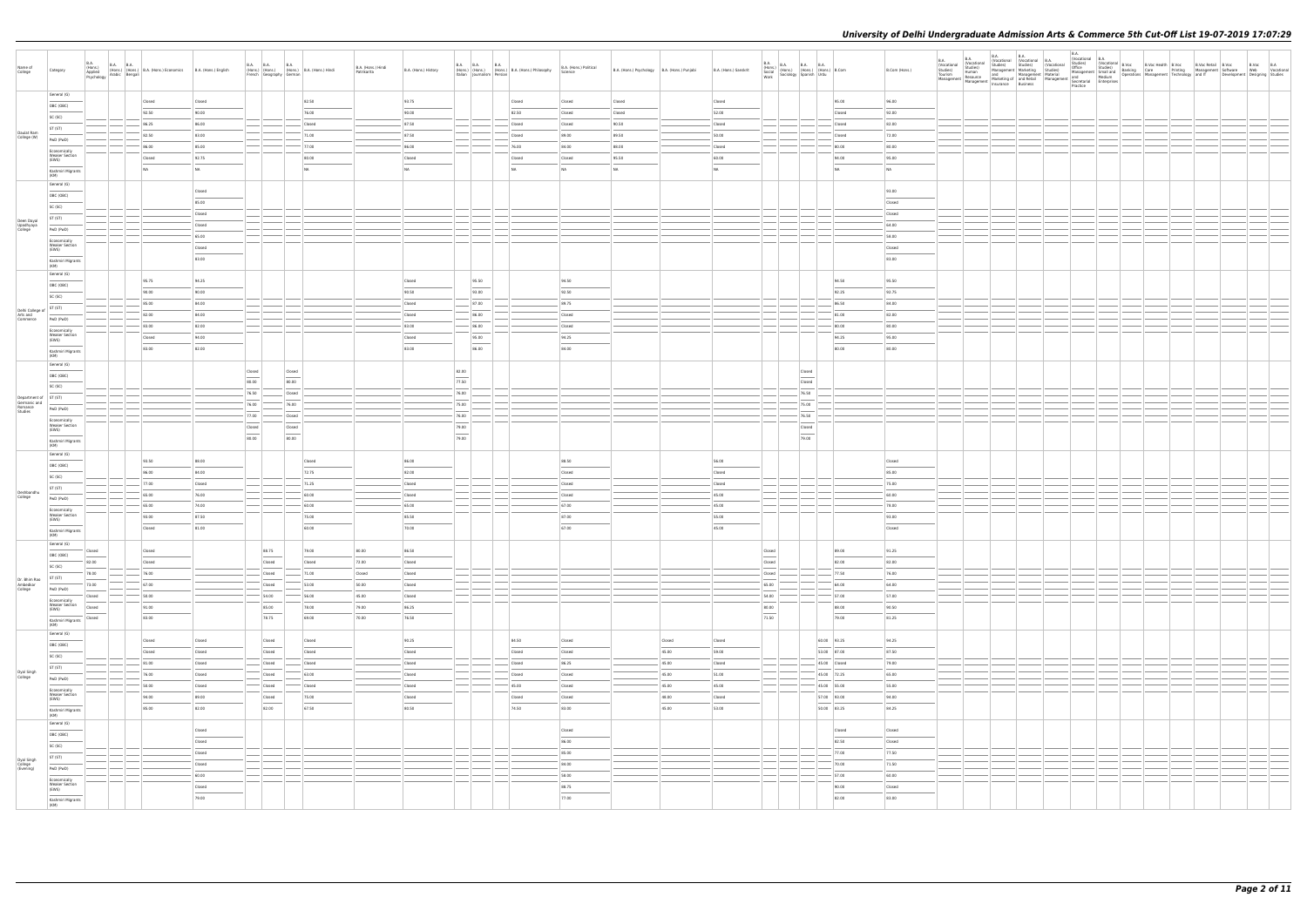|                                                     |                                               |                         |                                                                              |                                                             |                        |                                   |                                                |                    |                      |                                                                                                                                                                                                                                                                                                                                                                                                                                                                                     |       |                                                                                                |                        |                                                |        |                       |                                                                                                                                                                                                                                                                    |        |              |               | B.A.                |                                          | <b>B.A.</b>                                                                                                           | <b>B.A.</b> | B.A.<br>(Vocational B.A.<br>Studies) (Vocat |                                                                                                                                                                                                                                          |  |  |  |
|-----------------------------------------------------|-----------------------------------------------|-------------------------|------------------------------------------------------------------------------|-------------------------------------------------------------|------------------------|-----------------------------------|------------------------------------------------|--------------------|----------------------|-------------------------------------------------------------------------------------------------------------------------------------------------------------------------------------------------------------------------------------------------------------------------------------------------------------------------------------------------------------------------------------------------------------------------------------------------------------------------------------|-------|------------------------------------------------------------------------------------------------|------------------------|------------------------------------------------|--------|-----------------------|--------------------------------------------------------------------------------------------------------------------------------------------------------------------------------------------------------------------------------------------------------------------|--------|--------------|---------------|---------------------|------------------------------------------|-----------------------------------------------------------------------------------------------------------------------|-------------|---------------------------------------------|------------------------------------------------------------------------------------------------------------------------------------------------------------------------------------------------------------------------------------------|--|--|--|
| Name of                                             | Category                                      | <b>B.A.</b>             | <b>B.A. B.A.</b>                                                             | (Hons.) (Hons.) B.A. (Hons.) Economics B.A. (Hons.) English |                        |                                   | B.A. B.A. B.A. B.A. (Hons.) B.A. (Hons.) Hindi | B.A. (Hons.) Hindi | B.A. (Hons.) History |                                                                                                                                                                                                                                                                                                                                                                                                                                                                                     |       | B.A. B.A. B.A. B.A. B.A. (Hons.) B.A. (Hons.) Philosophy<br>Italian Journalism Persian Persian | B.A. (Hons.) Political | B.A. (Hons.) Psychology   B.A. (Hons.) Punjabi |        | B.A. (Hons.) Sanskrit | $\begin{tabular}{ l l l l } \hline B.A. & B.A. & B.A. & B.A. & B.A. & \\\hline (Hons.) & (Hons.) & (Hons.) & (Hons.) & B. Com & \\\operatorname{Sociology} & \multicolumn{2}{ l }{Spanish}} & \multicolumn{2}{ l }{Urdu} & \multicolumn{2}{ l }{B.} \end{tabular}$ |        |              | B.Com (Hons.) | (Vocational         | B.A.<br>(Vocational<br>Studies)<br>Human | B.A.<br>(Vocational B.A.<br>Studies) Studies) (Vocational<br>Management Marketing Studies)<br>and Management Material |             |                                             | (Vocatoria)<br>Office Studies) (Vocational B.Voc<br>Office Studies) (Banking Care Printing Management Software Web Vocational<br>Management Software Web Vocational<br>and Development Designing Studies<br>And Development Designing St |  |  |  |
| College                                             |                                               |                         | (Hons.)<br>Applied<br>Psychology Arabic Bengali<br>Psychology Arabic Bengali |                                                             |                        | French Geography German           |                                                | Patrikarita        |                      |                                                                                                                                                                                                                                                                                                                                                                                                                                                                                     |       |                                                                                                | Science                |                                                |        |                       |                                                                                                                                                                                                                                                                    |        |              |               | Studies)<br>Tourism |                                          | and Management Material<br>Marketing of and Retail Management and Medium<br>Insurance Rusiness                        |             |                                             |                                                                                                                                                                                                                                          |  |  |  |
|                                                     |                                               |                         |                                                                              |                                                             |                        |                                   |                                                |                    |                      |                                                                                                                                                                                                                                                                                                                                                                                                                                                                                     |       |                                                                                                |                        |                                                |        |                       |                                                                                                                                                                                                                                                                    |        |              |               |                     |                                          | Management Management Marketing or and news.<br>Management Management Insurance Business                              |             | Practice                                    |                                                                                                                                                                                                                                          |  |  |  |
|                                                     | General (G)                                   |                         |                                                                              |                                                             |                        |                                   |                                                |                    |                      |                                                                                                                                                                                                                                                                                                                                                                                                                                                                                     |       |                                                                                                |                        |                                                |        |                       |                                                                                                                                                                                                                                                                    |        |              |               |                     |                                          |                                                                                                                       |             |                                             |                                                                                                                                                                                                                                          |  |  |  |
|                                                     |                                               |                         |                                                                              | Closed                                                      | Closed                 |                                   | 82.50                                          |                    | 93.75                |                                                                                                                                                                                                                                                                                                                                                                                                                                                                                     |       | Closed                                                                                         | Closed                 | Closed                                         |        | Closed                |                                                                                                                                                                                                                                                                    |        | 95.00        | 96.00         |                     |                                          |                                                                                                                       |             |                                             |                                                                                                                                                                                                                                          |  |  |  |
|                                                     | OBC (OBC)                                     |                         |                                                                              | 92.50                                                       | 90.00                  |                                   | 76.00                                          |                    | 90.00                |                                                                                                                                                                                                                                                                                                                                                                                                                                                                                     |       | 82.50                                                                                          | Closed                 | Closed                                         |        | 52.00                 |                                                                                                                                                                                                                                                                    |        | Closed       | 92.00         |                     |                                          |                                                                                                                       |             |                                             |                                                                                                                                                                                                                                          |  |  |  |
|                                                     | SC (SC)                                       |                         |                                                                              |                                                             |                        |                                   |                                                |                    |                      |                                                                                                                                                                                                                                                                                                                                                                                                                                                                                     |       |                                                                                                |                        |                                                |        |                       |                                                                                                                                                                                                                                                                    |        |              |               |                     |                                          |                                                                                                                       |             |                                             |                                                                                                                                                                                                                                          |  |  |  |
|                                                     | ST (ST)                                       |                         |                                                                              | 86.25                                                       | 86.00                  |                                   | Closed                                         |                    | 87.50                |                                                                                                                                                                                                                                                                                                                                                                                                                                                                                     |       | Closed                                                                                         | Closed                 | 90.50                                          |        | Closed                |                                                                                                                                                                                                                                                                    |        | Closed       | 82.00         |                     |                                          |                                                                                                                       |             |                                             |                                                                                                                                                                                                                                          |  |  |  |
| Daulat Ram<br>College (W)                           |                                               |                         |                                                                              | 82.50                                                       | 83.00                  |                                   | 71.00                                          |                    | 87.50                |                                                                                                                                                                                                                                                                                                                                                                                                                                                                                     |       | Closed                                                                                         | 89.00                  | 89.50                                          |        | 50.00                 |                                                                                                                                                                                                                                                                    |        | Closed       | 72.00         |                     |                                          |                                                                                                                       |             |                                             |                                                                                                                                                                                                                                          |  |  |  |
|                                                     | PwD (PwD)                                     |                         |                                                                              | 86.00                                                       | 85.00                  |                                   | $-77.00$                                       |                    | 86.00                |                                                                                                                                                                                                                                                                                                                                                                                                                                                                                     |       | 76.00                                                                                          | 84.00                  | 88.00                                          |        | Closed                |                                                                                                                                                                                                                                                                    |        | 80.00        | 80.00         |                     |                                          |                                                                                                                       |             |                                             |                                                                                                                                                                                                                                          |  |  |  |
|                                                     | Economically                                  |                         |                                                                              |                                                             |                        |                                   |                                                |                    |                      |                                                                                                                                                                                                                                                                                                                                                                                                                                                                                     |       |                                                                                                |                        |                                                |        |                       |                                                                                                                                                                                                                                                                    |        |              |               |                     |                                          |                                                                                                                       |             |                                             |                                                                                                                                                                                                                                          |  |  |  |
|                                                     | <b>Weaker Section</b><br>(EWS)                |                         |                                                                              | Closed                                                      | 92.75                  |                                   | 80.00                                          |                    | Closed               |                                                                                                                                                                                                                                                                                                                                                                                                                                                                                     |       | Closed                                                                                         | Closed                 | 95.50                                          |        | 60.00                 |                                                                                                                                                                                                                                                                    |        | 94.00        | 95.00         |                     |                                          |                                                                                                                       |             |                                             |                                                                                                                                                                                                                                          |  |  |  |
|                                                     | Kashmiri Migrants                             |                         |                                                                              | NA.                                                         | NA                     |                                   | NA                                             |                    | NA                   |                                                                                                                                                                                                                                                                                                                                                                                                                                                                                     |       | <b>NA</b>                                                                                      | NA                     | NA                                             |        | NA                    |                                                                                                                                                                                                                                                                    |        | NA           | NA            |                     |                                          |                                                                                                                       |             |                                             |                                                                                                                                                                                                                                          |  |  |  |
|                                                     | (KM)                                          |                         |                                                                              |                                                             |                        |                                   |                                                |                    |                      |                                                                                                                                                                                                                                                                                                                                                                                                                                                                                     |       |                                                                                                |                        |                                                |        |                       |                                                                                                                                                                                                                                                                    |        |              |               |                     |                                          |                                                                                                                       |             |                                             |                                                                                                                                                                                                                                          |  |  |  |
|                                                     | General (G)                                   |                         |                                                                              |                                                             |                        |                                   |                                                |                    |                      |                                                                                                                                                                                                                                                                                                                                                                                                                                                                                     |       |                                                                                                |                        |                                                |        |                       |                                                                                                                                                                                                                                                                    |        |              |               |                     |                                          |                                                                                                                       |             |                                             |                                                                                                                                                                                                                                          |  |  |  |
|                                                     | OBC (OBC)                                     |                         |                                                                              |                                                             | Closed                 |                                   |                                                |                    |                      |                                                                                                                                                                                                                                                                                                                                                                                                                                                                                     |       |                                                                                                |                        |                                                |        |                       |                                                                                                                                                                                                                                                                    |        |              | 93.00         |                     |                                          |                                                                                                                       |             |                                             |                                                                                                                                                                                                                                          |  |  |  |
|                                                     |                                               |                         |                                                                              |                                                             | 85.00                  |                                   |                                                |                    |                      |                                                                                                                                                                                                                                                                                                                                                                                                                                                                                     |       |                                                                                                |                        |                                                |        |                       |                                                                                                                                                                                                                                                                    |        |              | Closed        |                     |                                          |                                                                                                                       |             |                                             |                                                                                                                                                                                                                                          |  |  |  |
|                                                     | SC (SC)                                       |                         |                                                                              |                                                             |                        |                                   |                                                |                    |                      |                                                                                                                                                                                                                                                                                                                                                                                                                                                                                     |       |                                                                                                |                        |                                                |        |                       |                                                                                                                                                                                                                                                                    |        |              |               |                     |                                          |                                                                                                                       |             |                                             |                                                                                                                                                                                                                                          |  |  |  |
| Deen Dayal                                          | ST (ST)                                       |                         |                                                                              |                                                             | Closed                 |                                   |                                                |                    |                      |                                                                                                                                                                                                                                                                                                                                                                                                                                                                                     |       |                                                                                                |                        |                                                |        |                       |                                                                                                                                                                                                                                                                    |        |              | Closed        |                     |                                          |                                                                                                                       |             |                                             |                                                                                                                                                                                                                                          |  |  |  |
| Upadhyaya<br>College                                | PwD (PwD)                                     |                         |                                                                              |                                                             | Closed                 |                                   |                                                |                    |                      |                                                                                                                                                                                                                                                                                                                                                                                                                                                                                     |       |                                                                                                |                        |                                                |        |                       |                                                                                                                                                                                                                                                                    |        |              | 64.00         |                     |                                          |                                                                                                                       |             |                                             |                                                                                                                                                                                                                                          |  |  |  |
|                                                     |                                               |                         |                                                                              |                                                             | 65.00                  |                                   |                                                |                    |                      |                                                                                                                                                                                                                                                                                                                                                                                                                                                                                     |       |                                                                                                |                        |                                                |        |                       |                                                                                                                                                                                                                                                                    |        |              | 58.00         |                     |                                          |                                                                                                                       |             |                                             |                                                                                                                                                                                                                                          |  |  |  |
|                                                     | Economically<br><b>Weaker Section</b>         |                         |                                                                              |                                                             | Closed                 |                                   |                                                |                    |                      |                                                                                                                                                                                                                                                                                                                                                                                                                                                                                     |       |                                                                                                |                        |                                                |        |                       |                                                                                                                                                                                                                                                                    |        |              | Closed        |                     |                                          |                                                                                                                       |             |                                             |                                                                                                                                                                                                                                          |  |  |  |
|                                                     | (EWS)                                         |                         |                                                                              |                                                             |                        |                                   |                                                |                    |                      |                                                                                                                                                                                                                                                                                                                                                                                                                                                                                     |       |                                                                                                |                        |                                                |        |                       |                                                                                                                                                                                                                                                                    |        |              |               |                     |                                          |                                                                                                                       |             |                                             |                                                                                                                                                                                                                                          |  |  |  |
|                                                     | Kashmiri Migrants                             |                         |                                                                              |                                                             | 83.00                  |                                   |                                                |                    |                      |                                                                                                                                                                                                                                                                                                                                                                                                                                                                                     |       |                                                                                                |                        |                                                |        |                       |                                                                                                                                                                                                                                                                    |        |              | 83.00         |                     |                                          |                                                                                                                       |             |                                             |                                                                                                                                                                                                                                          |  |  |  |
|                                                     | (KM)                                          |                         |                                                                              |                                                             |                        |                                   |                                                |                    |                      |                                                                                                                                                                                                                                                                                                                                                                                                                                                                                     |       |                                                                                                |                        |                                                |        |                       |                                                                                                                                                                                                                                                                    |        |              |               |                     |                                          |                                                                                                                       |             |                                             |                                                                                                                                                                                                                                          |  |  |  |
|                                                     | General (G)                                   |                         |                                                                              |                                                             |                        |                                   |                                                |                    |                      |                                                                                                                                                                                                                                                                                                                                                                                                                                                                                     |       |                                                                                                | 94.50                  |                                                |        |                       |                                                                                                                                                                                                                                                                    |        | 94.50        |               |                     |                                          |                                                                                                                       |             |                                             |                                                                                                                                                                                                                                          |  |  |  |
|                                                     | OBC (OBC)                                     |                         |                                                                              | 95.75                                                       | 94.25                  |                                   |                                                |                    | Closed               |                                                                                                                                                                                                                                                                                                                                                                                                                                                                                     | 95.50 |                                                                                                |                        |                                                |        |                       |                                                                                                                                                                                                                                                                    |        |              | 95.50         |                     |                                          |                                                                                                                       |             |                                             |                                                                                                                                                                                                                                          |  |  |  |
|                                                     | SC (SC)                                       |                         |                                                                              | 90.00                                                       | 90.00                  |                                   |                                                |                    | 90.50                |                                                                                                                                                                                                                                                                                                                                                                                                                                                                                     | 93.00 |                                                                                                | 92.50                  |                                                |        |                       |                                                                                                                                                                                                                                                                    |        | 92.25        | 92.75         |                     |                                          |                                                                                                                       |             |                                             |                                                                                                                                                                                                                                          |  |  |  |
|                                                     |                                               |                         |                                                                              | 85.00                                                       | 84.00                  |                                   |                                                |                    | Closed               |                                                                                                                                                                                                                                                                                                                                                                                                                                                                                     | 87.00 |                                                                                                | 89.75                  |                                                |        |                       |                                                                                                                                                                                                                                                                    |        | 86.50        | 84.00         |                     |                                          |                                                                                                                       |             |                                             |                                                                                                                                                                                                                                          |  |  |  |
| Delhi College of<br>Arts and<br>Commerce<br>PWD (Pw |                                               |                         |                                                                              |                                                             |                        |                                   |                                                |                    |                      |                                                                                                                                                                                                                                                                                                                                                                                                                                                                                     |       |                                                                                                |                        |                                                |        |                       |                                                                                                                                                                                                                                                                    |        |              |               |                     |                                          |                                                                                                                       |             |                                             |                                                                                                                                                                                                                                          |  |  |  |
|                                                     | PwD (PwD)                                     |                         |                                                                              | 82.00                                                       | 84.00                  |                                   |                                                |                    | Closed               |                                                                                                                                                                                                                                                                                                                                                                                                                                                                                     | 86.00 |                                                                                                | Closed                 |                                                |        |                       |                                                                                                                                                                                                                                                                    |        | 81.00        | 82.00         |                     |                                          |                                                                                                                       |             |                                             |                                                                                                                                                                                                                                          |  |  |  |
|                                                     | Economically                                  |                         |                                                                              | 83.00                                                       | 82.00                  |                                   |                                                |                    | 83.00                |                                                                                                                                                                                                                                                                                                                                                                                                                                                                                     | 86.00 |                                                                                                | Closed                 |                                                |        |                       |                                                                                                                                                                                                                                                                    |        | 80.00        | 80.00         |                     |                                          |                                                                                                                       |             |                                             |                                                                                                                                                                                                                                          |  |  |  |
|                                                     | <b>Weaker Section</b>                         |                         |                                                                              | Closed                                                      | 94.00                  |                                   |                                                |                    | Closed               |                                                                                                                                                                                                                                                                                                                                                                                                                                                                                     | 95.00 |                                                                                                | 94.25                  |                                                |        |                       |                                                                                                                                                                                                                                                                    |        | 94.25        | 95.00         |                     |                                          |                                                                                                                       |             |                                             |                                                                                                                                                                                                                                          |  |  |  |
|                                                     | (EWS)                                         |                         |                                                                              |                                                             |                        |                                   |                                                |                    |                      |                                                                                                                                                                                                                                                                                                                                                                                                                                                                                     |       |                                                                                                |                        |                                                |        |                       |                                                                                                                                                                                                                                                                    |        |              |               |                     |                                          |                                                                                                                       |             |                                             |                                                                                                                                                                                                                                          |  |  |  |
|                                                     | Kashmiri Migrants<br>(KM)                     |                         |                                                                              | 83.00                                                       | 82.00                  |                                   |                                                |                    | 83.00                |                                                                                                                                                                                                                                                                                                                                                                                                                                                                                     | 86.00 |                                                                                                | 84.00                  |                                                |        |                       |                                                                                                                                                                                                                                                                    |        | 80.00        | 80.00         |                     |                                          |                                                                                                                       |             |                                             |                                                                                                                                                                                                                                          |  |  |  |
|                                                     | General (G)                                   |                         |                                                                              |                                                             |                        |                                   |                                                |                    |                      |                                                                                                                                                                                                                                                                                                                                                                                                                                                                                     |       |                                                                                                |                        |                                                |        |                       |                                                                                                                                                                                                                                                                    |        |              |               |                     |                                          |                                                                                                                       |             |                                             |                                                                                                                                                                                                                                          |  |  |  |
|                                                     |                                               |                         |                                                                              |                                                             |                        | Closed                            | Closed                                         |                    |                      | 82.00                                                                                                                                                                                                                                                                                                                                                                                                                                                                               |       |                                                                                                |                        |                                                |        |                       |                                                                                                                                                                                                                                                                    | Closed |              |               |                     |                                          |                                                                                                                       |             |                                             |                                                                                                                                                                                                                                          |  |  |  |
|                                                     | OBC (OBC)                                     |                         |                                                                              |                                                             |                        |                                   |                                                |                    |                      |                                                                                                                                                                                                                                                                                                                                                                                                                                                                                     |       |                                                                                                |                        |                                                |        |                       |                                                                                                                                                                                                                                                                    |        |              |               |                     |                                          |                                                                                                                       |             |                                             |                                                                                                                                                                                                                                          |  |  |  |
|                                                     | SC (SC)                                       |                         |                                                                              |                                                             |                        | 80.00                             | 80.00                                          |                    |                      | 77.50                                                                                                                                                                                                                                                                                                                                                                                                                                                                               |       |                                                                                                |                        |                                                |        |                       |                                                                                                                                                                                                                                                                    | Closed |              |               |                     |                                          |                                                                                                                       |             |                                             |                                                                                                                                                                                                                                          |  |  |  |
| Department of ST (ST)                               |                                               |                         |                                                                              |                                                             |                        | 76.50                             | Closed                                         |                    |                      | 76.00                                                                                                                                                                                                                                                                                                                                                                                                                                                                               |       |                                                                                                |                        |                                                |        |                       |                                                                                                                                                                                                                                                                    | 76.50  |              |               |                     |                                          |                                                                                                                       |             |                                             |                                                                                                                                                                                                                                          |  |  |  |
|                                                     |                                               |                         |                                                                              |                                                             |                        | 76.00                             | 76.00                                          |                    |                      | 75.00                                                                                                                                                                                                                                                                                                                                                                                                                                                                               |       |                                                                                                |                        |                                                |        |                       |                                                                                                                                                                                                                                                                    | 75.00  |              |               |                     |                                          |                                                                                                                       |             |                                             |                                                                                                                                                                                                                                          |  |  |  |
| Germanic and<br>Romance<br>Studies                  | PwD (PwD)                                     |                         |                                                                              |                                                             |                        |                                   |                                                |                    |                      |                                                                                                                                                                                                                                                                                                                                                                                                                                                                                     |       |                                                                                                |                        |                                                |        |                       |                                                                                                                                                                                                                                                                    |        |              |               |                     |                                          |                                                                                                                       |             |                                             |                                                                                                                                                                                                                                          |  |  |  |
|                                                     | Economically                                  |                         |                                                                              |                                                             |                        | 77.00                             | Closed                                         |                    |                      | 76.00                                                                                                                                                                                                                                                                                                                                                                                                                                                                               |       |                                                                                                |                        |                                                |        |                       |                                                                                                                                                                                                                                                                    | 76.50  |              |               |                     |                                          |                                                                                                                       |             |                                             |                                                                                                                                                                                                                                          |  |  |  |
|                                                     | <b>Weaker Section</b><br>(EWS)                |                         |                                                                              |                                                             |                        | Closed                            | Closed                                         |                    |                      | 79.00                                                                                                                                                                                                                                                                                                                                                                                                                                                                               |       |                                                                                                |                        |                                                |        |                       |                                                                                                                                                                                                                                                                    | Closed |              |               |                     |                                          |                                                                                                                       |             |                                             |                                                                                                                                                                                                                                          |  |  |  |
|                                                     |                                               |                         |                                                                              |                                                             |                        | 80.00                             | 80.00                                          |                    |                      | $\frac{1}{2} \left( \frac{1}{2} \right) \left( \frac{1}{2} \right) \left( \frac{1}{2} \right) \left( \frac{1}{2} \right) \left( \frac{1}{2} \right) \left( \frac{1}{2} \right) \left( \frac{1}{2} \right) \left( \frac{1}{2} \right) \left( \frac{1}{2} \right) \left( \frac{1}{2} \right) \left( \frac{1}{2} \right) \left( \frac{1}{2} \right) \left( \frac{1}{2} \right) \left( \frac{1}{2} \right) \left( \frac{1}{2} \right) \left( \frac{1}{2} \right) \left( \frac$<br>79.00 |       |                                                                                                |                        |                                                |        |                       |                                                                                                                                                                                                                                                                    | 79.00  |              |               |                     |                                          |                                                                                                                       |             |                                             |                                                                                                                                                                                                                                          |  |  |  |
|                                                     | Kashmiri Migrants<br>(KM)                     |                         |                                                                              |                                                             |                        |                                   |                                                |                    |                      |                                                                                                                                                                                                                                                                                                                                                                                                                                                                                     |       |                                                                                                |                        |                                                |        |                       |                                                                                                                                                                                                                                                                    |        |              |               |                     |                                          |                                                                                                                       |             |                                             |                                                                                                                                                                                                                                          |  |  |  |
|                                                     | General (G)                                   |                         |                                                                              |                                                             |                        |                                   |                                                |                    |                      |                                                                                                                                                                                                                                                                                                                                                                                                                                                                                     |       |                                                                                                |                        |                                                |        |                       |                                                                                                                                                                                                                                                                    |        |              |               |                     |                                          |                                                                                                                       |             |                                             |                                                                                                                                                                                                                                          |  |  |  |
|                                                     | OBC (OBC)                                     |                         |                                                                              | 93.50                                                       | 88.00                  |                                   | Closed                                         |                    | 86.00                |                                                                                                                                                                                                                                                                                                                                                                                                                                                                                     |       |                                                                                                | 88.50                  |                                                |        | 56.00                 |                                                                                                                                                                                                                                                                    |        |              | Closed        |                     |                                          |                                                                                                                       |             |                                             |                                                                                                                                                                                                                                          |  |  |  |
|                                                     |                                               |                         |                                                                              | 86.00                                                       | 84.00                  |                                   | 72.75                                          |                    | 82.00                |                                                                                                                                                                                                                                                                                                                                                                                                                                                                                     |       |                                                                                                | Closed                 |                                                |        | Closed                |                                                                                                                                                                                                                                                                    |        |              | 85.00         |                     |                                          |                                                                                                                       |             |                                             |                                                                                                                                                                                                                                          |  |  |  |
|                                                     | SC (SC)                                       |                         |                                                                              |                                                             |                        |                                   |                                                |                    |                      |                                                                                                                                                                                                                                                                                                                                                                                                                                                                                     |       |                                                                                                |                        |                                                |        |                       |                                                                                                                                                                                                                                                                    |        |              |               |                     |                                          |                                                                                                                       |             |                                             |                                                                                                                                                                                                                                          |  |  |  |
|                                                     | ST (ST)                                       |                         |                                                                              | 77.00                                                       | Closed                 |                                   | 71.25                                          |                    | Closed               |                                                                                                                                                                                                                                                                                                                                                                                                                                                                                     |       |                                                                                                | Closed                 |                                                |        | Closed                |                                                                                                                                                                                                                                                                    |        |              | 75.00         |                     |                                          |                                                                                                                       |             |                                             |                                                                                                                                                                                                                                          |  |  |  |
| Deshbandhu<br>College                               | PwD (PwD)                                     |                         |                                                                              | 65.00                                                       | 76.00                  |                                   | 60.00                                          |                    | Closed               |                                                                                                                                                                                                                                                                                                                                                                                                                                                                                     |       |                                                                                                | Closed                 |                                                |        | 45.00                 |                                                                                                                                                                                                                                                                    |        |              | 60.00         |                     |                                          |                                                                                                                       |             |                                             |                                                                                                                                                                                                                                          |  |  |  |
|                                                     |                                               |                         |                                                                              | 65.00                                                       | 74.00                  |                                   | 60.00                                          |                    | 65.00                |                                                                                                                                                                                                                                                                                                                                                                                                                                                                                     |       |                                                                                                | 67.00                  |                                                |        | 45.00                 |                                                                                                                                                                                                                                                                    |        |              | 78.00         |                     |                                          |                                                                                                                       |             |                                             |                                                                                                                                                                                                                                          |  |  |  |
|                                                     | Economically<br><b>Weaker Section</b>         |                         |                                                                              | 93.00                                                       | 87.50                  |                                   | 75.00                                          |                    | 85.50                |                                                                                                                                                                                                                                                                                                                                                                                                                                                                                     |       |                                                                                                | 87.00                  |                                                |        | 55.00                 |                                                                                                                                                                                                                                                                    |        |              | 93.00         |                     |                                          |                                                                                                                       |             |                                             |                                                                                                                                                                                                                                          |  |  |  |
|                                                     | (EWS)                                         |                         |                                                                              |                                                             |                        |                                   |                                                |                    |                      |                                                                                                                                                                                                                                                                                                                                                                                                                                                                                     |       |                                                                                                |                        |                                                |        |                       |                                                                                                                                                                                                                                                                    |        |              |               |                     |                                          |                                                                                                                       |             |                                             |                                                                                                                                                                                                                                          |  |  |  |
|                                                     | Kashmiri Migrants                             |                         |                                                                              | Closed                                                      | 81.00                  |                                   | 60.00                                          |                    | 70.00                |                                                                                                                                                                                                                                                                                                                                                                                                                                                                                     |       |                                                                                                | 67.00                  |                                                |        | 45.00                 |                                                                                                                                                                                                                                                                    |        |              | Closed        |                     |                                          |                                                                                                                       |             |                                             |                                                                                                                                                                                                                                          |  |  |  |
|                                                     |                                               |                         |                                                                              |                                                             |                        |                                   |                                                |                    |                      |                                                                                                                                                                                                                                                                                                                                                                                                                                                                                     |       |                                                                                                |                        |                                                |        |                       |                                                                                                                                                                                                                                                                    |        |              |               |                     |                                          |                                                                                                                       |             |                                             |                                                                                                                                                                                                                                          |  |  |  |
|                                                     | General (G)                                   | Closed                  |                                                                              | Closed                                                      |                        | 88.75                             | 79.00                                          | 80.00              | 86.50                |                                                                                                                                                                                                                                                                                                                                                                                                                                                                                     |       |                                                                                                |                        |                                                |        |                       | Closed                                                                                                                                                                                                                                                             |        | 89.00        | 91.25         |                     |                                          |                                                                                                                       |             |                                             |                                                                                                                                                                                                                                          |  |  |  |
|                                                     | OBC (OBC)                                     | $\sim$                  |                                                                              |                                                             |                        | $\sim$                            |                                                |                    |                      |                                                                                                                                                                                                                                                                                                                                                                                                                                                                                     |       |                                                                                                |                        |                                                |        |                       | $\sim$                                                                                                                                                                                                                                                             |        |              |               |                     |                                          |                                                                                                                       |             |                                             |                                                                                                                                                                                                                                          |  |  |  |
|                                                     | SC (SC)                                       | 82.00                   |                                                                              | Closed                                                      |                        | Closed                            | Closed                                         | 72.00              | Closed               |                                                                                                                                                                                                                                                                                                                                                                                                                                                                                     |       |                                                                                                |                        |                                                |        |                       | Closed                                                                                                                                                                                                                                                             |        | 82.00        | 82.00         |                     |                                          |                                                                                                                       |             |                                             |                                                                                                                                                                                                                                          |  |  |  |
|                                                     |                                               | 78.00                   |                                                                              | 76.00                                                       |                        | Closed                            | $- 71.00$                                      | Closed             | Closed               | $\frac{1}{2}$                                                                                                                                                                                                                                                                                                                                                                                                                                                                       |       |                                                                                                |                        |                                                |        |                       | Closed                                                                                                                                                                                                                                                             |        | 77.50        | 76.00         |                     |                                          |                                                                                                                       |             |                                             |                                                                                                                                                                                                                                          |  |  |  |
| Dr. Bhim Rao                                        | ST (ST)                                       | 73.00                   |                                                                              | 67.00                                                       |                        | Closed                            | 53.00                                          | 50.00              | Closed               | $-$                                                                                                                                                                                                                                                                                                                                                                                                                                                                                 |       |                                                                                                |                        |                                                |        |                       | 65.00                                                                                                                                                                                                                                                              |        | 64.00        | 64.00         |                     |                                          |                                                                                                                       |             |                                             |                                                                                                                                                                                                                                          |  |  |  |
| Ambedkar<br>College                                 | PwD (PwD)                                     |                         |                                                                              |                                                             |                        |                                   |                                                |                    |                      | $ -$<br>$\frac{1}{2}$                                                                                                                                                                                                                                                                                                                                                                                                                                                               |       |                                                                                                |                        |                                                |        |                       |                                                                                                                                                                                                                                                                    |        |              |               |                     |                                          |                                                                                                                       |             |                                             |                                                                                                                                                                                                                                          |  |  |  |
|                                                     | Economically                                  | Closed<br>$\frac{1}{2}$ |                                                                              | 50.00                                                       |                        | 54.00                             | 56.00                                          | 45.00              | Closed               |                                                                                                                                                                                                                                                                                                                                                                                                                                                                                     |       |                                                                                                |                        |                                                |        |                       | 54.00                                                                                                                                                                                                                                                              |        | 57.00        | 57.00         |                     |                                          |                                                                                                                       |             |                                             |                                                                                                                                                                                                                                          |  |  |  |
|                                                     | Weaker Section<br>(EWS)                       | Closed                  |                                                                              | 91.00                                                       |                        | 85.00                             | 78.00                                          | 79.00              | 86.25                |                                                                                                                                                                                                                                                                                                                                                                                                                                                                                     |       |                                                                                                |                        |                                                |        |                       | 80.00                                                                                                                                                                                                                                                              |        | 88.00        | 90.50         |                     |                                          |                                                                                                                       |             |                                             |                                                                                                                                                                                                                                          |  |  |  |
|                                                     | $\overline{\phantom{a}}$<br>Kashmiri Migrants | Closed                  |                                                                              | 83.00                                                       |                        | $\overline{\phantom{a}}$<br>78.75 | 69.00                                          | 70.00              | 76.50                |                                                                                                                                                                                                                                                                                                                                                                                                                                                                                     |       |                                                                                                |                        |                                                |        |                       | $\sim$<br>71.50                                                                                                                                                                                                                                                    |        | 79.00        | 81.25         |                     |                                          |                                                                                                                       |             |                                             |                                                                                                                                                                                                                                          |  |  |  |
|                                                     | (KM)                                          |                         |                                                                              |                                                             |                        |                                   |                                                |                    |                      |                                                                                                                                                                                                                                                                                                                                                                                                                                                                                     |       |                                                                                                |                        |                                                |        |                       |                                                                                                                                                                                                                                                                    |        |              |               |                     |                                          |                                                                                                                       |             |                                             |                                                                                                                                                                                                                                          |  |  |  |
|                                                     | General (G)                                   |                         |                                                                              |                                                             |                        |                                   |                                                |                    |                      |                                                                                                                                                                                                                                                                                                                                                                                                                                                                                     |       |                                                                                                |                        |                                                |        |                       |                                                                                                                                                                                                                                                                    |        |              |               |                     |                                          |                                                                                                                       |             |                                             |                                                                                                                                                                                                                                          |  |  |  |
|                                                     | OBC (OBC)                                     |                         |                                                                              | Closed                                                      | Closed                 | Closed                            | Closed                                         |                    | 90.25                |                                                                                                                                                                                                                                                                                                                                                                                                                                                                                     |       | 84.50                                                                                          | Closed                 |                                                | Closed | Closed                |                                                                                                                                                                                                                                                                    |        | 60.00 93.25  | 94.25         |                     |                                          |                                                                                                                       |             |                                             |                                                                                                                                                                                                                                          |  |  |  |
|                                                     |                                               |                         |                                                                              | Closed                                                      | Closed                 | Closed                            | Closed                                         |                    | Closed               |                                                                                                                                                                                                                                                                                                                                                                                                                                                                                     |       | Closed                                                                                         | Closed                 |                                                | 45.00  | 59.00                 |                                                                                                                                                                                                                                                                    |        | 53.00 87.00  | 87.50         |                     |                                          |                                                                                                                       |             |                                             |                                                                                                                                                                                                                                          |  |  |  |
|                                                     | SC (SC)                                       |                         |                                                                              | 81.00                                                       |                        | Closed                            | Closed                                         |                    | Closed               |                                                                                                                                                                                                                                                                                                                                                                                                                                                                                     |       | Closed                                                                                         |                        |                                                | 45.00  | Closed                |                                                                                                                                                                                                                                                                    |        | 45.00 Closed | 79.00         |                     |                                          |                                                                                                                       |             |                                             |                                                                                                                                                                                                                                          |  |  |  |
|                                                     | ST (ST)                                       |                         |                                                                              |                                                             | Closed                 |                                   |                                                |                    |                      |                                                                                                                                                                                                                                                                                                                                                                                                                                                                                     |       |                                                                                                | 86.25                  |                                                |        |                       |                                                                                                                                                                                                                                                                    |        |              |               |                     |                                          |                                                                                                                       |             |                                             |                                                                                                                                                                                                                                          |  |  |  |
| Dyal Singh<br>College                               | PwD (PwD)                                     |                         |                                                                              | 76.00                                                       | Closed                 | Closed                            | 63.00                                          |                    | Closed               |                                                                                                                                                                                                                                                                                                                                                                                                                                                                                     |       | Closed                                                                                         | Closed                 |                                                | 45.00  | 51.00                 |                                                                                                                                                                                                                                                                    |        | 45.00 72.25  | 65.00         |                     |                                          |                                                                                                                       |             |                                             |                                                                                                                                                                                                                                          |  |  |  |
|                                                     |                                               |                         |                                                                              | 50.00                                                       | Closed                 | Closed                            | Closed                                         |                    | Closed               | —— I                                                                                                                                                                                                                                                                                                                                                                                                                                                                                |       | 45.00                                                                                          | Closed                 |                                                | 45.00  | 45.00                 |                                                                                                                                                                                                                                                                    |        | 45.00 55.00  | 55.00         |                     |                                          |                                                                                                                       |             |                                             |                                                                                                                                                                                                                                          |  |  |  |
|                                                     | Economically<br>Weaker Section                |                         |                                                                              | 94.00                                                       | 89.00                  | Closed                            | 75.00                                          |                    | Closed               |                                                                                                                                                                                                                                                                                                                                                                                                                                                                                     |       | Closed                                                                                         | Closed                 |                                                | 48.00  | Closed                |                                                                                                                                                                                                                                                                    |        | 57.00 93.00  | 94.00         |                     |                                          |                                                                                                                       |             |                                             |                                                                                                                                                                                                                                          |  |  |  |
|                                                     | (EWS)                                         |                         |                                                                              |                                                             |                        | $\frac{1}{2}$                     |                                                |                    |                      |                                                                                                                                                                                                                                                                                                                                                                                                                                                                                     |       |                                                                                                |                        |                                                |        |                       |                                                                                                                                                                                                                                                                    |        |              |               |                     |                                          |                                                                                                                       |             |                                             |                                                                                                                                                                                                                                          |  |  |  |
|                                                     | Kashmiri Migrants<br>(KM)                     |                         |                                                                              | 85.00                                                       | 82.00                  | 82.00                             | 67.50                                          |                    | 80.50                |                                                                                                                                                                                                                                                                                                                                                                                                                                                                                     |       | 74.50                                                                                          | 83.00                  |                                                | 45.00  | 53.00                 |                                                                                                                                                                                                                                                                    |        | 50.00 83.25  | 84.25         |                     |                                          |                                                                                                                       |             |                                             |                                                                                                                                                                                                                                          |  |  |  |
|                                                     |                                               |                         |                                                                              |                                                             |                        |                                   |                                                |                    |                      |                                                                                                                                                                                                                                                                                                                                                                                                                                                                                     |       |                                                                                                |                        |                                                |        |                       |                                                                                                                                                                                                                                                                    |        |              |               |                     |                                          |                                                                                                                       |             |                                             |                                                                                                                                                                                                                                          |  |  |  |
|                                                     | General (G)                                   |                         |                                                                              |                                                             | Closed                 |                                   |                                                |                    |                      |                                                                                                                                                                                                                                                                                                                                                                                                                                                                                     |       |                                                                                                | Closed                 |                                                |        |                       |                                                                                                                                                                                                                                                                    |        | Closed       | Closed        |                     |                                          |                                                                                                                       |             |                                             |                                                                                                                                                                                                                                          |  |  |  |
|                                                     | OBC (OBC)                                     |                         |                                                                              |                                                             |                        |                                   |                                                |                    |                      |                                                                                                                                                                                                                                                                                                                                                                                                                                                                                     |       |                                                                                                |                        |                                                |        |                       |                                                                                                                                                                                                                                                                    |        |              |               |                     |                                          |                                                                                                                       |             |                                             |                                                                                                                                                                                                                                          |  |  |  |
|                                                     | SC (SC)                                       |                         |                                                                              |                                                             | Closed                 |                                   |                                                |                    |                      |                                                                                                                                                                                                                                                                                                                                                                                                                                                                                     |       |                                                                                                | 86.00                  |                                                |        |                       |                                                                                                                                                                                                                                                                    |        | 82.50        | Closed        |                     |                                          |                                                                                                                       |             |                                             |                                                                                                                                                                                                                                          |  |  |  |
|                                                     |                                               |                         |                                                                              |                                                             | Closed                 |                                   |                                                |                    |                      |                                                                                                                                                                                                                                                                                                                                                                                                                                                                                     |       |                                                                                                | 85.00                  |                                                |        |                       |                                                                                                                                                                                                                                                                    |        | 77.00        | 77.50         |                     |                                          |                                                                                                                       |             |                                             |                                                                                                                                                                                                                                          |  |  |  |
| Dyal Singh<br>College<br>(Evening)                  | ST (ST)                                       |                         |                                                                              |                                                             | <b>Closed</b>          |                                   |                                                |                    |                      | $\overline{\phantom{a}}$                                                                                                                                                                                                                                                                                                                                                                                                                                                            |       |                                                                                                | 84.00                  |                                                |        |                       |                                                                                                                                                                                                                                                                    |        | 70.00        | 71.50         |                     |                                          |                                                                                                                       |             |                                             |                                                                                                                                                                                                                                          |  |  |  |
|                                                     | PwD (PwD)                                     |                         |                                                                              |                                                             |                        |                                   |                                                |                    |                      | $\sim$                                                                                                                                                                                                                                                                                                                                                                                                                                                                              |       |                                                                                                |                        |                                                |        |                       |                                                                                                                                                                                                                                                                    |        |              |               |                     |                                          |                                                                                                                       |             |                                             |                                                                                                                                                                                                                                          |  |  |  |
|                                                     | Economically                                  |                         |                                                                              |                                                             | 60.00                  |                                   |                                                |                    |                      |                                                                                                                                                                                                                                                                                                                                                                                                                                                                                     |       |                                                                                                | 58.00                  |                                                |        |                       |                                                                                                                                                                                                                                                                    |        | 57.00        | 60.00         |                     |                                          |                                                                                                                       |             |                                             |                                                                                                                                                                                                                                          |  |  |  |
|                                                     | <b>Weaker Section</b><br>(EWS)                |                         |                                                                              |                                                             | Closed                 |                                   |                                                |                    |                      |                                                                                                                                                                                                                                                                                                                                                                                                                                                                                     |       |                                                                                                | 88.75                  |                                                |        |                       |                                                                                                                                                                                                                                                                    |        | 90.00        | Closed        |                     |                                          |                                                                                                                       |             |                                             |                                                                                                                                                                                                                                          |  |  |  |
|                                                     |                                               |                         |                                                                              |                                                             | $\frac{1}{2}$<br>79.00 |                                   |                                                |                    |                      |                                                                                                                                                                                                                                                                                                                                                                                                                                                                                     |       |                                                                                                | 77.00                  |                                                |        |                       |                                                                                                                                                                                                                                                                    |        | 82.00        | 83.00         |                     |                                          |                                                                                                                       |             |                                             |                                                                                                                                                                                                                                          |  |  |  |
|                                                     | Kashmiri Migrants<br>(KM)                     |                         |                                                                              |                                                             |                        |                                   |                                                |                    |                      |                                                                                                                                                                                                                                                                                                                                                                                                                                                                                     |       |                                                                                                |                        |                                                |        |                       |                                                                                                                                                                                                                                                                    |        |              |               |                     |                                          |                                                                                                                       |             |                                             |                                                                                                                                                                                                                                          |  |  |  |
|                                                     |                                               |                         |                                                                              |                                                             |                        |                                   |                                                |                    |                      |                                                                                                                                                                                                                                                                                                                                                                                                                                                                                     |       |                                                                                                |                        |                                                |        |                       |                                                                                                                                                                                                                                                                    |        |              |               |                     |                                          |                                                                                                                       |             |                                             |                                                                                                                                                                                                                                          |  |  |  |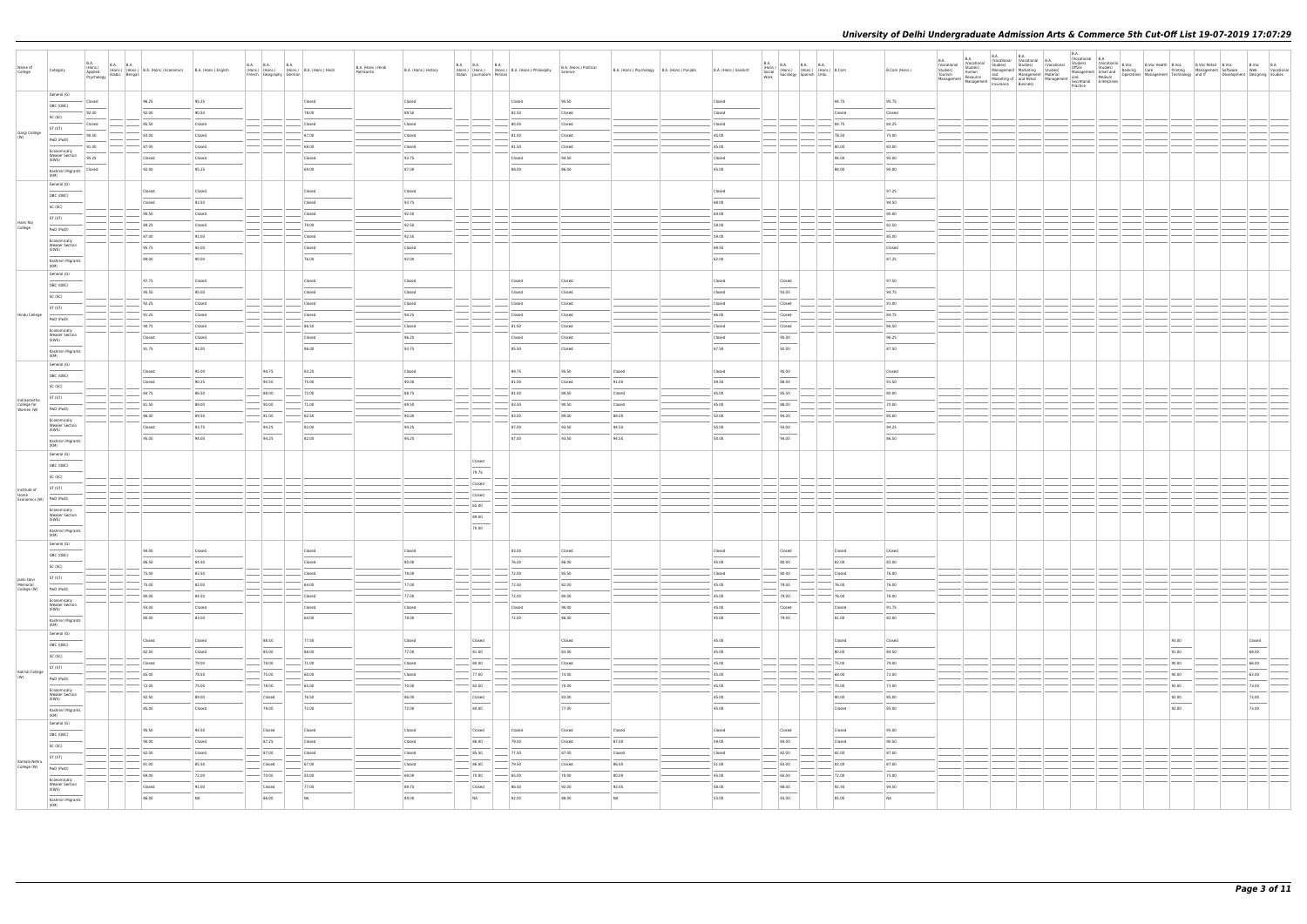| Name of<br>College                                 | Category                                       | <b>B.A.</b><br>(Hons.)<br>Applied<br>Psychology | B.A. B.A.<br>(Hons.) (Hons.) B.A. (Hons.) Economics<br>v Arabic Bengali | B.A. (Hons.) English | B.A. B.A. B.A. B.A. (Hons.) B.A. (Hons.) Hindi<br>French Geography German |        | B.A. (Hons.) Hindi<br>Patrikarita | B.A. (Hons.) History | Italian Journalism Persian | B.A. B.A. B.A. B.A. B.A. (Hons.) Philosophy | B.A. (Hons.) Political<br>Science | B.A. (Hons.) Psychology B.A. (Hons.) Punjabi | B.A. (Hons.) Sanskrit |                  |        | B.Com (Hons.) | B.A.<br>(Vocational B.A.<br>B.A.<br>(Vocational (Vocational B.A.<br>Studies) Studies) (Vocational |       | B.Voc B.A<br>Web Vocational<br>Development Designing Studies |
|----------------------------------------------------|------------------------------------------------|-------------------------------------------------|-------------------------------------------------------------------------|----------------------|---------------------------------------------------------------------------|--------|-----------------------------------|----------------------|----------------------------|---------------------------------------------|-----------------------------------|----------------------------------------------|-----------------------|------------------|--------|---------------|---------------------------------------------------------------------------------------------------|-------|--------------------------------------------------------------|
|                                                    | General (G)                                    | Closed                                          | 96.25                                                                   | 95.25                |                                                                           | Closed |                                   | Closed               |                            | Closed                                      | 95.50                             |                                              | Closed                |                  | 94.75  | 95.75         |                                                                                                   |       |                                                              |
|                                                    | OBC (OBC)                                      | 92.00                                           | 92.00                                                                   | 90.50                |                                                                           | 78.00  |                                   | 89.50                |                            | 82.50                                       | Closed                            |                                              | Closed                |                  | Closed | Closed        |                                                                                                   |       |                                                              |
|                                                    | SC (SC)                                        | Closed                                          | 85.50                                                                   | Closed               |                                                                           | Closed |                                   | Closed               |                            | 80.00                                       | Closed                            |                                              | Closed                |                  | 84.75  | 84.25         |                                                                                                   |       |                                                              |
| Gargi College                                      | ST (ST)                                        | 90.50                                           | 83.00                                                                   | Closed               |                                                                           | 67.00  |                                   | Closed               |                            | 81.00                                       | Closed                            |                                              | 45.00                 |                  | 78.50  | 75.00         |                                                                                                   |       |                                                              |
|                                                    | PwD (PwD)                                      | 91.00                                           | 87.00                                                                   | Closed               |                                                                           | 69.00  |                                   | Closed               |                            | $-81.50$                                    | Closed                            |                                              | 45.00                 |                  | 80.00  | 83.00         |                                                                                                   |       |                                                              |
|                                                    | Economically<br><b>Weaker Section</b>          | 95.25                                           | Closed                                                                  | Closed               |                                                                           | Closed |                                   | 93.75                |                            | Closed                                      | 94.50                             |                                              | Closed                |                  | 94.00  | 95.00         |                                                                                                   |       |                                                              |
|                                                    | (EWS)                                          | Closed                                          | 92.00                                                                   | 95.25                |                                                                           | 69.00  |                                   | 87.00                |                            | 88.00                                       | 86.00                             |                                              | 45.00                 |                  | 88.00  | 90.00         |                                                                                                   |       |                                                              |
|                                                    | Kashmiri Migrants<br>(KM)                      |                                                 |                                                                         |                      |                                                                           |        |                                   |                      |                            |                                             |                                   |                                              |                       |                  |        |               |                                                                                                   |       |                                                              |
|                                                    | General (G)                                    |                                                 | Closed                                                                  | Closed               |                                                                           | Closed |                                   | Closed               |                            |                                             |                                   |                                              | Closed                |                  |        | 97.25         |                                                                                                   |       |                                                              |
|                                                    | OBC (OBC)                                      |                                                 | Closed                                                                  | 93.50                |                                                                           | Closed |                                   | 93.75                |                            |                                             |                                   |                                              | 68.00                 |                  |        | 94.50         |                                                                                                   |       |                                                              |
|                                                    | SC (SC)                                        |                                                 | 90.50                                                                   | Closed               |                                                                           | Closed |                                   | 92.50                |                            |                                             |                                   |                                              | 64.00                 |                  |        | 90.00         |                                                                                                   |       |                                                              |
| Hans Raj                                           | ST (ST)                                        |                                                 | 88.25                                                                   | Closed               |                                                                           | 79.00  |                                   | 92.50                |                            |                                             |                                   |                                              | 59.00                 |                  |        | 82.50         |                                                                                                   |       |                                                              |
| College                                            | PwD (PwD)                                      |                                                 | 87.00                                                                   | 91.00                |                                                                           | Closed |                                   | 92.50                |                            |                                             |                                   |                                              | 59.00                 |                  |        | 85.00         |                                                                                                   |       |                                                              |
|                                                    | Economically<br><b>Weaker Section</b>          |                                                 | 95.75                                                                   | 95.00                |                                                                           | Closed |                                   | Closed               |                            |                                             |                                   |                                              | 69.50                 |                  |        | Closed        |                                                                                                   |       |                                                              |
|                                                    | (EWS)                                          |                                                 | 89.00                                                                   | 90.00                |                                                                           | 76.00  |                                   | 92.00                |                            |                                             |                                   |                                              | 62.00                 |                  |        | 87.25         |                                                                                                   |       |                                                              |
|                                                    | Kashmiri Migrants<br>(KM)                      |                                                 |                                                                         |                      |                                                                           |        |                                   |                      |                            |                                             |                                   |                                              |                       |                  |        |               |                                                                                                   |       |                                                              |
|                                                    | General (G)                                    |                                                 | 97.75                                                                   | Closed               |                                                                           | Closed |                                   | Closed               |                            | Closed                                      | Closed                            |                                              | Closed                | Closed           |        | 97.50         |                                                                                                   |       |                                                              |
|                                                    | OBC (OBC)                                      |                                                 | 95.50                                                                   | 95.00                |                                                                           | Closed |                                   | Closed               |                            | Closed                                      | Closed                            |                                              | Closed                | 93.00            |        | 94.75         |                                                                                                   |       |                                                              |
|                                                    | SC (SC)                                        |                                                 | 92.25                                                                   | Closed               |                                                                           | Closed |                                   | Closed               |                            | Closed                                      | Closed                            |                                              | Closed                | Closed           |        | 91.00         |                                                                                                   |       |                                                              |
| Hindu College                                      | ST (ST)                                        |                                                 | 91.25                                                                   | Closed               |                                                                           | Closed |                                   | 94.25                |                            | Closed                                      | Closed                            |                                              | 66.00                 | Closed           |        | 84.75         |                                                                                                   |       |                                                              |
|                                                    | PwD (PwD)                                      |                                                 | 90.75                                                                   | Closed               |                                                                           | 86.50  |                                   | Closed               |                            | $-81.50$                                    | Closed                            |                                              | Closed                | Closed           |        | 86.50         |                                                                                                   |       |                                                              |
|                                                    | Economically<br><b>Weaker Section</b>          |                                                 | Closed                                                                  | Closed               |                                                                           | Closed |                                   | 96.25                |                            | Closed                                      | Closed                            |                                              | Closed                | 95.00            |        | 96.25         |                                                                                                   |       |                                                              |
|                                                    | (EWS)                                          |                                                 | 91.75                                                                   | 92.00                |                                                                           | 86.00  |                                   | 93.75                |                            | 85.50                                       | Closed                            |                                              | 67.50                 | 92.00            |        | 87.50         |                                                                                                   |       |                                                              |
|                                                    | Kashmiri Migrants<br>(KM)                      |                                                 |                                                                         |                      |                                                                           |        |                                   |                      |                            |                                             |                                   |                                              |                       |                  |        |               |                                                                                                   |       |                                                              |
|                                                    | General (G)                                    |                                                 | Closed                                                                  | 95.00                | 94.75                                                                     | 83.25  |                                   | Closed               |                            | 89.75                                       | 95.50                             | Closed                                       | Closed                | 95.00            |        | Closed        |                                                                                                   |       |                                                              |
|                                                    | OBC (OBC)                                      |                                                 | Closed                                                                  | 90.25                | 90.50                                                                     | 75.00  |                                   | 90.00                |                            | 81.00                                       | Closed                            | 91.00                                        | 49.50                 | 88.00            |        | 91.50         |                                                                                                   |       |                                                              |
|                                                    | SC (SC)                                        |                                                 | 84.75                                                                   | 86.50                | 88.00                                                                     | 72.00  |                                   | 88.75                |                            | 81.00                                       | 89.50                             | Closed                                       | 45.00                 | 85.50            |        | 80.00         |                                                                                                   |       |                                                              |
| Indraprastha<br>College for<br>Women (W) PWD (PWD) | ST (ST)                                        |                                                 | 81.50                                                                   | 89.00                | 90.00                                                                     | 71.00  |                                   | 89.50                |                            | 83.50                                       | 90.50                             | Closed                                       | 45.00                 | 88.00            |        | 70.00         |                                                                                                   |       |                                                              |
|                                                    |                                                |                                                 | 86.00                                                                   | 89.50                | 91.00                                                                     | 82.50  |                                   | 90.00                |                            | $-83.00$                                    | 89.00                             | 88.00                                        | 50.00                 | 94.00            |        | 85.00         |                                                                                                   |       |                                                              |
|                                                    | Economically<br><b>Weaker Section</b>          |                                                 | Closed                                                                  | 93.75                | 94.25                                                                     | 82.00  |                                   | 94.25                |                            | 87.00                                       | 93.50                             | 94.50                                        | 50.00                 | 93.00            |        | 94.25         |                                                                                                   |       |                                                              |
|                                                    | (EWS)<br>Kashmiri Migrants                     |                                                 | 95.00                                                                   | 94.00                | 94.25                                                                     | 82.00  |                                   | 94.25                |                            | 87.00                                       | 93.50                             | 94.50                                        | 50.00                 | 94.00            |        | 86.50         |                                                                                                   |       |                                                              |
|                                                    | (KM)                                           |                                                 |                                                                         |                      |                                                                           |        |                                   |                      |                            |                                             |                                   |                                              |                       |                  |        |               |                                                                                                   |       |                                                              |
|                                                    | General (G)<br>OBC (OBC)                       |                                                 |                                                                         |                      |                                                                           |        |                                   |                      | Closed                     |                                             |                                   |                                              |                       |                  |        |               |                                                                                                   |       |                                                              |
|                                                    |                                                |                                                 |                                                                         |                      |                                                                           |        |                                   |                      | 79.75                      |                                             |                                   |                                              |                       |                  |        |               |                                                                                                   |       |                                                              |
|                                                    | SC (SC)                                        |                                                 |                                                                         |                      |                                                                           |        |                                   |                      | Closed                     |                                             |                                   |                                              |                       |                  |        |               |                                                                                                   |       |                                                              |
| Institute of<br>Home                               | ST (ST)                                        |                                                 |                                                                         |                      |                                                                           |        |                                   |                      | Closed                     |                                             |                                   |                                              |                       |                  |        |               |                                                                                                   |       |                                                              |
| Economics (W) PwD (PwD)                            |                                                |                                                 |                                                                         |                      |                                                                           |        |                                   |                      | 65.00                      |                                             |                                   |                                              |                       |                  |        |               |                                                                                                   |       |                                                              |
|                                                    | Economically<br><b>Weaker Section</b><br>(EWS) |                                                 |                                                                         |                      |                                                                           |        |                                   |                      | 89.00                      |                                             |                                   |                                              |                       |                  |        |               |                                                                                                   |       |                                                              |
|                                                    | Kashmiri Migrants                              |                                                 |                                                                         |                      |                                                                           |        |                                   |                      | 70.00                      |                                             |                                   |                                              |                       |                  |        |               |                                                                                                   |       |                                                              |
|                                                    | General (G)                                    |                                                 |                                                                         |                      |                                                                           |        |                                   |                      |                            |                                             |                                   |                                              |                       |                  |        |               |                                                                                                   |       |                                                              |
|                                                    | OBC (OBC)                                      |                                                 | 94.00                                                                   | Closed               |                                                                           | Closed |                                   | Closed               |                            | 83.00                                       | Closed                            |                                              | Closed                | Closed<br>$\sim$ | Closed | Closed        |                                                                                                   |       |                                                              |
|                                                    | SC (SC)                                        |                                                 | 86.50                                                                   | 84.50                |                                                                           | Closed |                                   | 80.00                |                            | 76.00                                       | 86.00                             |                                              | 45.00                 | 80.00            | 82.00  | 82.00         |                                                                                                   |       |                                                              |
|                                                    | ST (ST)                                        |                                                 | 75.00                                                                   | 83.50                |                                                                           | Closed |                                   | 78.00                | $\frac{1}{2}$              | 72.00                                       | 85.50                             |                                              | Closed                | 80.00            | Closed | 76.00         |                                                                                                   |       |                                                              |
| Janki Devi<br>Memorial<br>College (W)              | PwD (PwD)                                      |                                                 | 75.00                                                                   | 82.00                |                                                                           | 64.00  |                                   | 77.00                |                            | 72.50                                       | 82.00                             |                                              | 45.00                 | 79.00            | 76.00  | 76.00         |                                                                                                   |       |                                                              |
|                                                    | Economically                                   |                                                 | 80.00                                                                   | 84.50                |                                                                           | Closed |                                   | 77.00                | $\sim$                     | 72.00                                       | 80.00                             |                                              | 45.00                 | $- 79.00$        | 76.00  | 76.00         |                                                                                                   |       |                                                              |
|                                                    | <b>Weaker Section</b><br>(EWS)                 |                                                 | 93.00                                                                   | Closed               |                                                                           | Closed |                                   | Closed               |                            | Closed                                      | 90.00                             |                                              | 45.00                 | Closed           | Closed | 91.75         |                                                                                                   |       |                                                              |
|                                                    | $\sim$<br>Kashmiri Migrants                    |                                                 | 80.00                                                                   | 83.00                |                                                                           | 64.00  |                                   | 79.00                |                            | 72.00                                       | 86.00                             |                                              | 45.00                 | 79.00            | 81.00  | 82.00         |                                                                                                   |       |                                                              |
|                                                    | (KM)<br>General (G)                            |                                                 |                                                                         |                      |                                                                           |        |                                   |                      |                            |                                             |                                   |                                              |                       |                  |        |               |                                                                                                   |       |                                                              |
|                                                    | OBC (OBC)                                      |                                                 | Closed                                                                  | Closed               | 88.50                                                                     | 77.50  |                                   | Closed               | Closed                     |                                             | Closed                            |                                              | 45.00                 |                  | Closed | Closed        |                                                                                                   | 93.00 | Closed                                                       |
|                                                    | SC (SC)                                        |                                                 | 82.50                                                                   | Closed               | 85.00                                                                     | 68.00  |                                   | 77.00                | 81.00                      |                                             | 83.00                             |                                              | 45.00                 |                  | 80.00  | 84.50         |                                                                                                   | 91.00 | 68.00                                                        |
|                                                    | ST (ST)                                        |                                                 | Closed                                                                  | 79.00                | 78.00                                                                     | 71.00  |                                   | Closed               | 80.00                      |                                             | Closed                            |                                              | 45.00                 |                  | 75.00  | 79.00         |                                                                                                   | 90.00 | 66.00                                                        |
| Kalindi College                                    | PwD (PwD)                                      |                                                 | 65.00                                                                   | 78.50                | 75.00                                                                     | 60.00  |                                   | Closed               | 77.00                      |                                             | 74.00                             |                                              | 45.00                 |                  | 68.00  | 72.00         |                                                                                                   | 90.00 | 63.00                                                        |
|                                                    | Economically                                   |                                                 | 72.00                                                                   | 75.00                | $-$ 78.00                                                                 | 65.00  |                                   | $-70.00$             | 82.00                      |                                             | 70.00                             |                                              | 45.00                 | $\sim$           | 70.00  | 73.00         |                                                                                                   | 92.00 | 73.00                                                        |
|                                                    | <b>Weaker Section</b><br>(EWS)                 |                                                 | 92.50                                                                   | 89.00                | Closed                                                                    | 76.50  |                                   | 86.00                | Closed                     |                                             | 83.00                             |                                              | 45.00                 |                  | 90.00  | 85.00         |                                                                                                   | 92.00 | 73.00                                                        |
|                                                    | Kashmiri Migrants<br>(KM)                      |                                                 | 85.00                                                                   | Closed               | 79.00                                                                     | 72.00  |                                   | 72.00                | 84.00                      |                                             | 77.00                             |                                              | 45.00                 |                  | Closed | 85.00         |                                                                                                   | 92.00 | $\frac{1}{73.00}$                                            |
|                                                    | General (G)                                    |                                                 |                                                                         |                      |                                                                           |        |                                   |                      |                            |                                             |                                   |                                              |                       |                  |        |               |                                                                                                   |       |                                                              |
|                                                    | OBC (OBC)                                      |                                                 | 95.50                                                                   | 94.50                | Closed                                                                    | Closed |                                   | Closed               | Closed                     | Closed                                      | Closed                            | Closed                                       | Closed                | Closed           | Closed | 95.00         |                                                                                                   |       |                                                              |
|                                                    | SC (SC)                                        |                                                 | 90.00                                                                   | Closed               | 87.25                                                                     | Closed |                                   | Closed               | 86.00                      | 79.00                                       | Closed                            | 87.00                                        | 59.00                 | 84.00            | Closed | 90.50         |                                                                                                   |       |                                                              |
| Kamala Nehru                                       | ST (ST)                                        |                                                 | 82.00                                                                   | Closed               | $- 87.00$                                                                 | Closed |                                   | Closed               | $-85.50$                   | 77.50                                       | 87.00                             | Closed                                       | Closed                | 82.00            | 82.00  | 87.00         |                                                                                                   |       |                                                              |
| College (W)                                        | PwD (PwD)                                      |                                                 | 81.00                                                                   | 85.50                | Closed                                                                    | 67.00  |                                   | Closed               | 86.00                      | 79.50                                       | Closed                            | 86.50                                        | 51.00                 | 83.00            | 82.00  | 87.00         |                                                                                                   |       |                                                              |
|                                                    | Economically<br><b>Weaker Section</b>          |                                                 | 69.00                                                                   | 72.00                | 70.00                                                                     | 55.00  |                                   | 69.00                | $- 70.00$                  | $-65.00$                                    | 70.00                             | 80.00                                        | 45.00                 | 65.00            | 72.00  | 75.00         |                                                                                                   |       |                                                              |
|                                                    | (EWS)                                          |                                                 | Closed                                                                  | 91.00                | Closed                                                                    | 77.00  |                                   | 89.75                | Closed                     | 86.50                                       | 92.00                             | 92.00                                        | 58.00                 | 88.00            | 92.50  | 94.50         |                                                                                                   |       |                                                              |
|                                                    | Kashmiri Migrants<br>(KM)                      |                                                 | 86.00                                                                   | NA                   | 86.00                                                                     | NA     |                                   | 84.00                | <b>NA</b>                  | 82.00                                       | 88.00                             | NA                                           | 53.00                 | 83.00            | 85.00  | NA            |                                                                                                   |       |                                                              |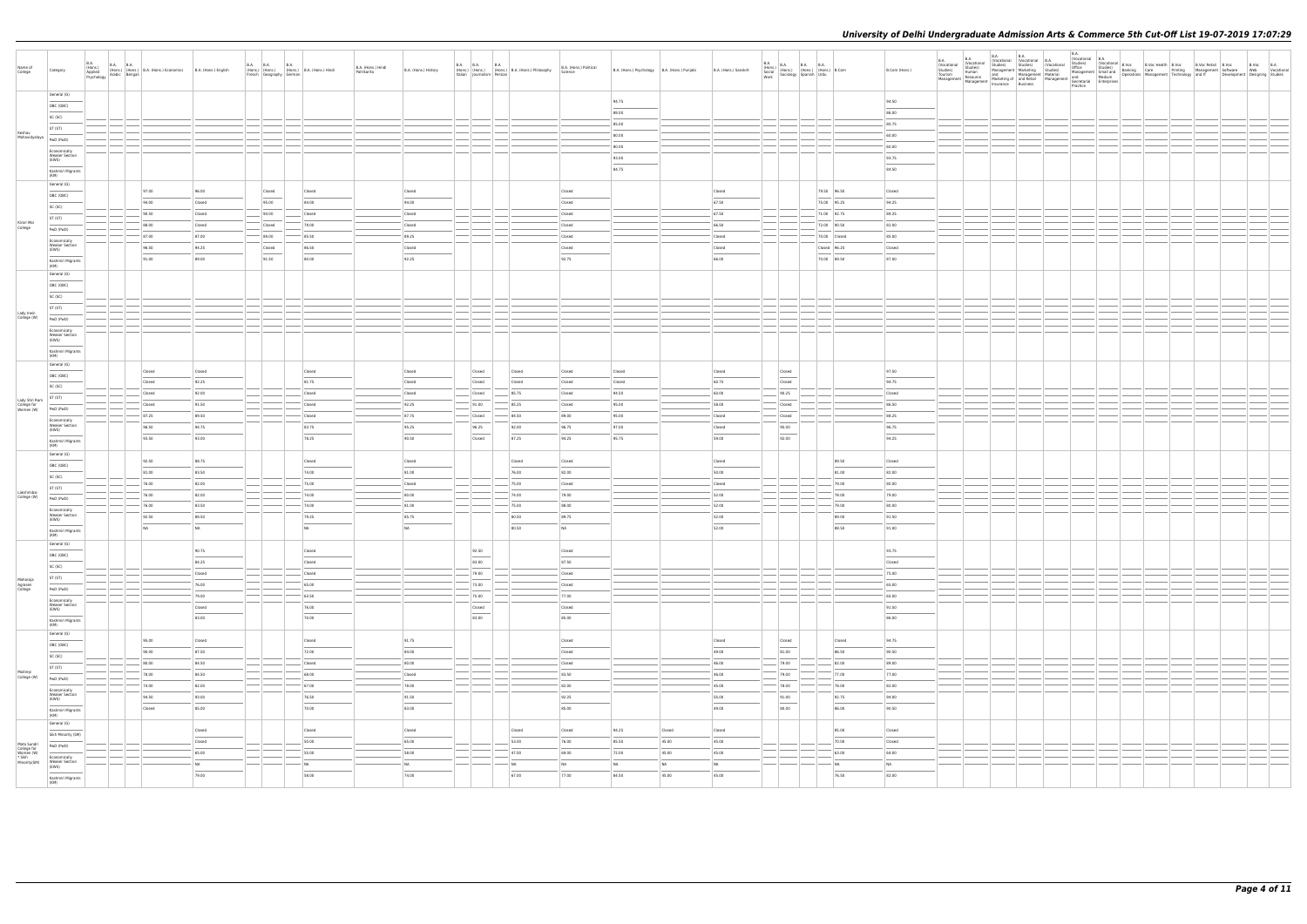| Name of                                                           |                                                                                                                                                                                                                                                                                                                                                                                                                                                                                                 | B.A.<br>(Hons.)<br>Applied |                                                                                                                               |                          | <b>B.A. B.A.</b> | <b>B.A.</b>             |                                            |                                   |                          |                                       |                                                     |                                                                                   |                                                                                                                                                                                                                                                                                                                                                                                                                                                                            |                                                |        |                       | $\begin{tabular}{ l l l } \hline B.A. & B.A. & B.A. & B.A. & B.A. \\ \hline (Hons.) & (Hons.) & (Hons.) & (Hons.) & B. Com & \\ Social & Sociology & Spanish & Urdu & \\ \hline \end{tabular}$ |              |               |  |  |  |  |  |  |                                                                                   |
|-------------------------------------------------------------------|-------------------------------------------------------------------------------------------------------------------------------------------------------------------------------------------------------------------------------------------------------------------------------------------------------------------------------------------------------------------------------------------------------------------------------------------------------------------------------------------------|----------------------------|-------------------------------------------------------------------------------------------------------------------------------|--------------------------|------------------|-------------------------|--------------------------------------------|-----------------------------------|--------------------------|---------------------------------------|-----------------------------------------------------|-----------------------------------------------------------------------------------|----------------------------------------------------------------------------------------------------------------------------------------------------------------------------------------------------------------------------------------------------------------------------------------------------------------------------------------------------------------------------------------------------------------------------------------------------------------------------|------------------------------------------------|--------|-----------------------|------------------------------------------------------------------------------------------------------------------------------------------------------------------------------------------------|--------------|---------------|--|--|--|--|--|--|-----------------------------------------------------------------------------------|
| College                                                           | Category                                                                                                                                                                                                                                                                                                                                                                                                                                                                                        |                            | (Hons.) (Hons.) (Hons.) B.A. (Hons.) Economics<br>Applied (Hons.) (Hons.) B.A. (Hons.) Economics<br>Psychology Arabic Bengali | B.A. (Hons.) English     |                  | French Geography German | (Hons.) (Hons.) (Hons.) B.A. (Hons.) Hindi | B.A. (Hons.) Hindi<br>Patrikarita | B.A. (Hons.) History     |                                       |                                                     | B.A. B.A. B.A. B.A. (Hons.) B.A. (Hons.) Philosophy<br>Italian Journalism Persian | B.A. (Hons.) Political<br>Science                                                                                                                                                                                                                                                                                                                                                                                                                                          | B.A. (Hons.) Psychology   B.A. (Hons.) Punjabi |        | B.A. (Hons.) Sanskrit |                                                                                                                                                                                                |              | B.Com (Hons.) |  |  |  |  |  |  | il B.Voc B.Voc B.A<br>nt Software Web Vocational<br>Development Designing Studies |
|                                                                   |                                                                                                                                                                                                                                                                                                                                                                                                                                                                                                 |                            |                                                                                                                               |                          |                  |                         |                                            |                                   |                          |                                       |                                                     |                                                                                   |                                                                                                                                                                                                                                                                                                                                                                                                                                                                            |                                                |        |                       |                                                                                                                                                                                                |              |               |  |  |  |  |  |  |                                                                                   |
|                                                                   |                                                                                                                                                                                                                                                                                                                                                                                                                                                                                                 |                            |                                                                                                                               |                          |                  |                         |                                            |                                   |                          |                                       |                                                     |                                                                                   |                                                                                                                                                                                                                                                                                                                                                                                                                                                                            |                                                |        |                       |                                                                                                                                                                                                |              |               |  |  |  |  |  |  |                                                                                   |
|                                                                   | General (G)                                                                                                                                                                                                                                                                                                                                                                                                                                                                                     |                            |                                                                                                                               |                          |                  |                         |                                            |                                   |                          |                                       |                                                     |                                                                                   |                                                                                                                                                                                                                                                                                                                                                                                                                                                                            |                                                |        |                       |                                                                                                                                                                                                |              |               |  |  |  |  |  |  |                                                                                   |
|                                                                   |                                                                                                                                                                                                                                                                                                                                                                                                                                                                                                 |                            |                                                                                                                               |                          |                  |                         |                                            |                                   |                          |                                       |                                                     |                                                                                   |                                                                                                                                                                                                                                                                                                                                                                                                                                                                            | 94.75                                          |        |                       |                                                                                                                                                                                                |              | 94.50         |  |  |  |  |  |  |                                                                                   |
|                                                                   | OBC (OBC)                                                                                                                                                                                                                                                                                                                                                                                                                                                                                       |                            |                                                                                                                               |                          |                  |                         |                                            |                                   |                          |                                       |                                                     |                                                                                   |                                                                                                                                                                                                                                                                                                                                                                                                                                                                            |                                                |        |                       |                                                                                                                                                                                                |              |               |  |  |  |  |  |  |                                                                                   |
|                                                                   | SC (SC)                                                                                                                                                                                                                                                                                                                                                                                                                                                                                         |                            |                                                                                                                               |                          |                  |                         |                                            |                                   |                          |                                       |                                                     |                                                                                   |                                                                                                                                                                                                                                                                                                                                                                                                                                                                            | 88.00                                          |        |                       |                                                                                                                                                                                                |              | 86.00         |  |  |  |  |  |  |                                                                                   |
|                                                                   |                                                                                                                                                                                                                                                                                                                                                                                                                                                                                                 |                            |                                                                                                                               |                          |                  |                         |                                            |                                   |                          |                                       |                                                     |                                                                                   |                                                                                                                                                                                                                                                                                                                                                                                                                                                                            | 85.00                                          |        |                       |                                                                                                                                                                                                |              | 80.75         |  |  |  |  |  |  |                                                                                   |
|                                                                   | ST (ST)                                                                                                                                                                                                                                                                                                                                                                                                                                                                                         |                            |                                                                                                                               |                          |                  |                         |                                            |                                   |                          |                                       |                                                     |                                                                                   |                                                                                                                                                                                                                                                                                                                                                                                                                                                                            |                                                |        |                       |                                                                                                                                                                                                |              |               |  |  |  |  |  |  |                                                                                   |
| Keshav                                                            |                                                                                                                                                                                                                                                                                                                                                                                                                                                                                                 |                            |                                                                                                                               |                          |                  |                         |                                            |                                   |                          |                                       |                                                     |                                                                                   |                                                                                                                                                                                                                                                                                                                                                                                                                                                                            | 80.00                                          |        |                       |                                                                                                                                                                                                |              | 60.00         |  |  |  |  |  |  |                                                                                   |
| Mahavidyalaya   PwD (PwD)                                         |                                                                                                                                                                                                                                                                                                                                                                                                                                                                                                 |                            |                                                                                                                               |                          |                  |                         |                                            |                                   |                          |                                       |                                                     |                                                                                   |                                                                                                                                                                                                                                                                                                                                                                                                                                                                            |                                                |        |                       |                                                                                                                                                                                                |              |               |  |  |  |  |  |  |                                                                                   |
|                                                                   |                                                                                                                                                                                                                                                                                                                                                                                                                                                                                                 |                            |                                                                                                                               |                          |                  |                         |                                            |                                   |                          | $\sim$                                |                                                     |                                                                                   |                                                                                                                                                                                                                                                                                                                                                                                                                                                                            | 80.00                                          |        |                       |                                                                                                                                                                                                |              | 60.00         |  |  |  |  |  |  |                                                                                   |
|                                                                   | Economically<br><b>Weaker Section</b>                                                                                                                                                                                                                                                                                                                                                                                                                                                           |                            |                                                                                                                               |                          |                  |                         |                                            |                                   |                          |                                       |                                                     |                                                                                   |                                                                                                                                                                                                                                                                                                                                                                                                                                                                            |                                                |        |                       |                                                                                                                                                                                                |              |               |  |  |  |  |  |  |                                                                                   |
|                                                                   | (EWS)                                                                                                                                                                                                                                                                                                                                                                                                                                                                                           |                            |                                                                                                                               |                          |                  |                         |                                            |                                   |                          |                                       |                                                     |                                                                                   |                                                                                                                                                                                                                                                                                                                                                                                                                                                                            | 93.00                                          |        |                       |                                                                                                                                                                                                |              | 93.75         |  |  |  |  |  |  |                                                                                   |
|                                                                   |                                                                                                                                                                                                                                                                                                                                                                                                                                                                                                 |                            |                                                                                                                               |                          |                  |                         |                                            |                                   |                          |                                       |                                                     |                                                                                   |                                                                                                                                                                                                                                                                                                                                                                                                                                                                            | 84.75                                          |        |                       |                                                                                                                                                                                                |              | 84.50         |  |  |  |  |  |  |                                                                                   |
|                                                                   | Kashmiri Migrants<br>(KM)                                                                                                                                                                                                                                                                                                                                                                                                                                                                       |                            |                                                                                                                               |                          |                  |                         |                                            |                                   |                          |                                       |                                                     |                                                                                   |                                                                                                                                                                                                                                                                                                                                                                                                                                                                            |                                                |        |                       |                                                                                                                                                                                                |              |               |  |  |  |  |  |  |                                                                                   |
|                                                                   |                                                                                                                                                                                                                                                                                                                                                                                                                                                                                                 |                            |                                                                                                                               |                          |                  |                         |                                            |                                   |                          |                                       |                                                     |                                                                                   |                                                                                                                                                                                                                                                                                                                                                                                                                                                                            |                                                |        |                       |                                                                                                                                                                                                |              |               |  |  |  |  |  |  |                                                                                   |
|                                                                   | General (G)                                                                                                                                                                                                                                                                                                                                                                                                                                                                                     |                            |                                                                                                                               |                          |                  |                         |                                            |                                   |                          |                                       |                                                     |                                                                                   |                                                                                                                                                                                                                                                                                                                                                                                                                                                                            |                                                |        |                       |                                                                                                                                                                                                |              |               |  |  |  |  |  |  |                                                                                   |
|                                                                   | OBC (OBC)                                                                                                                                                                                                                                                                                                                                                                                                                                                                                       |                            | 97.00                                                                                                                         | 96.00                    |                  | Closed                  | Closed                                     |                                   | Closed                   |                                       |                                                     |                                                                                   | Closed                                                                                                                                                                                                                                                                                                                                                                                                                                                                     |                                                |        | Closed                |                                                                                                                                                                                                | 79.50 96.50  | Closed        |  |  |  |  |  |  |                                                                                   |
|                                                                   |                                                                                                                                                                                                                                                                                                                                                                                                                                                                                                 |                            | 94.00                                                                                                                         | Closed                   |                  | 95.00                   | 84.00                                      |                                   | 94.00                    |                                       |                                                     |                                                                                   | Closed                                                                                                                                                                                                                                                                                                                                                                                                                                                                     |                                                |        | 67.50                 |                                                                                                                                                                                                | 75.00 95.25  | 94.25         |  |  |  |  |  |  |                                                                                   |
|                                                                   | SC (SC)                                                                                                                                                                                                                                                                                                                                                                                                                                                                                         |                            |                                                                                                                               |                          |                  |                         |                                            |                                   |                          |                                       |                                                     |                                                                                   |                                                                                                                                                                                                                                                                                                                                                                                                                                                                            |                                                |        |                       |                                                                                                                                                                                                |              |               |  |  |  |  |  |  |                                                                                   |
|                                                                   |                                                                                                                                                                                                                                                                                                                                                                                                                                                                                                 |                            | 90.50                                                                                                                         | Closed                   |                  | 94.00                   | Closed                                     |                                   | Closed                   |                                       |                                                     |                                                                                   | Closed                                                                                                                                                                                                                                                                                                                                                                                                                                                                     |                                                |        | 67.50                 |                                                                                                                                                                                                | 71.00 92.75  | 89.25         |  |  |  |  |  |  |                                                                                   |
| Kirori Mal                                                        | ST (ST)                                                                                                                                                                                                                                                                                                                                                                                                                                                                                         |                            |                                                                                                                               |                          |                  |                         |                                            |                                   |                          |                                       |                                                     |                                                                                   |                                                                                                                                                                                                                                                                                                                                                                                                                                                                            |                                                |        |                       |                                                                                                                                                                                                |              |               |  |  |  |  |  |  |                                                                                   |
| College                                                           | PwD (PwD)                                                                                                                                                                                                                                                                                                                                                                                                                                                                                       |                            | 88.00                                                                                                                         | Closed                   |                  | Closed                  | 79.00                                      |                                   | Closed                   |                                       |                                                     |                                                                                   | Closed                                                                                                                                                                                                                                                                                                                                                                                                                                                                     |                                                |        | 66.50                 |                                                                                                                                                                                                | 72.00 90.50  | 82.00         |  |  |  |  |  |  |                                                                                   |
|                                                                   |                                                                                                                                                                                                                                                                                                                                                                                                                                                                                                 |                            | 87.00                                                                                                                         | 87.00                    |                  | 89.00                   | 85.50                                      |                                   | 89.25                    |                                       |                                                     |                                                                                   | Closed                                                                                                                                                                                                                                                                                                                                                                                                                                                                     |                                                |        | Closed                |                                                                                                                                                                                                | 70.00 Closed | 85.00         |  |  |  |  |  |  |                                                                                   |
|                                                                   | Economically                                                                                                                                                                                                                                                                                                                                                                                                                                                                                    |                            |                                                                                                                               |                          |                  |                         |                                            |                                   |                          |                                       |                                                     |                                                                                   |                                                                                                                                                                                                                                                                                                                                                                                                                                                                            |                                                |        |                       |                                                                                                                                                                                                |              |               |  |  |  |  |  |  |                                                                                   |
|                                                                   | <b>Weaker Section</b><br>(EWS)                                                                                                                                                                                                                                                                                                                                                                                                                                                                  |                            | 96.50                                                                                                                         | 94.25                    |                  | Closed                  | 86.50                                      |                                   | Closed                   |                                       |                                                     |                                                                                   | Closed                                                                                                                                                                                                                                                                                                                                                                                                                                                                     |                                                |        | Closed                |                                                                                                                                                                                                | Closed 96.25 | Closed        |  |  |  |  |  |  |                                                                                   |
|                                                                   |                                                                                                                                                                                                                                                                                                                                                                                                                                                                                                 |                            | 91.00                                                                                                                         | 89.00                    |                  | 91.50                   | 80.00                                      |                                   | 92.25                    |                                       |                                                     |                                                                                   | 92.75                                                                                                                                                                                                                                                                                                                                                                                                                                                                      |                                                |        | 66.00                 |                                                                                                                                                                                                | 70.00 89.50  | 87.00         |  |  |  |  |  |  |                                                                                   |
|                                                                   | Kashmiri Migrants<br>(KM)                                                                                                                                                                                                                                                                                                                                                                                                                                                                       |                            |                                                                                                                               |                          |                  |                         |                                            |                                   |                          |                                       |                                                     |                                                                                   |                                                                                                                                                                                                                                                                                                                                                                                                                                                                            |                                                |        |                       |                                                                                                                                                                                                |              |               |  |  |  |  |  |  |                                                                                   |
|                                                                   |                                                                                                                                                                                                                                                                                                                                                                                                                                                                                                 |                            |                                                                                                                               |                          |                  |                         |                                            |                                   |                          |                                       |                                                     |                                                                                   |                                                                                                                                                                                                                                                                                                                                                                                                                                                                            |                                                |        |                       |                                                                                                                                                                                                |              |               |  |  |  |  |  |  |                                                                                   |
|                                                                   | General (G)                                                                                                                                                                                                                                                                                                                                                                                                                                                                                     |                            |                                                                                                                               |                          |                  |                         |                                            |                                   |                          |                                       |                                                     |                                                                                   |                                                                                                                                                                                                                                                                                                                                                                                                                                                                            |                                                |        |                       |                                                                                                                                                                                                |              |               |  |  |  |  |  |  |                                                                                   |
|                                                                   |                                                                                                                                                                                                                                                                                                                                                                                                                                                                                                 |                            |                                                                                                                               |                          |                  |                         |                                            |                                   |                          |                                       |                                                     |                                                                                   |                                                                                                                                                                                                                                                                                                                                                                                                                                                                            |                                                |        |                       |                                                                                                                                                                                                |              |               |  |  |  |  |  |  |                                                                                   |
|                                                                   | OBC (OBC)                                                                                                                                                                                                                                                                                                                                                                                                                                                                                       |                            |                                                                                                                               |                          |                  |                         |                                            |                                   |                          |                                       |                                                     |                                                                                   |                                                                                                                                                                                                                                                                                                                                                                                                                                                                            |                                                |        |                       |                                                                                                                                                                                                |              |               |  |  |  |  |  |  |                                                                                   |
|                                                                   | SC (SC)                                                                                                                                                                                                                                                                                                                                                                                                                                                                                         |                            |                                                                                                                               |                          |                  |                         |                                            |                                   |                          |                                       |                                                     |                                                                                   |                                                                                                                                                                                                                                                                                                                                                                                                                                                                            |                                                |        |                       |                                                                                                                                                                                                |              |               |  |  |  |  |  |  |                                                                                   |
|                                                                   |                                                                                                                                                                                                                                                                                                                                                                                                                                                                                                 |                            |                                                                                                                               |                          |                  |                         |                                            |                                   |                          |                                       |                                                     |                                                                                   |                                                                                                                                                                                                                                                                                                                                                                                                                                                                            |                                                |        |                       |                                                                                                                                                                                                |              |               |  |  |  |  |  |  |                                                                                   |
|                                                                   | ST (ST)                                                                                                                                                                                                                                                                                                                                                                                                                                                                                         |                            |                                                                                                                               |                          |                  |                         |                                            |                                   |                          |                                       |                                                     |                                                                                   |                                                                                                                                                                                                                                                                                                                                                                                                                                                                            |                                                |        |                       |                                                                                                                                                                                                |              |               |  |  |  |  |  |  |                                                                                   |
| Lady Irwin<br>College (W)                                         |                                                                                                                                                                                                                                                                                                                                                                                                                                                                                                 |                            |                                                                                                                               |                          |                  |                         |                                            |                                   |                          |                                       |                                                     |                                                                                   |                                                                                                                                                                                                                                                                                                                                                                                                                                                                            |                                                |        |                       |                                                                                                                                                                                                |              |               |  |  |  |  |  |  |                                                                                   |
|                                                                   | PwD (PwD)                                                                                                                                                                                                                                                                                                                                                                                                                                                                                       |                            |                                                                                                                               |                          |                  |                         |                                            |                                   |                          |                                       |                                                     |                                                                                   |                                                                                                                                                                                                                                                                                                                                                                                                                                                                            |                                                |        |                       |                                                                                                                                                                                                |              |               |  |  |  |  |  |  |                                                                                   |
|                                                                   | Economically                                                                                                                                                                                                                                                                                                                                                                                                                                                                                    |                            |                                                                                                                               |                          |                  |                         |                                            |                                   |                          |                                       |                                                     |                                                                                   |                                                                                                                                                                                                                                                                                                                                                                                                                                                                            |                                                |        |                       |                                                                                                                                                                                                |              |               |  |  |  |  |  |  |                                                                                   |
|                                                                   | <b>Weaker Section</b>                                                                                                                                                                                                                                                                                                                                                                                                                                                                           |                            |                                                                                                                               |                          |                  |                         |                                            |                                   |                          |                                       |                                                     |                                                                                   |                                                                                                                                                                                                                                                                                                                                                                                                                                                                            |                                                |        |                       |                                                                                                                                                                                                |              |               |  |  |  |  |  |  |                                                                                   |
|                                                                   | (EWS)                                                                                                                                                                                                                                                                                                                                                                                                                                                                                           |                            |                                                                                                                               |                          |                  |                         |                                            |                                   |                          |                                       |                                                     |                                                                                   |                                                                                                                                                                                                                                                                                                                                                                                                                                                                            |                                                |        |                       |                                                                                                                                                                                                |              |               |  |  |  |  |  |  |                                                                                   |
|                                                                   | $\frac{1}{2} \left( \frac{1}{2} \right) \left( \frac{1}{2} \right) \left( \frac{1}{2} \right) \left( \frac{1}{2} \right) \left( \frac{1}{2} \right) \left( \frac{1}{2} \right) \left( \frac{1}{2} \right) \left( \frac{1}{2} \right) \left( \frac{1}{2} \right) \left( \frac{1}{2} \right) \left( \frac{1}{2} \right) \left( \frac{1}{2} \right) \left( \frac{1}{2} \right) \left( \frac{1}{2} \right) \left( \frac{1}{2} \right) \left( \frac{1}{2} \right) \left( \frac$<br>Kashmiri Migrants |                            |                                                                                                                               |                          |                  |                         |                                            |                                   |                          |                                       |                                                     |                                                                                   |                                                                                                                                                                                                                                                                                                                                                                                                                                                                            |                                                |        |                       |                                                                                                                                                                                                |              |               |  |  |  |  |  |  |                                                                                   |
|                                                                   | (KM)                                                                                                                                                                                                                                                                                                                                                                                                                                                                                            |                            |                                                                                                                               |                          |                  |                         |                                            |                                   |                          |                                       |                                                     |                                                                                   |                                                                                                                                                                                                                                                                                                                                                                                                                                                                            |                                                |        |                       |                                                                                                                                                                                                |              |               |  |  |  |  |  |  |                                                                                   |
|                                                                   | General (G)                                                                                                                                                                                                                                                                                                                                                                                                                                                                                     |                            |                                                                                                                               |                          |                  |                         |                                            |                                   |                          |                                       |                                                     |                                                                                   |                                                                                                                                                                                                                                                                                                                                                                                                                                                                            |                                                |        |                       |                                                                                                                                                                                                |              |               |  |  |  |  |  |  |                                                                                   |
|                                                                   |                                                                                                                                                                                                                                                                                                                                                                                                                                                                                                 |                            | Closed                                                                                                                        | Closed                   |                  |                         | Closed                                     |                                   | Closed                   |                                       | Closed                                              | Closed                                                                            | Closed                                                                                                                                                                                                                                                                                                                                                                                                                                                                     | Closed                                         |        | Closed                | Closed                                                                                                                                                                                         |              | 97.50         |  |  |  |  |  |  |                                                                                   |
|                                                                   | OBC (OBC)                                                                                                                                                                                                                                                                                                                                                                                                                                                                                       |                            |                                                                                                                               |                          |                  |                         |                                            |                                   |                          |                                       | $\frac{1}{2}$                                       |                                                                                   |                                                                                                                                                                                                                                                                                                                                                                                                                                                                            |                                                |        |                       |                                                                                                                                                                                                |              |               |  |  |  |  |  |  |                                                                                   |
|                                                                   |                                                                                                                                                                                                                                                                                                                                                                                                                                                                                                 |                            | Closed                                                                                                                        | 92.25                    |                  |                         | 81.75                                      |                                   | Closed                   |                                       | Closed                                              | Closed                                                                            | Closed                                                                                                                                                                                                                                                                                                                                                                                                                                                                     | Closed                                         |        | 60.75                 | Closed                                                                                                                                                                                         |              | 94.75         |  |  |  |  |  |  |                                                                                   |
|                                                                   | SC (SC)                                                                                                                                                                                                                                                                                                                                                                                                                                                                                         |                            |                                                                                                                               |                          |                  |                         |                                            |                                   |                          |                                       |                                                     |                                                                                   |                                                                                                                                                                                                                                                                                                                                                                                                                                                                            |                                                |        |                       |                                                                                                                                                                                                |              |               |  |  |  |  |  |  |                                                                                   |
|                                                                   | ST (ST)                                                                                                                                                                                                                                                                                                                                                                                                                                                                                         |                            | Closed                                                                                                                        | 92.00                    |                  |                         | Closed                                     |                                   | Closed                   |                                       | Closed                                              | 85.75                                                                             | Closed                                                                                                                                                                                                                                                                                                                                                                                                                                                                     | 94.50                                          |        | 60.00                 | 90.25                                                                                                                                                                                          |              | Closed        |  |  |  |  |  |  |                                                                                   |
| Lady Shri Ram<br>College for<br>Women (W) PWD (PWD)               |                                                                                                                                                                                                                                                                                                                                                                                                                                                                                                 |                            | Closed                                                                                                                        | 91.50                    |                  |                         | Closed                                     |                                   | 92.25                    |                                       | 91.00                                               | 85.25                                                                             | Closed                                                                                                                                                                                                                                                                                                                                                                                                                                                                     | 95.00                                          |        | 58.00                 | Closed                                                                                                                                                                                         |              | 86.50         |  |  |  |  |  |  |                                                                                   |
|                                                                   |                                                                                                                                                                                                                                                                                                                                                                                                                                                                                                 |                            |                                                                                                                               |                          |                  |                         |                                            |                                   |                          |                                       |                                                     |                                                                                   |                                                                                                                                                                                                                                                                                                                                                                                                                                                                            |                                                |        |                       |                                                                                                                                                                                                |              |               |  |  |  |  |  |  |                                                                                   |
|                                                                   |                                                                                                                                                                                                                                                                                                                                                                                                                                                                                                 |                            | 87.25                                                                                                                         | 89.50                    |                  |                         | Closed                                     |                                   | 87.75                    |                                       | Closed                                              | 84.50                                                                             | 89.00                                                                                                                                                                                                                                                                                                                                                                                                                                                                      | 95.00                                          |        | Closed                | Closed                                                                                                                                                                                         |              | 88.25         |  |  |  |  |  |  |                                                                                   |
|                                                                   | Economically<br><b>Weaker Section</b>                                                                                                                                                                                                                                                                                                                                                                                                                                                           |                            |                                                                                                                               |                          |                  |                         |                                            |                                   |                          |                                       |                                                     |                                                                                   |                                                                                                                                                                                                                                                                                                                                                                                                                                                                            |                                                |        |                       |                                                                                                                                                                                                |              |               |  |  |  |  |  |  |                                                                                   |
|                                                                   | (EWS)                                                                                                                                                                                                                                                                                                                                                                                                                                                                                           |                            | 96.50                                                                                                                         | 94.75                    |                  |                         | 83.75                                      |                                   | 95.25                    |                                       | 96.25                                               | 92.00                                                                             | 96.75                                                                                                                                                                                                                                                                                                                                                                                                                                                                      | 97.00                                          |        | Closed                | 95.00                                                                                                                                                                                          |              | 96.75         |  |  |  |  |  |  |                                                                                   |
|                                                                   |                                                                                                                                                                                                                                                                                                                                                                                                                                                                                                 |                            | 93.50                                                                                                                         | 93.00                    |                  |                         | 78.25                                      |                                   | 90.50                    |                                       | Closed                                              | 87.25                                                                             | 94.25                                                                                                                                                                                                                                                                                                                                                                                                                                                                      | 95.75                                          |        | 59.00                 | 92.00                                                                                                                                                                                          |              | 94.25         |  |  |  |  |  |  |                                                                                   |
|                                                                   | Kashmiri Migrants<br>(KM)                                                                                                                                                                                                                                                                                                                                                                                                                                                                       |                            |                                                                                                                               |                          |                  |                         |                                            |                                   |                          |                                       |                                                     |                                                                                   |                                                                                                                                                                                                                                                                                                                                                                                                                                                                            |                                                |        |                       |                                                                                                                                                                                                |              |               |  |  |  |  |  |  |                                                                                   |
|                                                                   |                                                                                                                                                                                                                                                                                                                                                                                                                                                                                                 |                            |                                                                                                                               |                          |                  |                         |                                            |                                   |                          |                                       |                                                     |                                                                                   |                                                                                                                                                                                                                                                                                                                                                                                                                                                                            |                                                |        |                       |                                                                                                                                                                                                |              |               |  |  |  |  |  |  |                                                                                   |
|                                                                   | General (G)                                                                                                                                                                                                                                                                                                                                                                                                                                                                                     |                            |                                                                                                                               |                          |                  |                         |                                            |                                   |                          |                                       |                                                     |                                                                                   |                                                                                                                                                                                                                                                                                                                                                                                                                                                                            |                                                |        |                       |                                                                                                                                                                                                |              |               |  |  |  |  |  |  |                                                                                   |
|                                                                   | OBC (OBC)                                                                                                                                                                                                                                                                                                                                                                                                                                                                                       |                            | 92.50                                                                                                                         | 88.75                    |                  |                         | Closed                                     |                                   | Closed                   |                                       |                                                     | Closed                                                                            | Closed                                                                                                                                                                                                                                                                                                                                                                                                                                                                     |                                                |        | Closed                |                                                                                                                                                                                                | 89.50        | Closed        |  |  |  |  |  |  |                                                                                   |
|                                                                   |                                                                                                                                                                                                                                                                                                                                                                                                                                                                                                 |                            | 81.00                                                                                                                         | 83.50                    |                  |                         | 74.00                                      |                                   | 81.00                    |                                       |                                                     | 76.00                                                                             | 82.00                                                                                                                                                                                                                                                                                                                                                                                                                                                                      |                                                |        | 50.00                 |                                                                                                                                                                                                | 81.00        | 82.00         |  |  |  |  |  |  |                                                                                   |
|                                                                   | SC (SC)                                                                                                                                                                                                                                                                                                                                                                                                                                                                                         |                            |                                                                                                                               |                          |                  |                         |                                            |                                   |                          |                                       |                                                     |                                                                                   |                                                                                                                                                                                                                                                                                                                                                                                                                                                                            |                                                |        |                       |                                                                                                                                                                                                |              |               |  |  |  |  |  |  |                                                                                   |
|                                                                   |                                                                                                                                                                                                                                                                                                                                                                                                                                                                                                 |                            | 76.00                                                                                                                         | 82.00                    |                  |                         | $- 75.00$                                  |                                   | Closed                   |                                       |                                                     | 75.00                                                                             | Closed                                                                                                                                                                                                                                                                                                                                                                                                                                                                     |                                                |        | Closed                |                                                                                                                                                                                                | 79.00        | 80.00         |  |  |  |  |  |  |                                                                                   |
| Lakshmibai                                                        | ST (ST)                                                                                                                                                                                                                                                                                                                                                                                                                                                                                         |                            |                                                                                                                               |                          |                  |                         |                                            |                                   |                          |                                       |                                                     |                                                                                   |                                                                                                                                                                                                                                                                                                                                                                                                                                                                            |                                                |        |                       |                                                                                                                                                                                                |              |               |  |  |  |  |  |  |                                                                                   |
| College (W)                                                       | PwD (PwD)                                                                                                                                                                                                                                                                                                                                                                                                                                                                                       |                            | 76.00                                                                                                                         | 82.00                    |                  |                         | 74.00                                      |                                   | 80.00                    |                                       |                                                     | 74.00                                                                             | 79.00                                                                                                                                                                                                                                                                                                                                                                                                                                                                      |                                                |        | 52.00                 |                                                                                                                                                                                                | 78.00        | 79.00         |  |  |  |  |  |  |                                                                                   |
|                                                                   |                                                                                                                                                                                                                                                                                                                                                                                                                                                                                                 |                            | 76.00                                                                                                                         | 83.50                    |                  |                         | 74.00                                      |                                   | 81.00                    |                                       |                                                     | 75.00                                                                             | 88.00                                                                                                                                                                                                                                                                                                                                                                                                                                                                      |                                                |        | 52.00                 |                                                                                                                                                                                                | 79.00        | 80.00         |  |  |  |  |  |  |                                                                                   |
|                                                                   | Economically                                                                                                                                                                                                                                                                                                                                                                                                                                                                                    |                            |                                                                                                                               |                          |                  |                         |                                            |                                   |                          |                                       |                                                     |                                                                                   |                                                                                                                                                                                                                                                                                                                                                                                                                                                                            |                                                |        |                       |                                                                                                                                                                                                |              |               |  |  |  |  |  |  |                                                                                   |
|                                                                   | <b>Weaker Section</b><br>(EWS)                                                                                                                                                                                                                                                                                                                                                                                                                                                                  |                            | 92.50                                                                                                                         | 88.50                    |                  |                         | 79.25                                      |                                   | 85.75                    |                                       |                                                     | 80.50                                                                             | 89.75                                                                                                                                                                                                                                                                                                                                                                                                                                                                      |                                                |        | 52.00                 |                                                                                                                                                                                                | 89.00        | 91.50         |  |  |  |  |  |  |                                                                                   |
|                                                                   |                                                                                                                                                                                                                                                                                                                                                                                                                                                                                                 |                            |                                                                                                                               |                          |                  |                         |                                            |                                   |                          |                                       |                                                     |                                                                                   |                                                                                                                                                                                                                                                                                                                                                                                                                                                                            |                                                |        |                       |                                                                                                                                                                                                |              |               |  |  |  |  |  |  |                                                                                   |
|                                                                   | Kashmiri Migrants                                                                                                                                                                                                                                                                                                                                                                                                                                                                               |                            | NA                                                                                                                            | NA                       |                  |                         | NA                                         |                                   | NA                       |                                       |                                                     | 80.50                                                                             | NA                                                                                                                                                                                                                                                                                                                                                                                                                                                                         |                                                |        | 52.00                 |                                                                                                                                                                                                | 88.50        | 91.00         |  |  |  |  |  |  |                                                                                   |
|                                                                   | (KM)                                                                                                                                                                                                                                                                                                                                                                                                                                                                                            |                            |                                                                                                                               |                          |                  |                         |                                            |                                   |                          |                                       |                                                     |                                                                                   |                                                                                                                                                                                                                                                                                                                                                                                                                                                                            |                                                |        |                       |                                                                                                                                                                                                |              |               |  |  |  |  |  |  |                                                                                   |
|                                                                   | General (G)                                                                                                                                                                                                                                                                                                                                                                                                                                                                                     |                            |                                                                                                                               |                          |                  |                         |                                            |                                   |                          |                                       |                                                     |                                                                                   |                                                                                                                                                                                                                                                                                                                                                                                                                                                                            |                                                |        |                       |                                                                                                                                                                                                |              |               |  |  |  |  |  |  |                                                                                   |
|                                                                   | OBC (OBC)                                                                                                                                                                                                                                                                                                                                                                                                                                                                                       |                            |                                                                                                                               | 90.75                    |                  |                         | Closed                                     |                                   |                          |                                       | 92.50                                               |                                                                                   | Closed                                                                                                                                                                                                                                                                                                                                                                                                                                                                     |                                                |        |                       |                                                                                                                                                                                                |              | 93.75         |  |  |  |  |  |  |                                                                                   |
|                                                                   |                                                                                                                                                                                                                                                                                                                                                                                                                                                                                                 |                            |                                                                                                                               | 84.25                    |                  |                         | Closed                                     |                                   |                          |                                       | $\sim$<br>83.00                                     |                                                                                   | 87.50                                                                                                                                                                                                                                                                                                                                                                                                                                                                      |                                                |        |                       |                                                                                                                                                                                                |              | Closed        |  |  |  |  |  |  |                                                                                   |
|                                                                   | SC (SC)                                                                                                                                                                                                                                                                                                                                                                                                                                                                                         |                            |                                                                                                                               |                          |                  |                         |                                            |                                   |                          |                                       |                                                     |                                                                                   |                                                                                                                                                                                                                                                                                                                                                                                                                                                                            |                                                |        |                       |                                                                                                                                                                                                |              |               |  |  |  |  |  |  |                                                                                   |
|                                                                   |                                                                                                                                                                                                                                                                                                                                                                                                                                                                                                 |                            |                                                                                                                               | Closed                   |                  |                         | Closed                                     |                                   |                          |                                       | 79.00                                               |                                                                                   | Closed                                                                                                                                                                                                                                                                                                                                                                                                                                                                     |                                                |        |                       |                                                                                                                                                                                                |              | 75.00         |  |  |  |  |  |  |                                                                                   |
|                                                                   | ST (ST)                                                                                                                                                                                                                                                                                                                                                                                                                                                                                         |                            |                                                                                                                               |                          |                  |                         |                                            |                                   |                          |                                       |                                                     |                                                                                   |                                                                                                                                                                                                                                                                                                                                                                                                                                                                            |                                                |        |                       | <u>  —   — —   — —   -</u>                                                                                                                                                                     |              |               |  |  |  |  |  |  |                                                                                   |
| Maharaja<br>Agrasen<br>College                                    | PwD (PwD)                                                                                                                                                                                                                                                                                                                                                                                                                                                                                       |                            |                                                                                                                               | 76.00                    |                  |                         | 65.00                                      |                                   |                          |                                       | 73.00                                               |                                                                                   | Closed                                                                                                                                                                                                                                                                                                                                                                                                                                                                     |                                                |        |                       |                                                                                                                                                                                                |              | 65.00         |  |  |  |  |  |  |                                                                                   |
|                                                                   |                                                                                                                                                                                                                                                                                                                                                                                                                                                                                                 |                            |                                                                                                                               | 79.00                    |                  |                         | 63.50                                      |                                   |                          |                                       | 75.00                                               |                                                                                   | 77.00                                                                                                                                                                                                                                                                                                                                                                                                                                                                      |                                                |        |                       |                                                                                                                                                                                                |              | 65.00         |  |  |  |  |  |  |                                                                                   |
|                                                                   | Economically                                                                                                                                                                                                                                                                                                                                                                                                                                                                                    |                            |                                                                                                                               |                          |                  |                         |                                            |                                   |                          |                                       |                                                     |                                                                                   |                                                                                                                                                                                                                                                                                                                                                                                                                                                                            |                                                |        |                       |                                                                                                                                                                                                |              |               |  |  |  |  |  |  |                                                                                   |
|                                                                   | <b>Weaker Section</b><br>(EWS)                                                                                                                                                                                                                                                                                                                                                                                                                                                                  |                            |                                                                                                                               | Closed                   |                  |                         | 76.00                                      |                                   |                          |                                       | Closed                                              |                                                                                   | Closed                                                                                                                                                                                                                                                                                                                                                                                                                                                                     |                                                |        |                       |                                                                                                                                                                                                |              | 91.50         |  |  |  |  |  |  |                                                                                   |
|                                                                   |                                                                                                                                                                                                                                                                                                                                                                                                                                                                                                 |                            |                                                                                                                               |                          |                  |                         |                                            |                                   |                          |                                       | <b>Contract Contract Contract Contract</b><br>83.00 |                                                                                   | $\sim$                                                                                                                                                                                                                                                                                                                                                                                                                                                                     |                                                |        |                       |                                                                                                                                                                                                |              |               |  |  |  |  |  |  |                                                                                   |
|                                                                   | Kashmiri Migrants<br>(KM)                                                                                                                                                                                                                                                                                                                                                                                                                                                                       |                            |                                                                                                                               | 83.00                    |                  |                         | 70.00                                      |                                   |                          |                                       |                                                     |                                                                                   | 85.00                                                                                                                                                                                                                                                                                                                                                                                                                                                                      |                                                |        |                       |                                                                                                                                                                                                |              | 86.00         |  |  |  |  |  |  |                                                                                   |
|                                                                   |                                                                                                                                                                                                                                                                                                                                                                                                                                                                                                 |                            |                                                                                                                               |                          |                  |                         |                                            |                                   |                          |                                       |                                                     |                                                                                   |                                                                                                                                                                                                                                                                                                                                                                                                                                                                            |                                                |        |                       |                                                                                                                                                                                                |              |               |  |  |  |  |  |  |                                                                                   |
|                                                                   | General (G)                                                                                                                                                                                                                                                                                                                                                                                                                                                                                     |                            |                                                                                                                               |                          |                  |                         |                                            |                                   |                          |                                       |                                                     |                                                                                   |                                                                                                                                                                                                                                                                                                                                                                                                                                                                            |                                                |        |                       |                                                                                                                                                                                                |              |               |  |  |  |  |  |  |                                                                                   |
|                                                                   | OBC (OBC)                                                                                                                                                                                                                                                                                                                                                                                                                                                                                       |                            | 95.00                                                                                                                         | Closed                   |                  |                         | Closed                                     |                                   | 91.75                    |                                       |                                                     |                                                                                   | Closed                                                                                                                                                                                                                                                                                                                                                                                                                                                                     |                                                |        | Closed                | Closed                                                                                                                                                                                         | Closed       | 94.75         |  |  |  |  |  |  |                                                                                   |
|                                                                   |                                                                                                                                                                                                                                                                                                                                                                                                                                                                                                 |                            | 90.00                                                                                                                         | 87.50                    |                  |                         | 72.00                                      |                                   | 84.00                    |                                       |                                                     |                                                                                   | $\overline{\phantom{a}}$<br>Closed                                                                                                                                                                                                                                                                                                                                                                                                                                         |                                                |        | 49.00                 | 81.00                                                                                                                                                                                          | 86.50        | 90.50         |  |  |  |  |  |  |                                                                                   |
|                                                                   | SC (SC)                                                                                                                                                                                                                                                                                                                                                                                                                                                                                         |                            |                                                                                                                               |                          |                  |                         |                                            |                                   |                          |                                       |                                                     |                                                                                   |                                                                                                                                                                                                                                                                                                                                                                                                                                                                            |                                                |        |                       |                                                                                                                                                                                                |              |               |  |  |  |  |  |  |                                                                                   |
|                                                                   |                                                                                                                                                                                                                                                                                                                                                                                                                                                                                                 |                            | 80.00                                                                                                                         | 84.50                    |                  |                         | Closed                                     |                                   | 80.00                    | $\frac{1}{2}$                         |                                                     |                                                                                   | Closed                                                                                                                                                                                                                                                                                                                                                                                                                                                                     |                                                |        | 46.00                 | 79.00                                                                                                                                                                                          | 82.00        | 89.00         |  |  |  |  |  |  |                                                                                   |
| Maitreyi                                                          | ST (ST)                                                                                                                                                                                                                                                                                                                                                                                                                                                                                         |                            |                                                                                                                               |                          |                  |                         |                                            |                                   |                          | $\overline{\phantom{a}}$              |                                                     |                                                                                   |                                                                                                                                                                                                                                                                                                                                                                                                                                                                            |                                                |        |                       |                                                                                                                                                                                                |              |               |  |  |  |  |  |  |                                                                                   |
| College (W)                                                       | PwD (PwD)                                                                                                                                                                                                                                                                                                                                                                                                                                                                                       |                            | 78.00                                                                                                                         | 84.50                    |                  |                         | 68.00                                      |                                   | Closed                   |                                       |                                                     |                                                                                   | 83.50                                                                                                                                                                                                                                                                                                                                                                                                                                                                      |                                                |        | 46.00                 | 79.00                                                                                                                                                                                          | 77.00        | 77.00         |  |  |  |  |  |  |                                                                                   |
|                                                                   |                                                                                                                                                                                                                                                                                                                                                                                                                                                                                                 |                            |                                                                                                                               | 82.00                    |                  |                         |                                            |                                   | 78.00                    | $\left  \rule{0.2cm}{0.15mm} \right $ |                                                     |                                                                                   | 82.00                                                                                                                                                                                                                                                                                                                                                                                                                                                                      |                                                |        |                       |                                                                                                                                                                                                | 78.00        | 82.00         |  |  |  |  |  |  |                                                                                   |
|                                                                   | Economically                                                                                                                                                                                                                                                                                                                                                                                                                                                                                    |                            | 74.00                                                                                                                         |                          |                  |                         | 67.00                                      |                                   |                          |                                       |                                                     |                                                                                   |                                                                                                                                                                                                                                                                                                                                                                                                                                                                            |                                                |        | 45.00                 | $- 78.00$                                                                                                                                                                                      |              |               |  |  |  |  |  |  |                                                                                   |
|                                                                   | <b>Weaker Section</b>                                                                                                                                                                                                                                                                                                                                                                                                                                                                           |                            | 94.50                                                                                                                         | 93.00                    |                  |                         | 76.50                                      |                                   | 91.50                    |                                       |                                                     |                                                                                   | 92.25                                                                                                                                                                                                                                                                                                                                                                                                                                                                      |                                                |        | 55.00                 | 91.00                                                                                                                                                                                          | 92.75        | 94.00         |  |  |  |  |  |  |                                                                                   |
|                                                                   | (EWS)<br>$\frac{1}{2}$                                                                                                                                                                                                                                                                                                                                                                                                                                                                          |                            |                                                                                                                               |                          |                  |                         |                                            |                                   | $\overline{\phantom{a}}$ |                                       |                                                     |                                                                                   | $\frac{1}{2} \left( \frac{1}{2} \right) \left( \frac{1}{2} \right) \left( \frac{1}{2} \right) \left( \frac{1}{2} \right) \left( \frac{1}{2} \right) \left( \frac{1}{2} \right) \left( \frac{1}{2} \right) \left( \frac{1}{2} \right) \left( \frac{1}{2} \right) \left( \frac{1}{2} \right) \left( \frac{1}{2} \right) \left( \frac{1}{2} \right) \left( \frac{1}{2} \right) \left( \frac{1}{2} \right) \left( \frac{1}{2} \right) \left( \frac{1}{2} \right) \left( \frac$ |                                                |        |                       | $\overline{\phantom{a}}$                                                                                                                                                                       |              |               |  |  |  |  |  |  |                                                                                   |
|                                                                   |                                                                                                                                                                                                                                                                                                                                                                                                                                                                                                 |                            | Closed                                                                                                                        | 85.00                    |                  |                         | 70.00                                      |                                   | 83.00                    |                                       |                                                     |                                                                                   | 85.00                                                                                                                                                                                                                                                                                                                                                                                                                                                                      |                                                |        | 49.00                 | 80.00                                                                                                                                                                                          | 86.00        | 90.50         |  |  |  |  |  |  |                                                                                   |
|                                                                   | Kashmiri Migrants<br>(KM)                                                                                                                                                                                                                                                                                                                                                                                                                                                                       |                            |                                                                                                                               |                          |                  |                         |                                            |                                   |                          |                                       |                                                     |                                                                                   |                                                                                                                                                                                                                                                                                                                                                                                                                                                                            |                                                |        |                       |                                                                                                                                                                                                |              |               |  |  |  |  |  |  |                                                                                   |
|                                                                   | General (G)                                                                                                                                                                                                                                                                                                                                                                                                                                                                                     |                            |                                                                                                                               |                          |                  |                         |                                            |                                   |                          |                                       |                                                     |                                                                                   |                                                                                                                                                                                                                                                                                                                                                                                                                                                                            |                                                |        |                       |                                                                                                                                                                                                |              |               |  |  |  |  |  |  |                                                                                   |
|                                                                   |                                                                                                                                                                                                                                                                                                                                                                                                                                                                                                 |                            |                                                                                                                               | Closed                   |                  |                         | Closed                                     |                                   | Closed                   |                                       |                                                     | Closed                                                                            | Closed                                                                                                                                                                                                                                                                                                                                                                                                                                                                     | 94.25                                          | Closed | Closed                |                                                                                                                                                                                                | 85.00        | Closed        |  |  |  |  |  |  |                                                                                   |
|                                                                   | Sikh Minority (SM)                                                                                                                                                                                                                                                                                                                                                                                                                                                                              |                            |                                                                                                                               |                          |                  |                         |                                            |                                   |                          |                                       |                                                     |                                                                                   |                                                                                                                                                                                                                                                                                                                                                                                                                                                                            |                                                |        |                       |                                                                                                                                                                                                |              |               |  |  |  |  |  |  |                                                                                   |
|                                                                   |                                                                                                                                                                                                                                                                                                                                                                                                                                                                                                 |                            |                                                                                                                               | Closed                   |                  |                         | 50.00                                      |                                   | 65.00                    |                                       |                                                     | 53.00                                                                             | 76.00                                                                                                                                                                                                                                                                                                                                                                                                                                                                      | 85.50                                          | 45.00  | 45.00                 |                                                                                                                                                                                                | 70.00        | Closed        |  |  |  |  |  |  |                                                                                   |
|                                                                   | PwD (PwD)                                                                                                                                                                                                                                                                                                                                                                                                                                                                                       |                            |                                                                                                                               |                          |                  |                         |                                            |                                   |                          |                                       |                                                     |                                                                                   |                                                                                                                                                                                                                                                                                                                                                                                                                                                                            |                                                |        |                       |                                                                                                                                                                                                |              |               |  |  |  |  |  |  |                                                                                   |
| Mata Sundri<br>College for<br>Women (W)<br>* Sikh<br>Minority(SM) |                                                                                                                                                                                                                                                                                                                                                                                                                                                                                                 |                            |                                                                                                                               | 65.00                    |                  |                         | 55.00                                      |                                   | 58.00                    |                                       |                                                     | 47.00                                                                             | 69.00                                                                                                                                                                                                                                                                                                                                                                                                                                                                      | 72.00                                          | 45.00  | 45.00                 |                                                                                                                                                                                                | 63.00        | 64.00         |  |  |  |  |  |  |                                                                                   |
|                                                                   | Economically<br>Weaker Section<br>(EWS)                                                                                                                                                                                                                                                                                                                                                                                                                                                         |                            |                                                                                                                               | NA                       |                  |                         | NA                                         |                                   | NA                       |                                       |                                                     | NA                                                                                | NA                                                                                                                                                                                                                                                                                                                                                                                                                                                                         | NA                                             | NA     | NA                    |                                                                                                                                                                                                | NA           | NA            |  |  |  |  |  |  |                                                                                   |
|                                                                   |                                                                                                                                                                                                                                                                                                                                                                                                                                                                                                 |                            |                                                                                                                               | $\overline{\phantom{a}}$ |                  |                         |                                            |                                   | $\overline{\phantom{a}}$ |                                       |                                                     |                                                                                   |                                                                                                                                                                                                                                                                                                                                                                                                                                                                            |                                                |        |                       |                                                                                                                                                                                                |              |               |  |  |  |  |  |  |                                                                                   |
|                                                                   | Kashmiri Migrants                                                                                                                                                                                                                                                                                                                                                                                                                                                                               |                            |                                                                                                                               | 79.00                    |                  |                         | 58.00                                      |                                   | 74.00                    |                                       |                                                     | 67.00                                                                             | 77.00                                                                                                                                                                                                                                                                                                                                                                                                                                                                      | 84.50                                          | 45.00  | 45.00                 |                                                                                                                                                                                                | 76.50        | 82.00         |  |  |  |  |  |  |                                                                                   |
|                                                                   | (KM)                                                                                                                                                                                                                                                                                                                                                                                                                                                                                            |                            |                                                                                                                               |                          |                  |                         |                                            |                                   |                          |                                       |                                                     |                                                                                   |                                                                                                                                                                                                                                                                                                                                                                                                                                                                            |                                                |        |                       |                                                                                                                                                                                                |              |               |  |  |  |  |  |  |                                                                                   |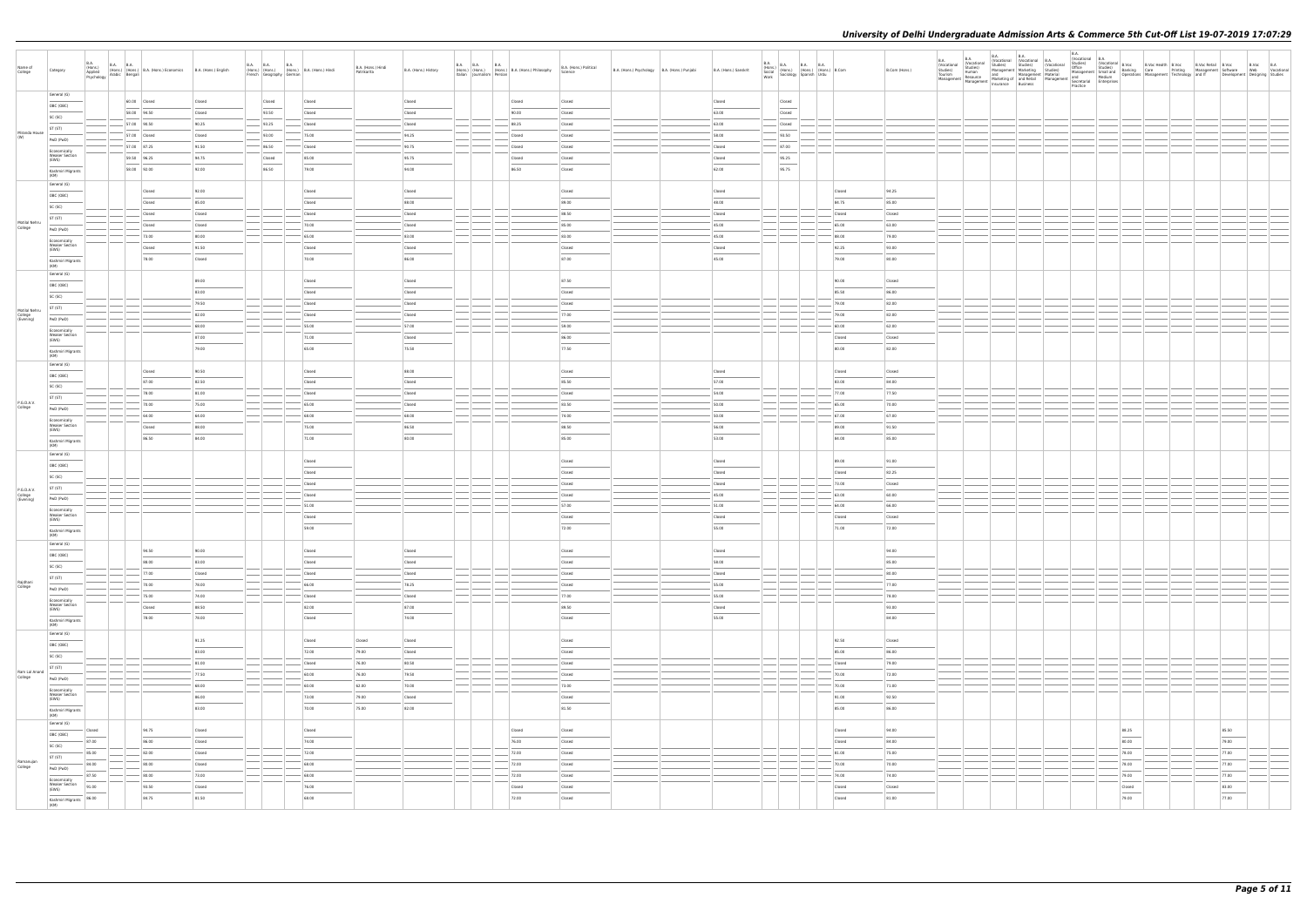| Name of<br>College       | Category                                                                                                                                                                                                                                                                                                                                                                                                                                                                                        | B.A.<br>(Hons.)<br>Applied<br>Psychology | B.A. B.A.<br>(Hons.) (Hons.) B.A. (Hons.) Economics<br>v Arabic Bengali | B.A. (Hons.) English | <b>B.A. B.A.</b><br><b>B.A.</b><br>(Hons.) (Hons.) (Hons.) B.A. (Hons.) Hindi<br>French Geography German |        | B.A. (Hons.) Hindi<br>Patrikarita | B.A. (Hons.) History |                                                                                                                                                                                                                                                                                                                                                                                                                                                                         |               | B.A. B.A. B.A. B.A. (Hons.) B.A. (Hons.) Philosophy<br>Italian Journalism Persian Persian | B.A. (Hons.) Political<br>Science                                                                                                                                                                                                                                                                                                                                                                                                                                                    | B.A. (Hons.) Psychology B.A. (Hons.) Punjabi | B.A. (Hons.) Sanskrit | $\begin{tabular}{ l l l } \hline B.A. & B.A. & B.A. & B.A. & B.A. \\ \hline (Hons.) & (Hons.) & (Hons.) & (Hons.) & B. Com & \\ Socidlogy & Spanish & Urdu & \\ Work & & \\ \hline \end{tabular}$ |        | B.Com (Hons.) | B.A. Vocational B.A.<br>Studies) Studies (Vocational B.A.<br>Studies) Studies (Vocat | <b>B.A.</b> |        |  | il B.Voc B.Voc B.A<br>nt Software Web Vocational<br>Development Designing Studies |
|--------------------------|-------------------------------------------------------------------------------------------------------------------------------------------------------------------------------------------------------------------------------------------------------------------------------------------------------------------------------------------------------------------------------------------------------------------------------------------------------------------------------------------------|------------------------------------------|-------------------------------------------------------------------------|----------------------|----------------------------------------------------------------------------------------------------------|--------|-----------------------------------|----------------------|-------------------------------------------------------------------------------------------------------------------------------------------------------------------------------------------------------------------------------------------------------------------------------------------------------------------------------------------------------------------------------------------------------------------------------------------------------------------------|---------------|-------------------------------------------------------------------------------------------|--------------------------------------------------------------------------------------------------------------------------------------------------------------------------------------------------------------------------------------------------------------------------------------------------------------------------------------------------------------------------------------------------------------------------------------------------------------------------------------|----------------------------------------------|-----------------------|---------------------------------------------------------------------------------------------------------------------------------------------------------------------------------------------------|--------|---------------|--------------------------------------------------------------------------------------|-------------|--------|--|-----------------------------------------------------------------------------------|
|                          | General (G)                                                                                                                                                                                                                                                                                                                                                                                                                                                                                     |                                          |                                                                         |                      |                                                                                                          |        |                                   |                      |                                                                                                                                                                                                                                                                                                                                                                                                                                                                         |               |                                                                                           |                                                                                                                                                                                                                                                                                                                                                                                                                                                                                      |                                              |                       |                                                                                                                                                                                                   |        |               |                                                                                      |             |        |  |                                                                                   |
|                          | OBC (OBC)                                                                                                                                                                                                                                                                                                                                                                                                                                                                                       |                                          | 60.00 Closed                                                            | Closed               | Closed                                                                                                   | Closed |                                   | Closed               |                                                                                                                                                                                                                                                                                                                                                                                                                                                                         |               | Closed                                                                                    | Closed                                                                                                                                                                                                                                                                                                                                                                                                                                                                               |                                              | Closed                | Closed                                                                                                                                                                                            |        |               |                                                                                      |             |        |  |                                                                                   |
|                          | SC (SC)                                                                                                                                                                                                                                                                                                                                                                                                                                                                                         |                                          | 58.00 94.50                                                             | Closed               | 93.50                                                                                                    | Closed |                                   | Closed               |                                                                                                                                                                                                                                                                                                                                                                                                                                                                         |               | 90.00                                                                                     | Closed                                                                                                                                                                                                                                                                                                                                                                                                                                                                               |                                              | 63.00                 | Closed                                                                                                                                                                                            |        |               |                                                                                      |             |        |  |                                                                                   |
|                          | ST (ST)                                                                                                                                                                                                                                                                                                                                                                                                                                                                                         |                                          | 57.00 90.50                                                             | 90.25                | 93.25                                                                                                    | Closed |                                   | Closed               |                                                                                                                                                                                                                                                                                                                                                                                                                                                                         |               | 88.25                                                                                     | Closed                                                                                                                                                                                                                                                                                                                                                                                                                                                                               |                                              | 63.00                 | Closed                                                                                                                                                                                            |        |               |                                                                                      |             |        |  |                                                                                   |
| Miranda House            |                                                                                                                                                                                                                                                                                                                                                                                                                                                                                                 |                                          | 57.00 Closed                                                            | Closed               | 93.00                                                                                                    | 75.00  |                                   | 94.25                |                                                                                                                                                                                                                                                                                                                                                                                                                                                                         |               | Closed                                                                                    | Closed                                                                                                                                                                                                                                                                                                                                                                                                                                                                               |                                              | 58.00                 | 93.50                                                                                                                                                                                             |        |               |                                                                                      |             |        |  |                                                                                   |
|                          | PwD (PwD)                                                                                                                                                                                                                                                                                                                                                                                                                                                                                       |                                          | 57.00 87.25                                                             | 91.50                | 86.50                                                                                                    | Closed |                                   | 90.75                | $\sim$                                                                                                                                                                                                                                                                                                                                                                                                                                                                  |               | Closed                                                                                    | Closed                                                                                                                                                                                                                                                                                                                                                                                                                                                                               |                                              | Closed                | $-87.00$                                                                                                                                                                                          |        |               |                                                                                      |             |        |  |                                                                                   |
|                          | Economically<br><b>Weaker Section</b>                                                                                                                                                                                                                                                                                                                                                                                                                                                           |                                          | 59.50 96.25                                                             | 94.75                | Closed                                                                                                   | 85.00  |                                   | 95.75                |                                                                                                                                                                                                                                                                                                                                                                                                                                                                         |               | Closed                                                                                    | Closed                                                                                                                                                                                                                                                                                                                                                                                                                                                                               |                                              | Closed                | 95.25                                                                                                                                                                                             |        |               |                                                                                      |             |        |  |                                                                                   |
|                          | (EWS)                                                                                                                                                                                                                                                                                                                                                                                                                                                                                           |                                          |                                                                         |                      |                                                                                                          |        |                                   |                      |                                                                                                                                                                                                                                                                                                                                                                                                                                                                         |               |                                                                                           |                                                                                                                                                                                                                                                                                                                                                                                                                                                                                      |                                              |                       |                                                                                                                                                                                                   |        |               |                                                                                      |             |        |  |                                                                                   |
|                          | Kashmiri Migrants<br>(KM)                                                                                                                                                                                                                                                                                                                                                                                                                                                                       |                                          | 58.00 92.00                                                             | 92.00                | 86.50                                                                                                    | 79.00  |                                   | 94.00                |                                                                                                                                                                                                                                                                                                                                                                                                                                                                         |               | 86.50                                                                                     | Closed                                                                                                                                                                                                                                                                                                                                                                                                                                                                               |                                              | 62.00                 | 95.75                                                                                                                                                                                             |        |               |                                                                                      |             |        |  |                                                                                   |
|                          | General (G)                                                                                                                                                                                                                                                                                                                                                                                                                                                                                     |                                          |                                                                         |                      |                                                                                                          |        |                                   |                      |                                                                                                                                                                                                                                                                                                                                                                                                                                                                         |               |                                                                                           |                                                                                                                                                                                                                                                                                                                                                                                                                                                                                      |                                              |                       |                                                                                                                                                                                                   |        |               |                                                                                      |             |        |  |                                                                                   |
|                          | OBC (OBC)                                                                                                                                                                                                                                                                                                                                                                                                                                                                                       |                                          | <b>Closed</b>                                                           | 92.00                |                                                                                                          | Closed |                                   | Closed               |                                                                                                                                                                                                                                                                                                                                                                                                                                                                         |               |                                                                                           | Closed                                                                                                                                                                                                                                                                                                                                                                                                                                                                               |                                              | Closed                |                                                                                                                                                                                                   | Closed | 94.25         |                                                                                      |             |        |  |                                                                                   |
|                          | SC (SC)                                                                                                                                                                                                                                                                                                                                                                                                                                                                                         |                                          | Closed                                                                  | 85.00                |                                                                                                          | Closed |                                   | 88.00                |                                                                                                                                                                                                                                                                                                                                                                                                                                                                         |               |                                                                                           | 89.00                                                                                                                                                                                                                                                                                                                                                                                                                                                                                |                                              | 48.00                 |                                                                                                                                                                                                   | 84.75  | 85.00         |                                                                                      |             |        |  |                                                                                   |
|                          |                                                                                                                                                                                                                                                                                                                                                                                                                                                                                                 |                                          | Closed                                                                  | Closed               |                                                                                                          | Closed |                                   | Closed               |                                                                                                                                                                                                                                                                                                                                                                                                                                                                         |               |                                                                                           | 88.50                                                                                                                                                                                                                                                                                                                                                                                                                                                                                |                                              | Closed                |                                                                                                                                                                                                   | Closed | Closed        |                                                                                      |             |        |  |                                                                                   |
| Motilal Nehru            | ST (ST)                                                                                                                                                                                                                                                                                                                                                                                                                                                                                         |                                          | Closed                                                                  | Closed               |                                                                                                          | 70.00  |                                   | Closed               |                                                                                                                                                                                                                                                                                                                                                                                                                                                                         |               |                                                                                           | 85.00                                                                                                                                                                                                                                                                                                                                                                                                                                                                                |                                              | 45.00                 |                                                                                                                                                                                                   | 65.00  | 63.00         |                                                                                      |             |        |  |                                                                                   |
| College                  | PwD (PwD)                                                                                                                                                                                                                                                                                                                                                                                                                                                                                       |                                          | 73.00                                                                   | 80.00                |                                                                                                          | 65.00  |                                   | 83.00                |                                                                                                                                                                                                                                                                                                                                                                                                                                                                         |               |                                                                                           | 83.00                                                                                                                                                                                                                                                                                                                                                                                                                                                                                |                                              | 45.00                 |                                                                                                                                                                                                   | 88.00  | 79.00         |                                                                                      |             |        |  |                                                                                   |
|                          | Economically<br><b>Weaker Section</b>                                                                                                                                                                                                                                                                                                                                                                                                                                                           |                                          |                                                                         |                      |                                                                                                          |        |                                   |                      |                                                                                                                                                                                                                                                                                                                                                                                                                                                                         |               |                                                                                           |                                                                                                                                                                                                                                                                                                                                                                                                                                                                                      |                                              |                       |                                                                                                                                                                                                   |        |               |                                                                                      |             |        |  |                                                                                   |
|                          | (EWS)                                                                                                                                                                                                                                                                                                                                                                                                                                                                                           |                                          | Closed                                                                  | 91.50                |                                                                                                          | Closed |                                   | Closed               |                                                                                                                                                                                                                                                                                                                                                                                                                                                                         |               |                                                                                           | Closed                                                                                                                                                                                                                                                                                                                                                                                                                                                                               |                                              | Closed                |                                                                                                                                                                                                   | 92.25  | 93.00         |                                                                                      |             |        |  |                                                                                   |
|                          | Kashmiri Migrants<br>(KM)                                                                                                                                                                                                                                                                                                                                                                                                                                                                       |                                          | 78.00                                                                   | Closed               |                                                                                                          | 70.00  |                                   | 86.00                |                                                                                                                                                                                                                                                                                                                                                                                                                                                                         |               |                                                                                           | 87.00                                                                                                                                                                                                                                                                                                                                                                                                                                                                                |                                              | 45.00                 |                                                                                                                                                                                                   | 79.00  | 80.00         |                                                                                      |             |        |  |                                                                                   |
|                          | General (G)                                                                                                                                                                                                                                                                                                                                                                                                                                                                                     |                                          |                                                                         |                      |                                                                                                          |        |                                   |                      |                                                                                                                                                                                                                                                                                                                                                                                                                                                                         |               |                                                                                           |                                                                                                                                                                                                                                                                                                                                                                                                                                                                                      |                                              |                       |                                                                                                                                                                                                   |        |               |                                                                                      |             |        |  |                                                                                   |
|                          | OBC (OBC)                                                                                                                                                                                                                                                                                                                                                                                                                                                                                       |                                          |                                                                         | 89.00                |                                                                                                          | Closed |                                   | Closed               |                                                                                                                                                                                                                                                                                                                                                                                                                                                                         |               |                                                                                           | 87.50                                                                                                                                                                                                                                                                                                                                                                                                                                                                                |                                              |                       |                                                                                                                                                                                                   | 90.00  | Closed        |                                                                                      |             |        |  |                                                                                   |
|                          |                                                                                                                                                                                                                                                                                                                                                                                                                                                                                                 |                                          |                                                                         | 83.00                |                                                                                                          | Closed |                                   | Closed               |                                                                                                                                                                                                                                                                                                                                                                                                                                                                         |               |                                                                                           | Closed                                                                                                                                                                                                                                                                                                                                                                                                                                                                               |                                              |                       |                                                                                                                                                                                                   | 85.50  | 86.00         |                                                                                      |             |        |  |                                                                                   |
|                          | SC (SC)                                                                                                                                                                                                                                                                                                                                                                                                                                                                                         |                                          |                                                                         | 79.50                |                                                                                                          | Closed |                                   | Closed               |                                                                                                                                                                                                                                                                                                                                                                                                                                                                         |               |                                                                                           | Closed                                                                                                                                                                                                                                                                                                                                                                                                                                                                               |                                              |                       |                                                                                                                                                                                                   | 79.00  | 82.00         |                                                                                      |             |        |  |                                                                                   |
| Motilal Nehru            | ST (ST)                                                                                                                                                                                                                                                                                                                                                                                                                                                                                         |                                          |                                                                         | 82.00                |                                                                                                          | Closed |                                   | Closed               |                                                                                                                                                                                                                                                                                                                                                                                                                                                                         |               |                                                                                           | 77.00                                                                                                                                                                                                                                                                                                                                                                                                                                                                                |                                              |                       |                                                                                                                                                                                                   | 79.00  | 82.00         |                                                                                      |             |        |  |                                                                                   |
| College<br>(Evening)     | PwD (PwD)                                                                                                                                                                                                                                                                                                                                                                                                                                                                                       |                                          |                                                                         |                      |                                                                                                          |        |                                   |                      |                                                                                                                                                                                                                                                                                                                                                                                                                                                                         |               |                                                                                           |                                                                                                                                                                                                                                                                                                                                                                                                                                                                                      |                                              |                       |                                                                                                                                                                                                   |        |               |                                                                                      |             |        |  |                                                                                   |
|                          | Economically                                                                                                                                                                                                                                                                                                                                                                                                                                                                                    |                                          |                                                                         | 68.00                |                                                                                                          | 55.00  |                                   | $-57.00$             |                                                                                                                                                                                                                                                                                                                                                                                                                                                                         |               |                                                                                           | 59.00                                                                                                                                                                                                                                                                                                                                                                                                                                                                                |                                              |                       |                                                                                                                                                                                                   | 60.00  | 62.00         |                                                                                      |             |        |  |                                                                                   |
|                          | <b>Weaker Section</b><br>(EWS)                                                                                                                                                                                                                                                                                                                                                                                                                                                                  |                                          |                                                                         | 87.00                |                                                                                                          | 71.00  |                                   | Closed               |                                                                                                                                                                                                                                                                                                                                                                                                                                                                         |               |                                                                                           | 86.00                                                                                                                                                                                                                                                                                                                                                                                                                                                                                |                                              |                       |                                                                                                                                                                                                   | Closed | Closed        |                                                                                      |             |        |  |                                                                                   |
|                          | $\frac{1}{2} \left( \frac{1}{2} \right) \left( \frac{1}{2} \right) \left( \frac{1}{2} \right) \left( \frac{1}{2} \right) \left( \frac{1}{2} \right) \left( \frac{1}{2} \right) \left( \frac{1}{2} \right) \left( \frac{1}{2} \right) \left( \frac{1}{2} \right) \left( \frac{1}{2} \right) \left( \frac{1}{2} \right) \left( \frac{1}{2} \right) \left( \frac{1}{2} \right) \left( \frac{1}{2} \right) \left( \frac{1}{2} \right) \left( \frac{1}{2} \right) \left( \frac$<br>Kashmiri Migrants |                                          |                                                                         | 79.00                |                                                                                                          | 65.00  |                                   | 75.50                |                                                                                                                                                                                                                                                                                                                                                                                                                                                                         |               |                                                                                           | 77.50                                                                                                                                                                                                                                                                                                                                                                                                                                                                                |                                              |                       |                                                                                                                                                                                                   | 80.00  | 82.00         |                                                                                      |             |        |  |                                                                                   |
|                          | (KM)                                                                                                                                                                                                                                                                                                                                                                                                                                                                                            |                                          |                                                                         |                      |                                                                                                          |        |                                   |                      |                                                                                                                                                                                                                                                                                                                                                                                                                                                                         |               |                                                                                           |                                                                                                                                                                                                                                                                                                                                                                                                                                                                                      |                                              |                       |                                                                                                                                                                                                   |        |               |                                                                                      |             |        |  |                                                                                   |
|                          | General (G)                                                                                                                                                                                                                                                                                                                                                                                                                                                                                     |                                          | Closed                                                                  | 90.50                |                                                                                                          | Closed |                                   | 88.00                |                                                                                                                                                                                                                                                                                                                                                                                                                                                                         |               |                                                                                           | Closed                                                                                                                                                                                                                                                                                                                                                                                                                                                                               |                                              | Closed                |                                                                                                                                                                                                   | Closed | Closed        |                                                                                      |             |        |  |                                                                                   |
|                          | OBC (OBC)                                                                                                                                                                                                                                                                                                                                                                                                                                                                                       |                                          | 87.00                                                                   | 82.50                |                                                                                                          | Closed |                                   | Closed               |                                                                                                                                                                                                                                                                                                                                                                                                                                                                         |               |                                                                                           | 85.50                                                                                                                                                                                                                                                                                                                                                                                                                                                                                |                                              | 57.00                 |                                                                                                                                                                                                   | 83.00  | 84.00         |                                                                                      |             |        |  |                                                                                   |
|                          | SC (SC)                                                                                                                                                                                                                                                                                                                                                                                                                                                                                         |                                          | 78.00                                                                   | 81.00                |                                                                                                          | Closed |                                   | Closed               |                                                                                                                                                                                                                                                                                                                                                                                                                                                                         |               |                                                                                           | Closed                                                                                                                                                                                                                                                                                                                                                                                                                                                                               |                                              | 54.00                 |                                                                                                                                                                                                   | 77.00  | 77.50         |                                                                                      |             |        |  |                                                                                   |
|                          | ST (ST)                                                                                                                                                                                                                                                                                                                                                                                                                                                                                         |                                          |                                                                         |                      |                                                                                                          |        |                                   |                      |                                                                                                                                                                                                                                                                                                                                                                                                                                                                         |               |                                                                                           |                                                                                                                                                                                                                                                                                                                                                                                                                                                                                      |                                              |                       |                                                                                                                                                                                                   |        |               |                                                                                      |             |        |  |                                                                                   |
| P.G.D.A.V.<br>College    | PwD (PwD)                                                                                                                                                                                                                                                                                                                                                                                                                                                                                       |                                          | 70.00                                                                   | 75.00                |                                                                                                          | 65.00  |                                   | Closed               |                                                                                                                                                                                                                                                                                                                                                                                                                                                                         |               |                                                                                           | 83.50                                                                                                                                                                                                                                                                                                                                                                                                                                                                                |                                              | 50.00                 |                                                                                                                                                                                                   | 65.00  | 70.00         |                                                                                      |             |        |  |                                                                                   |
|                          | Economically                                                                                                                                                                                                                                                                                                                                                                                                                                                                                    |                                          | 64.00                                                                   | 64.00                |                                                                                                          | 68.00  |                                   | $-68.00$             | $\overline{\phantom{a}}$                                                                                                                                                                                                                                                                                                                                                                                                                                                |               |                                                                                           | 74.00                                                                                                                                                                                                                                                                                                                                                                                                                                                                                |                                              | 50.00                 |                                                                                                                                                                                                   | 67.00  | 67.00         |                                                                                      |             |        |  |                                                                                   |
|                          | <b>Weaker Section</b><br>(EWS)                                                                                                                                                                                                                                                                                                                                                                                                                                                                  |                                          | Closed                                                                  | 88.00                |                                                                                                          | 75.00  |                                   | 86.50                |                                                                                                                                                                                                                                                                                                                                                                                                                                                                         |               |                                                                                           | 88.50                                                                                                                                                                                                                                                                                                                                                                                                                                                                                |                                              | 56.00                 |                                                                                                                                                                                                   | 89.00  | 91.50         |                                                                                      |             |        |  |                                                                                   |
|                          | Kashmiri Migrants                                                                                                                                                                                                                                                                                                                                                                                                                                                                               |                                          | 86.50                                                                   | 84.00                |                                                                                                          | 71.00  |                                   | 80.00                |                                                                                                                                                                                                                                                                                                                                                                                                                                                                         |               |                                                                                           | 85.00                                                                                                                                                                                                                                                                                                                                                                                                                                                                                |                                              | 53.00                 |                                                                                                                                                                                                   | 84.00  | 85.00         |                                                                                      |             |        |  |                                                                                   |
|                          | (KM)                                                                                                                                                                                                                                                                                                                                                                                                                                                                                            |                                          |                                                                         |                      |                                                                                                          |        |                                   |                      |                                                                                                                                                                                                                                                                                                                                                                                                                                                                         |               |                                                                                           |                                                                                                                                                                                                                                                                                                                                                                                                                                                                                      |                                              |                       |                                                                                                                                                                                                   |        |               |                                                                                      |             |        |  |                                                                                   |
|                          | General (G)                                                                                                                                                                                                                                                                                                                                                                                                                                                                                     |                                          |                                                                         |                      |                                                                                                          | Closed |                                   |                      |                                                                                                                                                                                                                                                                                                                                                                                                                                                                         |               |                                                                                           | Closed                                                                                                                                                                                                                                                                                                                                                                                                                                                                               |                                              | Closed                |                                                                                                                                                                                                   | 89.00  | 91.00         |                                                                                      |             |        |  |                                                                                   |
|                          | OBC (OBC)                                                                                                                                                                                                                                                                                                                                                                                                                                                                                       |                                          |                                                                         |                      |                                                                                                          |        |                                   |                      |                                                                                                                                                                                                                                                                                                                                                                                                                                                                         |               |                                                                                           |                                                                                                                                                                                                                                                                                                                                                                                                                                                                                      |                                              |                       |                                                                                                                                                                                                   |        |               |                                                                                      |             |        |  |                                                                                   |
|                          | SC (SC)                                                                                                                                                                                                                                                                                                                                                                                                                                                                                         |                                          |                                                                         |                      |                                                                                                          | Closed |                                   |                      |                                                                                                                                                                                                                                                                                                                                                                                                                                                                         |               |                                                                                           | Closed                                                                                                                                                                                                                                                                                                                                                                                                                                                                               |                                              | Closed                |                                                                                                                                                                                                   | Closed | 82.25         |                                                                                      |             |        |  |                                                                                   |
| P.G.D.A.V.               | ST (ST)                                                                                                                                                                                                                                                                                                                                                                                                                                                                                         |                                          |                                                                         |                      |                                                                                                          | Closed |                                   |                      |                                                                                                                                                                                                                                                                                                                                                                                                                                                                         |               |                                                                                           | Closed                                                                                                                                                                                                                                                                                                                                                                                                                                                                               |                                              | Closed                |                                                                                                                                                                                                   | 73.00  | Closed        |                                                                                      |             |        |  |                                                                                   |
| College<br>(Evening)     | PwD (PwD)                                                                                                                                                                                                                                                                                                                                                                                                                                                                                       |                                          |                                                                         |                      |                                                                                                          | Closed |                                   |                      |                                                                                                                                                                                                                                                                                                                                                                                                                                                                         |               |                                                                                           | Closed                                                                                                                                                                                                                                                                                                                                                                                                                                                                               |                                              | 45.00                 |                                                                                                                                                                                                   | 63.00  | 60.00         |                                                                                      |             |        |  |                                                                                   |
|                          | Economically                                                                                                                                                                                                                                                                                                                                                                                                                                                                                    |                                          |                                                                         |                      |                                                                                                          | 51.00  |                                   |                      |                                                                                                                                                                                                                                                                                                                                                                                                                                                                         |               |                                                                                           | 57.00                                                                                                                                                                                                                                                                                                                                                                                                                                                                                |                                              | 51.00                 |                                                                                                                                                                                                   | 64.00  | 66.00         |                                                                                      |             |        |  |                                                                                   |
|                          | <b>Weaker Section</b><br>(EWS)                                                                                                                                                                                                                                                                                                                                                                                                                                                                  |                                          |                                                                         |                      |                                                                                                          | Closed |                                   |                      |                                                                                                                                                                                                                                                                                                                                                                                                                                                                         |               |                                                                                           | Closed                                                                                                                                                                                                                                                                                                                                                                                                                                                                               |                                              | Closed                |                                                                                                                                                                                                   | Closed | Closed        |                                                                                      |             |        |  |                                                                                   |
|                          |                                                                                                                                                                                                                                                                                                                                                                                                                                                                                                 |                                          |                                                                         |                      |                                                                                                          | 59.00  |                                   |                      |                                                                                                                                                                                                                                                                                                                                                                                                                                                                         |               |                                                                                           | 72.00                                                                                                                                                                                                                                                                                                                                                                                                                                                                                |                                              | 55.00                 |                                                                                                                                                                                                   | 71.00  | 72.00         |                                                                                      |             |        |  |                                                                                   |
|                          | Kashmiri Migrants<br>(KM)                                                                                                                                                                                                                                                                                                                                                                                                                                                                       |                                          |                                                                         |                      |                                                                                                          |        |                                   |                      |                                                                                                                                                                                                                                                                                                                                                                                                                                                                         |               |                                                                                           |                                                                                                                                                                                                                                                                                                                                                                                                                                                                                      |                                              |                       |                                                                                                                                                                                                   |        |               |                                                                                      |             |        |  |                                                                                   |
|                          | General (G)                                                                                                                                                                                                                                                                                                                                                                                                                                                                                     |                                          |                                                                         |                      |                                                                                                          |        |                                   |                      |                                                                                                                                                                                                                                                                                                                                                                                                                                                                         |               |                                                                                           |                                                                                                                                                                                                                                                                                                                                                                                                                                                                                      |                                              |                       |                                                                                                                                                                                                   |        |               |                                                                                      |             |        |  |                                                                                   |
|                          | OBC (OBC)                                                                                                                                                                                                                                                                                                                                                                                                                                                                                       |                                          | 94.50                                                                   | 90.00                |                                                                                                          | Closed |                                   | Closed               |                                                                                                                                                                                                                                                                                                                                                                                                                                                                         |               |                                                                                           | Closed<br>$\overline{\phantom{a}}$                                                                                                                                                                                                                                                                                                                                                                                                                                                   |                                              | Closed                |                                                                                                                                                                                                   |        | 94.00         |                                                                                      |             |        |  |                                                                                   |
|                          | SC (SC)                                                                                                                                                                                                                                                                                                                                                                                                                                                                                         |                                          | 88.00                                                                   | 83.00                |                                                                                                          | Closed |                                   | Closed               |                                                                                                                                                                                                                                                                                                                                                                                                                                                                         |               |                                                                                           | Closed                                                                                                                                                                                                                                                                                                                                                                                                                                                                               |                                              | 58.00                 |                                                                                                                                                                                                   |        | 85.00         |                                                                                      |             |        |  |                                                                                   |
|                          | ST (ST)                                                                                                                                                                                                                                                                                                                                                                                                                                                                                         |                                          | $- 77.00$                                                               | Closed               |                                                                                                          | Closed |                                   | Closed               |                                                                                                                                                                                                                                                                                                                                                                                                                                                                         | $\frac{1}{2}$ |                                                                                           | Closed                                                                                                                                                                                                                                                                                                                                                                                                                                                                               |                                              | Closed                |                                                                                                                                                                                                   |        | 80.00         |                                                                                      |             |        |  |                                                                                   |
| Rajdhani<br>College      | PwD (PwD)                                                                                                                                                                                                                                                                                                                                                                                                                                                                                       |                                          | 70.00                                                                   | 78.00                |                                                                                                          | 66.00  |                                   | 78.25                |                                                                                                                                                                                                                                                                                                                                                                                                                                                                         |               |                                                                                           | Closed                                                                                                                                                                                                                                                                                                                                                                                                                                                                               |                                              | 55.00                 |                                                                                                                                                                                                   |        | 77.00         |                                                                                      |             |        |  |                                                                                   |
|                          |                                                                                                                                                                                                                                                                                                                                                                                                                                                                                                 |                                          | 75.00                                                                   | 74.00                |                                                                                                          | Closed |                                   | Closed               |                                                                                                                                                                                                                                                                                                                                                                                                                                                                         | $\frac{1}{2}$ |                                                                                           | 77.00                                                                                                                                                                                                                                                                                                                                                                                                                                                                                |                                              | 55.00                 |                                                                                                                                                                                                   |        | 78.00         |                                                                                      |             |        |  |                                                                                   |
|                          | Economically<br><b>Weaker Section</b><br>(EWS)                                                                                                                                                                                                                                                                                                                                                                                                                                                  |                                          | Closed                                                                  | 88.50                |                                                                                                          | 82.00  |                                   | 87.00                |                                                                                                                                                                                                                                                                                                                                                                                                                                                                         |               |                                                                                           | 89.50                                                                                                                                                                                                                                                                                                                                                                                                                                                                                |                                              | Closed                |                                                                                                                                                                                                   |        | 93.00         |                                                                                      |             |        |  |                                                                                   |
|                          |                                                                                                                                                                                                                                                                                                                                                                                                                                                                                                 |                                          | 78.00                                                                   | 78.00                |                                                                                                          | Closed |                                   | 74.00                |                                                                                                                                                                                                                                                                                                                                                                                                                                                                         |               |                                                                                           | $\overline{\phantom{a}}$<br>Closed                                                                                                                                                                                                                                                                                                                                                                                                                                                   |                                              | 55.00                 |                                                                                                                                                                                                   |        | 84.00         |                                                                                      |             |        |  |                                                                                   |
|                          | Kashmiri Migrants<br>(KM)                                                                                                                                                                                                                                                                                                                                                                                                                                                                       |                                          |                                                                         |                      |                                                                                                          |        |                                   |                      |                                                                                                                                                                                                                                                                                                                                                                                                                                                                         |               |                                                                                           |                                                                                                                                                                                                                                                                                                                                                                                                                                                                                      |                                              |                       |                                                                                                                                                                                                   |        |               |                                                                                      |             |        |  |                                                                                   |
|                          | General (G)                                                                                                                                                                                                                                                                                                                                                                                                                                                                                     |                                          |                                                                         |                      |                                                                                                          |        |                                   |                      |                                                                                                                                                                                                                                                                                                                                                                                                                                                                         |               |                                                                                           |                                                                                                                                                                                                                                                                                                                                                                                                                                                                                      |                                              |                       |                                                                                                                                                                                                   |        |               |                                                                                      |             |        |  |                                                                                   |
|                          | OBC (OBC)                                                                                                                                                                                                                                                                                                                                                                                                                                                                                       |                                          |                                                                         | 91.25                |                                                                                                          | Closed | Closed                            | Closed               |                                                                                                                                                                                                                                                                                                                                                                                                                                                                         |               |                                                                                           | Closed<br>$\frac{1}{2} \left( \frac{1}{2} \right) \left( \frac{1}{2} \right) \left( \frac{1}{2} \right) \left( \frac{1}{2} \right) \left( \frac{1}{2} \right) \left( \frac{1}{2} \right) \left( \frac{1}{2} \right) \left( \frac{1}{2} \right) \left( \frac{1}{2} \right) \left( \frac{1}{2} \right) \left( \frac{1}{2} \right) \left( \frac{1}{2} \right) \left( \frac{1}{2} \right) \left( \frac{1}{2} \right) \left( \frac{1}{2} \right) \left( \frac{1}{2} \right) \left( \frac$ |                                              |                       |                                                                                                                                                                                                   | 92.50  | Closed        |                                                                                      |             |        |  |                                                                                   |
|                          | SC (SC)                                                                                                                                                                                                                                                                                                                                                                                                                                                                                         |                                          |                                                                         | 83.00                |                                                                                                          | 72.00  | 79.00                             | Closed               |                                                                                                                                                                                                                                                                                                                                                                                                                                                                         |               |                                                                                           | Closed                                                                                                                                                                                                                                                                                                                                                                                                                                                                               |                                              |                       |                                                                                                                                                                                                   | 85.00  | 86.00         |                                                                                      |             |        |  |                                                                                   |
|                          | ST (ST)                                                                                                                                                                                                                                                                                                                                                                                                                                                                                         |                                          |                                                                         | 81.00                |                                                                                                          | Closed | 76.00                             | 80.50                | $\frac{1}{2}$                                                                                                                                                                                                                                                                                                                                                                                                                                                           |               |                                                                                           | Closed                                                                                                                                                                                                                                                                                                                                                                                                                                                                               |                                              |                       |                                                                                                                                                                                                   | Closed | 79.00         |                                                                                      |             |        |  |                                                                                   |
| Ram Lal Anand<br>College |                                                                                                                                                                                                                                                                                                                                                                                                                                                                                                 |                                          |                                                                         | 77.50                |                                                                                                          | 60.00  | 76.00                             | 79.50                | $\frac{1}{2}$                                                                                                                                                                                                                                                                                                                                                                                                                                                           |               |                                                                                           | Closed                                                                                                                                                                                                                                                                                                                                                                                                                                                                               |                                              |                       |                                                                                                                                                                                                   | 70.00  | 72.00         |                                                                                      |             |        |  |                                                                                   |
|                          | PwD (PwD)                                                                                                                                                                                                                                                                                                                                                                                                                                                                                       |                                          |                                                                         | 68.00                |                                                                                                          | 60.00  | 62.00                             | 70.00                | $\left  \frac{1}{2} \right  = \left  \frac{1}{2} \right  = \left  \frac{1}{2} \right  = \left  \frac{1}{2} \right  = \left  \frac{1}{2} \right  = \left  \frac{1}{2} \right  = \left  \frac{1}{2} \right  = \left  \frac{1}{2} \right  = \left  \frac{1}{2} \right  = \left  \frac{1}{2} \right  = \left  \frac{1}{2} \right  = \left  \frac{1}{2} \right  = \left  \frac{1}{2} \right  = \left  \frac{1}{2} \right  = \left  \frac{1}{2} \right  = \left  \frac{1}{2}$ |               |                                                                                           | 73.00                                                                                                                                                                                                                                                                                                                                                                                                                                                                                |                                              |                       |                                                                                                                                                                                                   | 70.00  | 71.00         |                                                                                      |             |        |  |                                                                                   |
|                          | Economically<br>Weaker Section<br>(EWS)                                                                                                                                                                                                                                                                                                                                                                                                                                                         |                                          |                                                                         | 86.00                |                                                                                                          | 73.00  | 79.00                             | Closed               |                                                                                                                                                                                                                                                                                                                                                                                                                                                                         |               |                                                                                           | Closed                                                                                                                                                                                                                                                                                                                                                                                                                                                                               |                                              |                       |                                                                                                                                                                                                   | 91.00  | 92.50         |                                                                                      |             |        |  |                                                                                   |
|                          | $\frac{1}{2} \left( \frac{1}{2} \right) \left( \frac{1}{2} \right) \left( \frac{1}{2} \right) \left( \frac{1}{2} \right) \left( \frac{1}{2} \right) \left( \frac{1}{2} \right) \left( \frac{1}{2} \right) \left( \frac{1}{2} \right) \left( \frac{1}{2} \right) \left( \frac{1}{2} \right) \left( \frac{1}{2} \right) \left( \frac{1}{2} \right) \left( \frac{1}{2} \right) \left( \frac{1}{2} \right) \left( \frac{1}{2} \right) \left( \frac{1}{2} \right) \left( \frac$                      |                                          |                                                                         | 83.00                |                                                                                                          | 70.00  | 75.00                             | 82.00                |                                                                                                                                                                                                                                                                                                                                                                                                                                                                         |               |                                                                                           | $\frac{1}{2} \left( \frac{1}{2} \right) \left( \frac{1}{2} \right) \left( \frac{1}{2} \right) \left( \frac{1}{2} \right) \left( \frac{1}{2} \right) \left( \frac{1}{2} \right) \left( \frac{1}{2} \right) \left( \frac{1}{2} \right) \left( \frac{1}{2} \right) \left( \frac{1}{2} \right) \left( \frac{1}{2} \right) \left( \frac{1}{2} \right) \left( \frac{1}{2} \right) \left( \frac{1}{2} \right) \left( \frac{1}{2} \right) \left( \frac{1}{2} \right) \left( \frac$<br>81.50  |                                              |                       |                                                                                                                                                                                                   | 85.00  | 86.00         |                                                                                      |             |        |  |                                                                                   |
|                          | Kashmiri Migrants<br>(KM)                                                                                                                                                                                                                                                                                                                                                                                                                                                                       |                                          |                                                                         |                      |                                                                                                          |        |                                   |                      |                                                                                                                                                                                                                                                                                                                                                                                                                                                                         |               |                                                                                           |                                                                                                                                                                                                                                                                                                                                                                                                                                                                                      |                                              |                       |                                                                                                                                                                                                   |        |               |                                                                                      |             |        |  |                                                                                   |
|                          | General (G)                                                                                                                                                                                                                                                                                                                                                                                                                                                                                     |                                          |                                                                         |                      |                                                                                                          |        |                                   |                      |                                                                                                                                                                                                                                                                                                                                                                                                                                                                         |               |                                                                                           |                                                                                                                                                                                                                                                                                                                                                                                                                                                                                      |                                              |                       |                                                                                                                                                                                                   |        |               |                                                                                      |             |        |  |                                                                                   |
|                          | OBC (OBC)                                                                                                                                                                                                                                                                                                                                                                                                                                                                                       | Closed                                   | 94.75                                                                   | Closed               |                                                                                                          | Closed |                                   |                      |                                                                                                                                                                                                                                                                                                                                                                                                                                                                         |               | Closed                                                                                    | Closed                                                                                                                                                                                                                                                                                                                                                                                                                                                                               |                                              |                       |                                                                                                                                                                                                   | Closed | 94.00         |                                                                                      |             | 88.25  |  | 85.50                                                                             |
|                          | SC (SC)                                                                                                                                                                                                                                                                                                                                                                                                                                                                                         | 87.00                                    | 86.00                                                                   | Closed               |                                                                                                          | 74.00  |                                   |                      |                                                                                                                                                                                                                                                                                                                                                                                                                                                                         |               | 76.00                                                                                     | Closed                                                                                                                                                                                                                                                                                                                                                                                                                                                                               |                                              |                       |                                                                                                                                                                                                   | Closed | 84.00         |                                                                                      |             | 80.00  |  | 79.00                                                                             |
|                          |                                                                                                                                                                                                                                                                                                                                                                                                                                                                                                 | 85.00                                    | 82.00                                                                   | Closed               |                                                                                                          | 72.00  |                                   |                      |                                                                                                                                                                                                                                                                                                                                                                                                                                                                         |               | 72.00                                                                                     | Closed                                                                                                                                                                                                                                                                                                                                                                                                                                                                               |                                              |                       |                                                                                                                                                                                                   | 81.00  | 75.00         |                                                                                      |             | 78.00  |  | 77.00                                                                             |
| Ramanujan<br>College     | ST (ST)                                                                                                                                                                                                                                                                                                                                                                                                                                                                                         | 84.00                                    | 80.00                                                                   | Closed               |                                                                                                          | 68.00  |                                   |                      |                                                                                                                                                                                                                                                                                                                                                                                                                                                                         |               | 72.00                                                                                     | Closed                                                                                                                                                                                                                                                                                                                                                                                                                                                                               |                                              |                       |                                                                                                                                                                                                   | 70.00  | 70.00         |                                                                                      |             | 78.00  |  | 77.00                                                                             |
|                          | PwD (PwD)                                                                                                                                                                                                                                                                                                                                                                                                                                                                                       | 87.50                                    | 80.00                                                                   | 73.00                |                                                                                                          | 68.00  |                                   |                      |                                                                                                                                                                                                                                                                                                                                                                                                                                                                         |               | 72.00                                                                                     | Closed                                                                                                                                                                                                                                                                                                                                                                                                                                                                               |                                              |                       |                                                                                                                                                                                                   | 74.00  | 74.00         |                                                                                      |             | 79.00  |  | 77.00                                                                             |
|                          | Economically<br><b>Weaker Section</b>                                                                                                                                                                                                                                                                                                                                                                                                                                                           | 91.00                                    | 93.50                                                                   |                      |                                                                                                          | 76.00  |                                   |                      |                                                                                                                                                                                                                                                                                                                                                                                                                                                                         |               |                                                                                           |                                                                                                                                                                                                                                                                                                                                                                                                                                                                                      |                                              |                       |                                                                                                                                                                                                   |        |               |                                                                                      |             |        |  |                                                                                   |
|                          | (EWS)                                                                                                                                                                                                                                                                                                                                                                                                                                                                                           |                                          |                                                                         | Closed               |                                                                                                          |        |                                   |                      |                                                                                                                                                                                                                                                                                                                                                                                                                                                                         |               | Closed                                                                                    | Closed                                                                                                                                                                                                                                                                                                                                                                                                                                                                               |                                              |                       |                                                                                                                                                                                                   | Closed | Closed        |                                                                                      |             | Closed |  | 83.00<br>77.00                                                                    |
|                          | Kashmiri Migrants<br>(KM)                                                                                                                                                                                                                                                                                                                                                                                                                                                                       | 86.00                                    | 84.75                                                                   | 81.50                |                                                                                                          | 68.00  |                                   |                      |                                                                                                                                                                                                                                                                                                                                                                                                                                                                         |               | 72.00                                                                                     | Closed                                                                                                                                                                                                                                                                                                                                                                                                                                                                               |                                              |                       |                                                                                                                                                                                                   | Closed | 81.00         |                                                                                      |             | 79.00  |  |                                                                                   |
|                          |                                                                                                                                                                                                                                                                                                                                                                                                                                                                                                 |                                          |                                                                         |                      |                                                                                                          |        |                                   |                      |                                                                                                                                                                                                                                                                                                                                                                                                                                                                         |               |                                                                                           |                                                                                                                                                                                                                                                                                                                                                                                                                                                                                      |                                              |                       |                                                                                                                                                                                                   |        |               |                                                                                      |             |        |  |                                                                                   |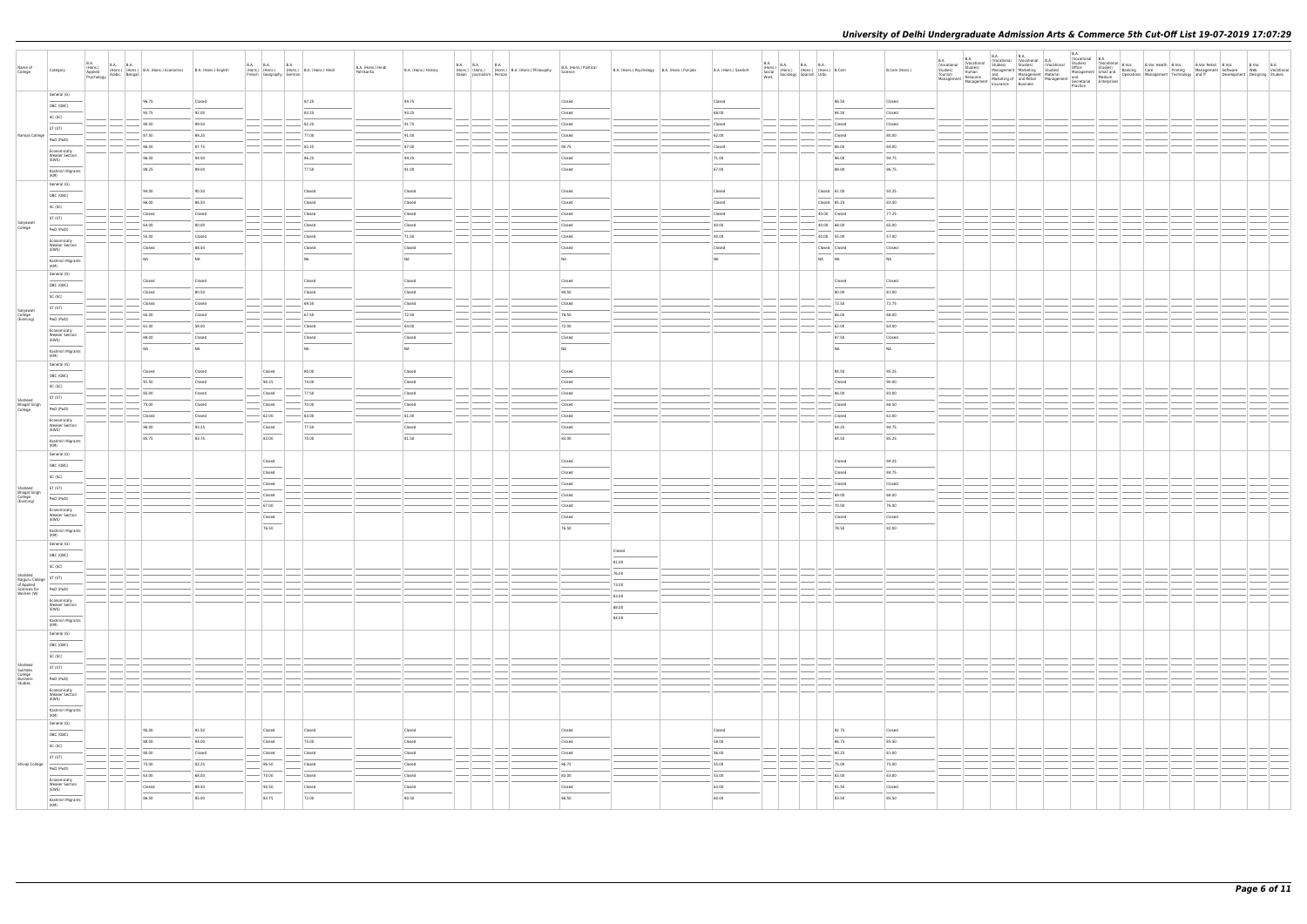| Name of<br>College                                                                 | Category                                                                                                                                                                                                                                                                                                                                                                                                                                                                            | <b>B.A.</b><br>(Hons.)<br>Applied<br>Psychology |       | B.A. B.A.<br>(Hons.) (Hons.) B.A. (Hons.) Economics<br>v Arabic Bengali | B.A. (Hons.) English | B.A. B.A. B.A. B.A. (Hons.) B.A. (Hons.) Hindi<br>French Geography German |        | B.A. (Hons.) Hindi<br>Patrikarita | B.A. (Hons.) History |                                                                            | B.A. B.A. B.A. B.A. (Hons.) B.A. (Hons.) Philosophy B.A. (Hons.) Political<br>Italian Journalism Persian | Science                            | B.A. (Hons.) Psychology   B.A. (Hons.) Punjabi | B.A. (Hons.) Sanskrit | <b>B.A.</b><br>B.A. (Hons.) B.A. B.A. B.A. (Hons.) B.Com<br>Social (Hons.) (Hons.) (Hons.) B.Com<br>Work Sociology Spanish Urdu |                              | B.Com (Hons.) | B.Voc B.A<br>Web Vocational<br>Development Designing Studies |
|------------------------------------------------------------------------------------|-------------------------------------------------------------------------------------------------------------------------------------------------------------------------------------------------------------------------------------------------------------------------------------------------------------------------------------------------------------------------------------------------------------------------------------------------------------------------------------|-------------------------------------------------|-------|-------------------------------------------------------------------------|----------------------|---------------------------------------------------------------------------|--------|-----------------------------------|----------------------|----------------------------------------------------------------------------|----------------------------------------------------------------------------------------------------------|------------------------------------|------------------------------------------------|-----------------------|---------------------------------------------------------------------------------------------------------------------------------|------------------------------|---------------|--------------------------------------------------------------|
|                                                                                    | General (G)                                                                                                                                                                                                                                                                                                                                                                                                                                                                         |                                                 |       | 96.75                                                                   | Closed               |                                                                           | 87.25  |                                   | 94.75                |                                                                            |                                                                                                          | Closed                             |                                                | Closed                |                                                                                                                                 | 96.50                        | Closed        |                                                              |
|                                                                                    | OBC (OBC)                                                                                                                                                                                                                                                                                                                                                                                                                                                                           |                                                 |       |                                                                         |                      |                                                                           |        |                                   |                      |                                                                            |                                                                                                          |                                    |                                                |                       |                                                                                                                                 |                              |               |                                                              |
|                                                                                    | SC (SC)                                                                                                                                                                                                                                                                                                                                                                                                                                                                             |                                                 |       | 93.75                                                                   | 92.00                |                                                                           | 83.25  |                                   | 93.25                |                                                                            |                                                                                                          | Closed                             |                                                | 68.00                 |                                                                                                                                 | 94.50                        | Closed        |                                                              |
|                                                                                    |                                                                                                                                                                                                                                                                                                                                                                                                                                                                                     |                                                 |       | 90.00                                                                   | 89.50                |                                                                           | 82.25  |                                   | 91.75                |                                                                            |                                                                                                          | Closed                             |                                                | Closed                |                                                                                                                                 | Closed                       | Closed        |                                                              |
|                                                                                    | ST (ST)                                                                                                                                                                                                                                                                                                                                                                                                                                                                             |                                                 |       |                                                                         |                      |                                                                           |        |                                   |                      |                                                                            |                                                                                                          |                                    |                                                |                       |                                                                                                                                 |                              |               |                                                              |
| Ramjas College                                                                     | PwD (PwD)                                                                                                                                                                                                                                                                                                                                                                                                                                                                           |                                                 |       | 87.50                                                                   | 88.25                |                                                                           | 77.00  |                                   | 91.00                |                                                                            |                                                                                                          | Closed                             |                                                | 62.00                 |                                                                                                                                 | Closed                       | 80.00         |                                                              |
|                                                                                    |                                                                                                                                                                                                                                                                                                                                                                                                                                                                                     |                                                 |       | 86.50                                                                   | 87.75                |                                                                           | 82.25  |                                   | $-87.00$             |                                                                            |                                                                                                          | 90.75                              |                                                | Closed                |                                                                                                                                 | 86.00                        | 84.00         |                                                              |
|                                                                                    | Economically<br><b>Weaker Section</b>                                                                                                                                                                                                                                                                                                                                                                                                                                               |                                                 |       |                                                                         |                      |                                                                           |        |                                   |                      |                                                                            |                                                                                                          |                                    |                                                |                       |                                                                                                                                 |                              |               |                                                              |
|                                                                                    | (EWS)                                                                                                                                                                                                                                                                                                                                                                                                                                                                               |                                                 |       | 96.00                                                                   | 94.50                |                                                                           | 86.25  |                                   | 94.25                |                                                                            |                                                                                                          | Closed                             |                                                | 71.00                 |                                                                                                                                 | 96.00                        | 94.75         |                                                              |
|                                                                                    | Kashmiri Migrants                                                                                                                                                                                                                                                                                                                                                                                                                                                                   |                                                 |       | 88.25                                                                   | 89.00                |                                                                           | 77.50  |                                   | 91.00                |                                                                            |                                                                                                          | Closed                             |                                                | 67.00                 |                                                                                                                                 | 88.00                        | 86.75         |                                                              |
|                                                                                    | (KM)                                                                                                                                                                                                                                                                                                                                                                                                                                                                                |                                                 |       |                                                                         |                      |                                                                           |        |                                   |                      |                                                                            |                                                                                                          |                                    |                                                |                       |                                                                                                                                 |                              |               |                                                              |
|                                                                                    | General (G)                                                                                                                                                                                                                                                                                                                                                                                                                                                                         |                                                 |       |                                                                         |                      |                                                                           |        |                                   |                      |                                                                            |                                                                                                          |                                    |                                                |                       |                                                                                                                                 |                              |               |                                                              |
|                                                                                    | OBC (OBC)                                                                                                                                                                                                                                                                                                                                                                                                                                                                           |                                                 |       | 94.00                                                                   | 90.50                |                                                                           | Closed |                                   | Closed               |                                                                            |                                                                                                          | Closed                             |                                                | Closed                |                                                                                                                                 | $\vert$ Closed $\vert$ 61.00 | 93.25         |                                                              |
|                                                                                    |                                                                                                                                                                                                                                                                                                                                                                                                                                                                                     |                                                 |       | 86.00                                                                   | 86.50                |                                                                           | Closed |                                   | Closed               |                                                                            |                                                                                                          | Closed                             |                                                | Closed                |                                                                                                                                 | Closed 85.25                 | 83.50         |                                                              |
|                                                                                    | SC (SC)                                                                                                                                                                                                                                                                                                                                                                                                                                                                             |                                                 |       |                                                                         |                      |                                                                           | Closed |                                   | Closed               |                                                                            |                                                                                                          | Closed                             |                                                | Closed                |                                                                                                                                 | 40.00 Closed                 | 77.25         |                                                              |
|                                                                                    | ST (ST)                                                                                                                                                                                                                                                                                                                                                                                                                                                                             |                                                 |       | Closed                                                                  | Closed               |                                                                           |        |                                   |                      |                                                                            |                                                                                                          |                                    |                                                |                       |                                                                                                                                 |                              |               |                                                              |
| Satyawati<br>College                                                               | PwD (PwD)                                                                                                                                                                                                                                                                                                                                                                                                                                                                           |                                                 |       | 64.00                                                                   | 80.00                |                                                                           | Closed |                                   | Closed               |                                                                            |                                                                                                          | Closed                             |                                                | 40.00                 |                                                                                                                                 | 40.00 68.00                  | 65.00         |                                                              |
|                                                                                    |                                                                                                                                                                                                                                                                                                                                                                                                                                                                                     |                                                 |       | 55.00                                                                   | Closed               |                                                                           | Closed |                                   | 71.50                | the control of                                                             |                                                                                                          | Closed                             |                                                | 40.00                 |                                                                                                                                 | $40.00$ 55.00                | 57.00         |                                                              |
|                                                                                    | Economically<br><b>Weaker Section</b>                                                                                                                                                                                                                                                                                                                                                                                                                                               |                                                 |       |                                                                         |                      |                                                                           |        |                                   |                      |                                                                            |                                                                                                          |                                    |                                                |                       |                                                                                                                                 |                              |               |                                                              |
|                                                                                    | (EWS)                                                                                                                                                                                                                                                                                                                                                                                                                                                                               |                                                 |       | Closed                                                                  | 88.50                |                                                                           | Closed |                                   | Closed               |                                                                            |                                                                                                          | Closed                             |                                                | Closed                |                                                                                                                                 | Closed Closed                | Closed        |                                                              |
|                                                                                    | Kashmiri Migrants                                                                                                                                                                                                                                                                                                                                                                                                                                                                   |                                                 |       | NA                                                                      | NA                   |                                                                           | NA     |                                   | <b>NA</b>            |                                                                            |                                                                                                          | NA                                 |                                                | NA                    |                                                                                                                                 | NA NA                        | <b>NA</b>     |                                                              |
|                                                                                    | (KM)                                                                                                                                                                                                                                                                                                                                                                                                                                                                                |                                                 |       |                                                                         |                      |                                                                           |        |                                   |                      |                                                                            |                                                                                                          |                                    |                                                |                       |                                                                                                                                 |                              |               |                                                              |
|                                                                                    | General (G)                                                                                                                                                                                                                                                                                                                                                                                                                                                                         |                                                 |       |                                                                         |                      |                                                                           |        |                                   | Closed               |                                                                            |                                                                                                          | Closed                             |                                                |                       |                                                                                                                                 | Closed                       | Closed        |                                                              |
|                                                                                    | OBC (OBC)                                                                                                                                                                                                                                                                                                                                                                                                                                                                           |                                                 |       | Closed                                                                  | Closed               |                                                                           | Closed |                                   |                      |                                                                            |                                                                                                          |                                    |                                                |                       |                                                                                                                                 |                              |               |                                                              |
|                                                                                    | SC (SC)                                                                                                                                                                                                                                                                                                                                                                                                                                                                             |                                                 |       | Closed                                                                  | 80.50                |                                                                           | Closed |                                   | Closed               |                                                                            |                                                                                                          | 84.50                              |                                                |                       |                                                                                                                                 | 80.00                        | 81.00         |                                                              |
|                                                                                    |                                                                                                                                                                                                                                                                                                                                                                                                                                                                                     |                                                 |       | Closed                                                                  | Closed               |                                                                           | 69.50  |                                   | Closed               |                                                                            |                                                                                                          | Closed                             |                                                |                       |                                                                                                                                 | 72.50                        | 72.75         |                                                              |
|                                                                                    | ST (ST)                                                                                                                                                                                                                                                                                                                                                                                                                                                                             |                                                 |       |                                                                         |                      |                                                                           |        |                                   |                      |                                                                            |                                                                                                          |                                    |                                                |                       |                                                                                                                                 |                              |               |                                                              |
| Satyawati<br>College<br>(Evening)                                                  | PwD (PwD)                                                                                                                                                                                                                                                                                                                                                                                                                                                                           |                                                 |       | 65.00                                                                   | Closed               |                                                                           | 67.50  |                                   | 72.50                |                                                                            |                                                                                                          | 78.50                              |                                                |                       |                                                                                                                                 | 66.00                        | 68.00         |                                                              |
|                                                                                    | Economically                                                                                                                                                                                                                                                                                                                                                                                                                                                                        |                                                 |       | 61.00                                                                   | 58.00                |                                                                           | Closed |                                   | $-64.00$             |                                                                            |                                                                                                          | 72.00                              |                                                |                       |                                                                                                                                 | 62.00                        | 63.00         |                                                              |
|                                                                                    | <b>Weaker Section</b><br>(EWS)                                                                                                                                                                                                                                                                                                                                                                                                                                                      |                                                 |       | 89.00                                                                   | Closed               |                                                                           | Closed |                                   | Closed               |                                                                            |                                                                                                          | Closed                             |                                                |                       |                                                                                                                                 | 87.50                        | Closed        |                                                              |
|                                                                                    |                                                                                                                                                                                                                                                                                                                                                                                                                                                                                     |                                                 |       | NA                                                                      | NA                   |                                                                           | NA     |                                   | <b>NA</b>            |                                                                            |                                                                                                          | NA                                 |                                                |                       |                                                                                                                                 | NA                           | <b>NA</b>     |                                                              |
|                                                                                    | Kashmiri Migrants<br>(KM)                                                                                                                                                                                                                                                                                                                                                                                                                                                           |                                                 |       |                                                                         |                      |                                                                           |        |                                   |                      |                                                                            |                                                                                                          |                                    |                                                |                       |                                                                                                                                 |                              |               |                                                              |
|                                                                                    | General (G)                                                                                                                                                                                                                                                                                                                                                                                                                                                                         |                                                 |       |                                                                         |                      |                                                                           |        |                                   |                      |                                                                            |                                                                                                          |                                    |                                                |                       |                                                                                                                                 |                              |               |                                                              |
|                                                                                    | OBC (OBC)                                                                                                                                                                                                                                                                                                                                                                                                                                                                           |                                                 |       | Closed                                                                  | Closed               | Closed                                                                    | 80.00  |                                   | Closed               |                                                                            |                                                                                                          | Closed                             |                                                |                       |                                                                                                                                 | 94.50                        | 95.25         |                                                              |
|                                                                                    |                                                                                                                                                                                                                                                                                                                                                                                                                                                                                     |                                                 |       | 91.50                                                                   | Closed               | 90.25                                                                     | 74.00  |                                   | Closed               |                                                                            |                                                                                                          | Closed                             |                                                |                       |                                                                                                                                 | Closed                       | 90.00         |                                                              |
|                                                                                    | SC (SC)                                                                                                                                                                                                                                                                                                                                                                                                                                                                             |                                                 |       | 85.00                                                                   |                      |                                                                           | 77.50  |                                   |                      |                                                                            |                                                                                                          |                                    |                                                |                       |                                                                                                                                 | 86.00                        | 83.00         |                                                              |
|                                                                                    | ST (ST)                                                                                                                                                                                                                                                                                                                                                                                                                                                                             |                                                 |       |                                                                         | Closed               | Closed                                                                    |        |                                   | Closed               |                                                                            |                                                                                                          | Closed                             |                                                |                       |                                                                                                                                 |                              |               |                                                              |
| Shaheed<br>Bhagat Singh<br>College                                                 | PwD (PwD)                                                                                                                                                                                                                                                                                                                                                                                                                                                                           |                                                 |       | 75.00                                                                   | Closed               | Closed                                                                    | 70.00  |                                   | Closed               |                                                                            |                                                                                                          | Closed                             |                                                |                       |                                                                                                                                 | Closed                       | 68.50         |                                                              |
|                                                                                    |                                                                                                                                                                                                                                                                                                                                                                                                                                                                                     |                                                 |       | Closed                                                                  | Closed               | 62.00                                                                     | 63.00  |                                   | 61.00                |                                                                            |                                                                                                          | Closed                             |                                                |                       |                                                                                                                                 | Closed                       | 61.00         |                                                              |
|                                                                                    | Economically<br><b>Weaker Section</b>                                                                                                                                                                                                                                                                                                                                                                                                                                               |                                                 |       | 96.00                                                                   | 93.25                | Closed                                                                    | 77.50  |                                   | Closed               |                                                                            |                                                                                                          | Closed                             |                                                |                       |                                                                                                                                 | 94.25                        | 94.75         |                                                              |
|                                                                                    | (EWS)                                                                                                                                                                                                                                                                                                                                                                                                                                                                               |                                                 |       |                                                                         |                      |                                                                           |        |                                   |                      |                                                                            |                                                                                                          |                                    |                                                |                       |                                                                                                                                 |                              |               |                                                              |
|                                                                                    | Kashmiri Migrants<br>(KM)                                                                                                                                                                                                                                                                                                                                                                                                                                                           |                                                 |       | 85.75                                                                   | 83.75                | 83.00                                                                     | 70.00  |                                   | 81.50                |                                                                            |                                                                                                          | 83.00                              |                                                |                       |                                                                                                                                 | 84.50                        | 85.25         |                                                              |
|                                                                                    | General (G)                                                                                                                                                                                                                                                                                                                                                                                                                                                                         |                                                 |       |                                                                         |                      |                                                                           |        |                                   |                      |                                                                            |                                                                                                          |                                    |                                                |                       |                                                                                                                                 |                              |               |                                                              |
|                                                                                    |                                                                                                                                                                                                                                                                                                                                                                                                                                                                                     |                                                 |       |                                                                         |                      | Closed                                                                    |        |                                   |                      |                                                                            |                                                                                                          | Closed                             |                                                |                       |                                                                                                                                 | Closed                       | 94.25         |                                                              |
|                                                                                    | OBC (OBC)                                                                                                                                                                                                                                                                                                                                                                                                                                                                           |                                                 |       |                                                                         |                      | Closed                                                                    |        |                                   |                      |                                                                            |                                                                                                          | Closed                             |                                                |                       |                                                                                                                                 | Closed                       | 84.75         |                                                              |
|                                                                                    | SC (SC)                                                                                                                                                                                                                                                                                                                                                                                                                                                                             |                                                 |       |                                                                         |                      |                                                                           |        |                                   |                      |                                                                            |                                                                                                          |                                    |                                                |                       |                                                                                                                                 |                              |               |                                                              |
|                                                                                    | ST (ST)                                                                                                                                                                                                                                                                                                                                                                                                                                                                             |                                                 |       |                                                                         |                      | Closed                                                                    |        |                                   |                      |                                                                            |                                                                                                          | Closed                             |                                                |                       |                                                                                                                                 | Closed                       | Closed        |                                                              |
| Shaheed<br>Bhagat Singh<br>College<br>(Evening)                                    | PwD (PwD)                                                                                                                                                                                                                                                                                                                                                                                                                                                                           |                                                 |       |                                                                         |                      | Closed                                                                    |        |                                   |                      |                                                                            |                                                                                                          | Closed                             |                                                |                       |                                                                                                                                 | 69.00                        | 68.00         |                                                              |
|                                                                                    |                                                                                                                                                                                                                                                                                                                                                                                                                                                                                     |                                                 |       |                                                                         |                      | 67.00                                                                     |        |                                   |                      |                                                                            |                                                                                                          | Closed                             |                                                |                       |                                                                                                                                 | 70.00                        | 76.00         |                                                              |
|                                                                                    | Economically<br><b>Weaker Section</b>                                                                                                                                                                                                                                                                                                                                                                                                                                               |                                                 |       |                                                                         |                      | Closed                                                                    |        |                                   |                      |                                                                            |                                                                                                          | Closed                             |                                                |                       |                                                                                                                                 | Closed                       | Closed        |                                                              |
|                                                                                    | (EWS)<br>$\frac{1}{2} \left( \frac{1}{2} \right) \left( \frac{1}{2} \right) \left( \frac{1}{2} \right) \left( \frac{1}{2} \right) \left( \frac{1}{2} \right) \left( \frac{1}{2} \right) \left( \frac{1}{2} \right) \left( \frac{1}{2} \right) \left( \frac{1}{2} \right) \left( \frac{1}{2} \right) \left( \frac{1}{2} \right) \left( \frac{1}{2} \right) \left( \frac{1}{2} \right) \left( \frac{1}{2} \right) \left( \frac{1}{2} \right) \left( \frac{1}{2} \right) \left( \frac$ |                                                 |       |                                                                         |                      |                                                                           |        |                                   |                      |                                                                            |                                                                                                          |                                    |                                                |                       |                                                                                                                                 |                              |               |                                                              |
|                                                                                    | Kashmiri Migrants<br>(KM)                                                                                                                                                                                                                                                                                                                                                                                                                                                           |                                                 |       |                                                                         |                      | 76.50                                                                     |        |                                   |                      |                                                                            |                                                                                                          | 76.50                              |                                                |                       |                                                                                                                                 | 78.50                        | 82.00         |                                                              |
|                                                                                    | General (G)                                                                                                                                                                                                                                                                                                                                                                                                                                                                         |                                                 |       |                                                                         |                      |                                                                           |        |                                   |                      |                                                                            |                                                                                                          |                                    |                                                |                       |                                                                                                                                 |                              |               |                                                              |
|                                                                                    |                                                                                                                                                                                                                                                                                                                                                                                                                                                                                     |                                                 |       |                                                                         |                      |                                                                           |        |                                   |                      |                                                                            |                                                                                                          |                                    | Closed                                         |                       |                                                                                                                                 |                              |               |                                                              |
|                                                                                    | OBC (OBC)                                                                                                                                                                                                                                                                                                                                                                                                                                                                           |                                                 |       |                                                                         |                      |                                                                           |        |                                   |                      |                                                                            |                                                                                                          |                                    | 81.00                                          |                       |                                                                                                                                 |                              |               |                                                              |
|                                                                                    | SC (SC)                                                                                                                                                                                                                                                                                                                                                                                                                                                                             |                                                 |       |                                                                         |                      |                                                                           |        |                                   |                      |                                                                            |                                                                                                          |                                    |                                                |                       |                                                                                                                                 |                              |               |                                                              |
|                                                                                    |                                                                                                                                                                                                                                                                                                                                                                                                                                                                                     |                                                 |       |                                                                         |                      |                                                                           |        |                                   |                      |                                                                            |                                                                                                          |                                    | 76.00                                          |                       |                                                                                                                                 |                              |               |                                                              |
| Shaheed<br>Rajguru College<br>of Applied<br>Sciences for<br>Women (W)<br>Two (PwD) |                                                                                                                                                                                                                                                                                                                                                                                                                                                                                     |                                                 |       |                                                                         |                      |                                                                           |        |                                   |                      |                                                                            |                                                                                                          |                                    | 73.00                                          |                       | $\sim$                                                                                                                          |                              |               |                                                              |
|                                                                                    |                                                                                                                                                                                                                                                                                                                                                                                                                                                                                     |                                                 |       |                                                                         |                      |                                                                           |        |                                   |                      |                                                                            |                                                                                                          |                                    | 83.00                                          |                       |                                                                                                                                 |                              |               |                                                              |
|                                                                                    | Economically<br><b>Weaker Section</b>                                                                                                                                                                                                                                                                                                                                                                                                                                               |                                                 |       |                                                                         |                      |                                                                           |        |                                   |                      |                                                                            |                                                                                                          |                                    | 88.00                                          |                       |                                                                                                                                 |                              |               |                                                              |
|                                                                                    | (EWS)                                                                                                                                                                                                                                                                                                                                                                                                                                                                               |                                                 |       |                                                                         |                      |                                                                           |        |                                   |                      |                                                                            |                                                                                                          |                                    |                                                |                       |                                                                                                                                 |                              |               |                                                              |
|                                                                                    | Kashmiri Migrants<br>(KM)                                                                                                                                                                                                                                                                                                                                                                                                                                                           |                                                 |       |                                                                         |                      |                                                                           |        |                                   |                      |                                                                            |                                                                                                          |                                    | 84.00                                          |                       |                                                                                                                                 |                              |               |                                                              |
|                                                                                    | General (G)                                                                                                                                                                                                                                                                                                                                                                                                                                                                         |                                                 |       |                                                                         |                      |                                                                           |        |                                   |                      |                                                                            |                                                                                                          |                                    |                                                |                       |                                                                                                                                 |                              |               |                                                              |
|                                                                                    |                                                                                                                                                                                                                                                                                                                                                                                                                                                                                     |                                                 |       |                                                                         |                      |                                                                           |        |                                   |                      |                                                                            |                                                                                                          |                                    |                                                |                       |                                                                                                                                 |                              |               |                                                              |
|                                                                                    | OBC (OBC)                                                                                                                                                                                                                                                                                                                                                                                                                                                                           |                                                 |       |                                                                         |                      |                                                                           |        |                                   |                      |                                                                            |                                                                                                          |                                    |                                                |                       |                                                                                                                                 |                              |               |                                                              |
|                                                                                    | SC (SC)                                                                                                                                                                                                                                                                                                                                                                                                                                                                             |                                                 |       |                                                                         |                      |                                                                           |        |                                   |                      |                                                                            |                                                                                                          |                                    |                                                |                       |                                                                                                                                 |                              |               |                                                              |
|                                                                                    | ST (ST)                                                                                                                                                                                                                                                                                                                                                                                                                                                                             |                                                 | $ -$  |                                                                         |                      |                                                                           |        |                                   |                      | $\left  \begin{array}{c} \end{array} \right $                              |                                                                                                          |                                    |                                                |                       | $\sim$                                                                                                                          |                              |               |                                                              |
|                                                                                    |                                                                                                                                                                                                                                                                                                                                                                                                                                                                                     |                                                 | — —   |                                                                         |                      |                                                                           |        |                                   |                      | ----<br>$\overline{\phantom{a}}$                                           |                                                                                                          |                                    |                                                |                       | - - - -<br>$\sim$                                                                                                               |                              |               |                                                              |
| Shaheed<br>Sukhdev<br>College<br>Business<br>Studies                               | PwD (PwD)                                                                                                                                                                                                                                                                                                                                                                                                                                                                           |                                                 | $-1-$ |                                                                         |                      |                                                                           |        |                                   |                      | $\overline{\phantom{a}}$                                                   |                                                                                                          |                                    |                                                |                       | <u>  _</u> _   _                                                                                                                |                              |               |                                                              |
|                                                                                    | Economically                                                                                                                                                                                                                                                                                                                                                                                                                                                                        |                                                 |       |                                                                         |                      |                                                                           |        |                                   |                      |                                                                            |                                                                                                          |                                    |                                                |                       |                                                                                                                                 |                              |               |                                                              |
|                                                                                    | Weaker Section<br>(EWS)                                                                                                                                                                                                                                                                                                                                                                                                                                                             |                                                 |       |                                                                         |                      |                                                                           |        |                                   |                      |                                                                            |                                                                                                          |                                    |                                                |                       |                                                                                                                                 |                              |               |                                                              |
|                                                                                    | Kashmiri Migrants<br>(KM)                                                                                                                                                                                                                                                                                                                                                                                                                                                           |                                                 |       |                                                                         |                      |                                                                           |        |                                   |                      |                                                                            |                                                                                                          |                                    |                                                |                       |                                                                                                                                 |                              |               |                                                              |
|                                                                                    | General (G)                                                                                                                                                                                                                                                                                                                                                                                                                                                                         |                                                 |       |                                                                         |                      |                                                                           |        |                                   |                      |                                                                            |                                                                                                          |                                    |                                                |                       |                                                                                                                                 |                              |               |                                                              |
|                                                                                    |                                                                                                                                                                                                                                                                                                                                                                                                                                                                                     |                                                 |       | 95.00                                                                   | 91.50                | Closed                                                                    | Closed |                                   | Closed               |                                                                            |                                                                                                          | Closed                             |                                                | Closed                |                                                                                                                                 | 92.75                        | Closed        |                                                              |
|                                                                                    | OBC (OBC)                                                                                                                                                                                                                                                                                                                                                                                                                                                                           |                                                 |       | 88.00                                                                   | 84.00                | $\overline{\phantom{a}}$<br>Closed                                        | 75.00  |                                   | Closed               |                                                                            |                                                                                                          | Closed                             |                                                | 58.00                 |                                                                                                                                 | 86.75                        | 85.50         |                                                              |
|                                                                                    | SC (SC)                                                                                                                                                                                                                                                                                                                                                                                                                                                                             |                                                 |       |                                                                         |                      |                                                                           |        |                                   |                      |                                                                            |                                                                                                          |                                    |                                                |                       |                                                                                                                                 |                              |               |                                                              |
|                                                                                    | $\overline{\phantom{m}}$<br>ST (ST)                                                                                                                                                                                                                                                                                                                                                                                                                                                 |                                                 |       | 80.00                                                                   | Closed               | Closed                                                                    | Closed |                                   | Closed               | $\overline{\phantom{a}}$ $\overline{\phantom{a}}$ $\overline{\phantom{a}}$ |                                                                                                          | Closed                             |                                                | 56.00                 |                                                                                                                                 | 80.25                        | 81.00         |                                                              |
| Shivaji College                                                                    |                                                                                                                                                                                                                                                                                                                                                                                                                                                                                     |                                                 |       | 75.00                                                                   | 82.25                | 86.50                                                                     | Closed |                                   | Closed               |                                                                            |                                                                                                          | 86.75                              |                                                | 55.00                 |                                                                                                                                 | 75.00                        | 75.00         |                                                              |
|                                                                                    | PwD (PwD)                                                                                                                                                                                                                                                                                                                                                                                                                                                                           |                                                 |       | 63.00                                                                   | 68.00                | $- 70.00$                                                                 | Closed |                                   | Closed               | $\qquad \qquad$                                                            |                                                                                                          | 83.00                              |                                                | $-$ 53.00             |                                                                                                                                 | 63.00                        | 63.00         |                                                              |
|                                                                                    | Economically<br>Weaker Section                                                                                                                                                                                                                                                                                                                                                                                                                                                      |                                                 |       |                                                                         |                      |                                                                           |        |                                   |                      |                                                                            |                                                                                                          |                                    |                                                |                       |                                                                                                                                 |                              |               |                                                              |
|                                                                                    | (EWS)<br>$\frac{1}{2}$                                                                                                                                                                                                                                                                                                                                                                                                                                                              |                                                 |       | Closed                                                                  | 89.50                | 90.50<br>$\sim$                                                           | Closed |                                   | Closed               |                                                                            |                                                                                                          | Closed<br>$\overline{\phantom{a}}$ |                                                | 63.00                 |                                                                                                                                 | 91.50                        | Closed        |                                                              |
|                                                                                    |                                                                                                                                                                                                                                                                                                                                                                                                                                                                                     |                                                 |       | 86.50                                                                   | 85.00                | 82.75                                                                     | 72.00  |                                   | 80.50                |                                                                            |                                                                                                          | 86.50                              |                                                | 60.00                 |                                                                                                                                 | 83.50                        | 85.50         |                                                              |
|                                                                                    | Kashmiri Migrants<br>(KM)                                                                                                                                                                                                                                                                                                                                                                                                                                                           |                                                 |       |                                                                         |                      |                                                                           |        |                                   |                      |                                                                            |                                                                                                          |                                    |                                                |                       |                                                                                                                                 |                              |               |                                                              |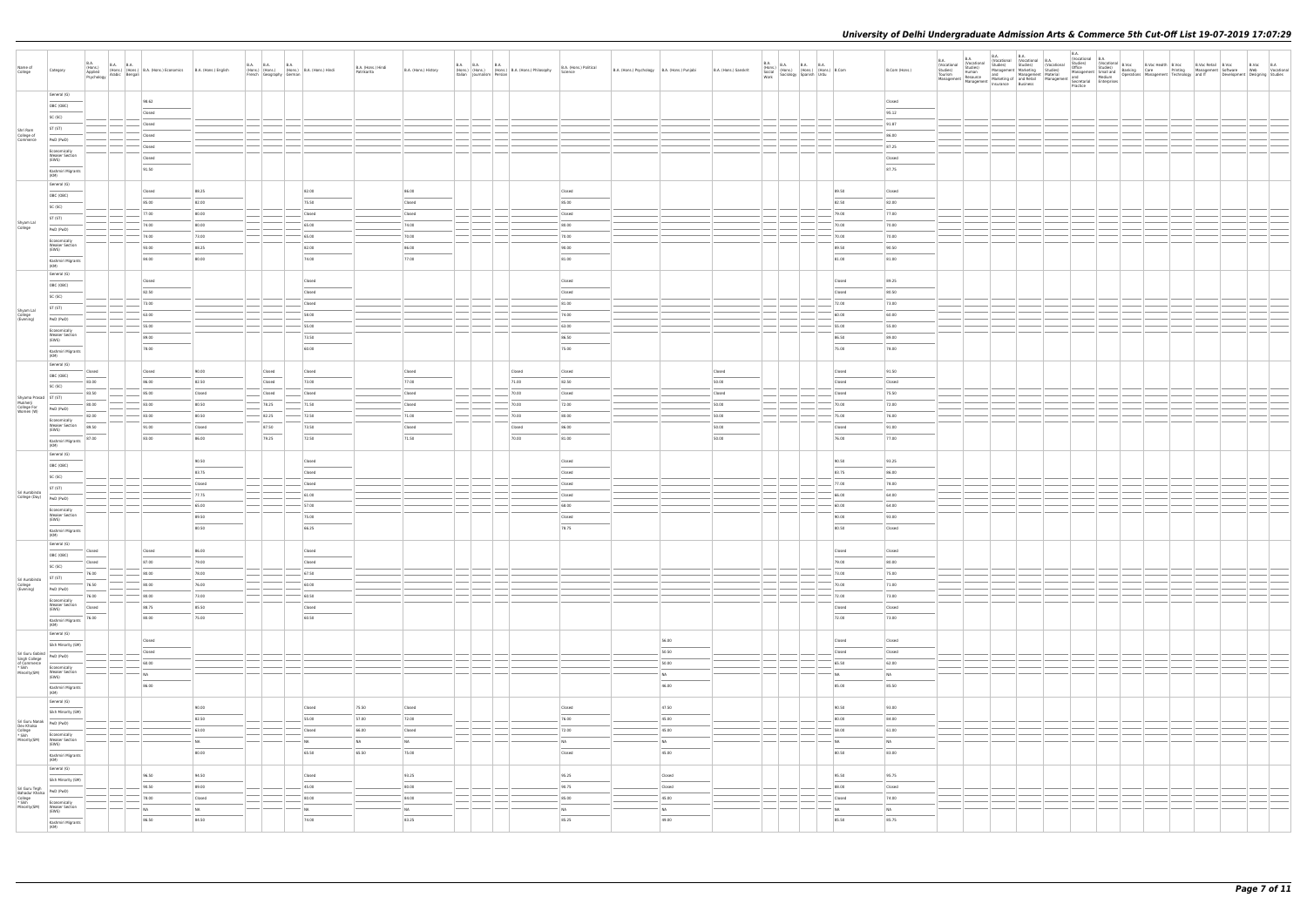| Name of<br>College                                                                                                                                                                                                                                                                          | Category                                                                                                                                                                                                                                                                                                                                                                                                                                                                                        |                                                                                                                                                                                                                                                                                                                                                                                                                                                                                               | B.A. (Hons.) B.A. B.A. (Hons.) B.A. (Hons.) Economics B.A. (Hons.) English Applied (Hons.) (Hons.) B.A. (Hons.) English Psychology Arabic Bengali |                 | B.A. B.A. |                  | <b>B.A.</b><br>(Hons.) (Hons.) (Hons.) B.A. (Hons.) Hindi<br>French Geography German | B.A. (Hons.) Hindi<br>Patrikarita | B.A. (Hons.) History | B.A. B.A. B.A.<br>Italian Journalism Persian | (Hons.) (Hons.) (Hons.) B.A. (Hons.) Philosophy | B.A. (Hons.) Political<br>Science | B.A. (Hons.) Psychology   B.A. (Hons.) Punjabi |                | B.A. (Hons.) Sanskrit |        | B.A. (Hons.) B.A. B.A. B.A. (Hons.) B.Com<br>Social (Hons.) (Hons.) (Hons.) B.Com<br>Work Sociology Spanish Urdu |                  | B.Com (Hons.)           | B.A.<br>(Vocational<br>Studies)<br>Tourism | Management   Management |  |  |  |  |  | B.A. (Vocational B.A. (Vocational B.A. (Vocational B.A. (Vocational B.A. (Vocational B.Voc<br>(Vocational Studies) (Studies) B.Voc<br>, Studies) Management Small and Banking Care Printing Management Software Web (Vocational Ma |
|---------------------------------------------------------------------------------------------------------------------------------------------------------------------------------------------------------------------------------------------------------------------------------------------|-------------------------------------------------------------------------------------------------------------------------------------------------------------------------------------------------------------------------------------------------------------------------------------------------------------------------------------------------------------------------------------------------------------------------------------------------------------------------------------------------|-----------------------------------------------------------------------------------------------------------------------------------------------------------------------------------------------------------------------------------------------------------------------------------------------------------------------------------------------------------------------------------------------------------------------------------------------------------------------------------------------|---------------------------------------------------------------------------------------------------------------------------------------------------|-----------------|-----------|------------------|--------------------------------------------------------------------------------------|-----------------------------------|----------------------|----------------------------------------------|-------------------------------------------------|-----------------------------------|------------------------------------------------|----------------|-----------------------|--------|------------------------------------------------------------------------------------------------------------------|------------------|-------------------------|--------------------------------------------|-------------------------|--|--|--|--|--|------------------------------------------------------------------------------------------------------------------------------------------------------------------------------------------------------------------------------------|
|                                                                                                                                                                                                                                                                                             | General (G)                                                                                                                                                                                                                                                                                                                                                                                                                                                                                     |                                                                                                                                                                                                                                                                                                                                                                                                                                                                                               | 98.62                                                                                                                                             |                 |           |                  |                                                                                      |                                   |                      |                                              |                                                 |                                   |                                                |                |                       |        |                                                                                                                  |                  | Closed                  |                                            |                         |  |  |  |  |  |                                                                                                                                                                                                                                    |
|                                                                                                                                                                                                                                                                                             | OBC (OBC)                                                                                                                                                                                                                                                                                                                                                                                                                                                                                       |                                                                                                                                                                                                                                                                                                                                                                                                                                                                                               | Closed                                                                                                                                            |                 |           |                  |                                                                                      |                                   |                      |                                              |                                                 |                                   |                                                |                |                       |        |                                                                                                                  |                  | 95.12                   |                                            |                         |  |  |  |  |  |                                                                                                                                                                                                                                    |
|                                                                                                                                                                                                                                                                                             | SC (SC)<br>ST (ST)                                                                                                                                                                                                                                                                                                                                                                                                                                                                              |                                                                                                                                                                                                                                                                                                                                                                                                                                                                                               | Closed                                                                                                                                            |                 |           |                  |                                                                                      |                                   |                      |                                              |                                                 |                                   |                                                |                |                       |        |                                                                                                                  |                  | 91.87                   |                                            |                         |  |  |  |  |  |                                                                                                                                                                                                                                    |
| Shri Ram<br>College of<br>Commerce                                                                                                                                                                                                                                                          | PwD (PwD)                                                                                                                                                                                                                                                                                                                                                                                                                                                                                       |                                                                                                                                                                                                                                                                                                                                                                                                                                                                                               | Closed                                                                                                                                            |                 |           |                  |                                                                                      |                                   |                      | $  -$                                        |                                                 |                                   |                                                |                |                       | $\sim$ |                                                                                                                  |                  | 86.00                   |                                            |                         |  |  |  |  |  |                                                                                                                                                                                                                                    |
|                                                                                                                                                                                                                                                                                             | Economically                                                                                                                                                                                                                                                                                                                                                                                                                                                                                    |                                                                                                                                                                                                                                                                                                                                                                                                                                                                                               | Closed                                                                                                                                            |                 |           |                  |                                                                                      |                                   |                      |                                              |                                                 |                                   |                                                |                |                       |        |                                                                                                                  |                  | 87.25                   |                                            |                         |  |  |  |  |  |                                                                                                                                                                                                                                    |
|                                                                                                                                                                                                                                                                                             | <b>Weaker Section</b><br>(EWS)                                                                                                                                                                                                                                                                                                                                                                                                                                                                  |                                                                                                                                                                                                                                                                                                                                                                                                                                                                                               | Closed                                                                                                                                            |                 |           |                  |                                                                                      |                                   |                      |                                              |                                                 |                                   |                                                |                |                       |        |                                                                                                                  |                  | Closed                  |                                            |                         |  |  |  |  |  |                                                                                                                                                                                                                                    |
|                                                                                                                                                                                                                                                                                             | Kashmiri Migrants<br>(KM)                                                                                                                                                                                                                                                                                                                                                                                                                                                                       |                                                                                                                                                                                                                                                                                                                                                                                                                                                                                               | 91.50                                                                                                                                             |                 |           |                  |                                                                                      |                                   |                      |                                              |                                                 |                                   |                                                |                |                       |        |                                                                                                                  |                  | 87.75                   |                                            |                         |  |  |  |  |  |                                                                                                                                                                                                                                    |
|                                                                                                                                                                                                                                                                                             | General (G)                                                                                                                                                                                                                                                                                                                                                                                                                                                                                     |                                                                                                                                                                                                                                                                                                                                                                                                                                                                                               |                                                                                                                                                   |                 |           |                  |                                                                                      |                                   |                      |                                              |                                                 |                                   |                                                |                |                       |        |                                                                                                                  | 89.50            |                         |                                            |                         |  |  |  |  |  |                                                                                                                                                                                                                                    |
|                                                                                                                                                                                                                                                                                             | OBC (OBC)                                                                                                                                                                                                                                                                                                                                                                                                                                                                                       |                                                                                                                                                                                                                                                                                                                                                                                                                                                                                               | Closed<br>85.00                                                                                                                                   | 88.25<br>82.00  |           |                  | 82.00<br>75.50                                                                       |                                   | 86.00<br>Closed      |                                              |                                                 | Closed<br>85.00                   |                                                |                |                       |        |                                                                                                                  | 82.50            | Closed<br>82.00         |                                            |                         |  |  |  |  |  |                                                                                                                                                                                                                                    |
|                                                                                                                                                                                                                                                                                             | SC (SC)                                                                                                                                                                                                                                                                                                                                                                                                                                                                                         |                                                                                                                                                                                                                                                                                                                                                                                                                                                                                               | 77.00                                                                                                                                             | 80.00           |           |                  | Closed                                                                               |                                   | Closed               |                                              |                                                 | Closed                            |                                                |                |                       |        |                                                                                                                  | 79.00            | 77.00                   |                                            |                         |  |  |  |  |  |                                                                                                                                                                                                                                    |
| Shyam Lal<br>College                                                                                                                                                                                                                                                                        | ST (ST)                                                                                                                                                                                                                                                                                                                                                                                                                                                                                         |                                                                                                                                                                                                                                                                                                                                                                                                                                                                                               | 74.00                                                                                                                                             | 80.00           |           |                  | 65.00                                                                                |                                   | 74.00                |                                              |                                                 | 80.00                             |                                                |                |                       |        |                                                                                                                  | 70.00            | 70.00                   |                                            |                         |  |  |  |  |  |                                                                                                                                                                                                                                    |
|                                                                                                                                                                                                                                                                                             | PwD (PwD)<br>Economically                                                                                                                                                                                                                                                                                                                                                                                                                                                                       |                                                                                                                                                                                                                                                                                                                                                                                                                                                                                               | 74.00                                                                                                                                             | 73.00           |           |                  | 65.00                                                                                |                                   | 70.00                |                                              |                                                 | 70.00                             |                                                |                |                       |        |                                                                                                                  | 70.00            | 70.00                   |                                            |                         |  |  |  |  |  |                                                                                                                                                                                                                                    |
|                                                                                                                                                                                                                                                                                             | <b>Weaker Section</b><br>(EWS)                                                                                                                                                                                                                                                                                                                                                                                                                                                                  |                                                                                                                                                                                                                                                                                                                                                                                                                                                                                               | 93.00                                                                                                                                             | 88.25           |           |                  | 82.00                                                                                |                                   | 86.00                |                                              |                                                 | 90.00                             |                                                |                |                       |        |                                                                                                                  | 89.50            | 90.50                   |                                            |                         |  |  |  |  |  |                                                                                                                                                                                                                                    |
|                                                                                                                                                                                                                                                                                             | $\frac{1}{2}$<br>Kashmiri Migrants<br>(KM)                                                                                                                                                                                                                                                                                                                                                                                                                                                      |                                                                                                                                                                                                                                                                                                                                                                                                                                                                                               | 84.00                                                                                                                                             | 80.00           |           |                  | 74.00                                                                                |                                   | 77.00                |                                              |                                                 | 81.00                             |                                                |                |                       |        |                                                                                                                  | 81.00            | 81.00                   |                                            |                         |  |  |  |  |  |                                                                                                                                                                                                                                    |
|                                                                                                                                                                                                                                                                                             | General (G)                                                                                                                                                                                                                                                                                                                                                                                                                                                                                     |                                                                                                                                                                                                                                                                                                                                                                                                                                                                                               |                                                                                                                                                   |                 |           |                  |                                                                                      |                                   |                      |                                              |                                                 |                                   |                                                |                |                       |        |                                                                                                                  |                  |                         |                                            |                         |  |  |  |  |  |                                                                                                                                                                                                                                    |
|                                                                                                                                                                                                                                                                                             | OBC (OBC)                                                                                                                                                                                                                                                                                                                                                                                                                                                                                       |                                                                                                                                                                                                                                                                                                                                                                                                                                                                                               | Closed                                                                                                                                            |                 |           |                  | Closed                                                                               |                                   |                      |                                              |                                                 | Closed                            |                                                |                |                       |        |                                                                                                                  | Closed           | 89.25                   |                                            |                         |  |  |  |  |  |                                                                                                                                                                                                                                    |
|                                                                                                                                                                                                                                                                                             | SC (SC)                                                                                                                                                                                                                                                                                                                                                                                                                                                                                         |                                                                                                                                                                                                                                                                                                                                                                                                                                                                                               | 82.50<br>73.00                                                                                                                                    |                 |           |                  | Closed<br>Closed                                                                     |                                   |                      |                                              |                                                 | Closed<br>81.00                   |                                                |                |                       |        |                                                                                                                  | Closed<br>72.00  | 80.50<br>73.00          |                                            |                         |  |  |  |  |  |                                                                                                                                                                                                                                    |
| Shyam Lal<br>College<br>(Evening)                                                                                                                                                                                                                                                           | ST(ST)                                                                                                                                                                                                                                                                                                                                                                                                                                                                                          |                                                                                                                                                                                                                                                                                                                                                                                                                                                                                               | 63.00                                                                                                                                             |                 |           |                  | 58.00                                                                                |                                   |                      |                                              |                                                 | 74.00                             |                                                |                |                       |        |                                                                                                                  | 60.00            | 60.00                   |                                            |                         |  |  |  |  |  |                                                                                                                                                                                                                                    |
|                                                                                                                                                                                                                                                                                             | PwD (PwD)                                                                                                                                                                                                                                                                                                                                                                                                                                                                                       |                                                                                                                                                                                                                                                                                                                                                                                                                                                                                               | 55.00                                                                                                                                             |                 |           |                  | 55.00                                                                                |                                   |                      |                                              |                                                 | 63.00                             |                                                |                |                       |        |                                                                                                                  | 55.00            | 55.00                   |                                            |                         |  |  |  |  |  |                                                                                                                                                                                                                                    |
|                                                                                                                                                                                                                                                                                             | Economically<br><b>Weaker Section</b><br>(EWS)                                                                                                                                                                                                                                                                                                                                                                                                                                                  |                                                                                                                                                                                                                                                                                                                                                                                                                                                                                               | 89.00                                                                                                                                             |                 |           |                  | 73.50                                                                                |                                   |                      |                                              |                                                 | 86.50                             |                                                |                |                       |        |                                                                                                                  | 86.50            | 89.00                   |                                            |                         |  |  |  |  |  |                                                                                                                                                                                                                                    |
|                                                                                                                                                                                                                                                                                             | Kashmiri Migrants<br>(KM)                                                                                                                                                                                                                                                                                                                                                                                                                                                                       |                                                                                                                                                                                                                                                                                                                                                                                                                                                                                               | 78.00                                                                                                                                             |                 |           |                  | 60.00                                                                                |                                   |                      |                                              |                                                 | 75.00                             |                                                |                |                       |        |                                                                                                                  | 75.00            | 78.00                   |                                            |                         |  |  |  |  |  |                                                                                                                                                                                                                                    |
|                                                                                                                                                                                                                                                                                             | General (G)                                                                                                                                                                                                                                                                                                                                                                                                                                                                                     |                                                                                                                                                                                                                                                                                                                                                                                                                                                                                               |                                                                                                                                                   |                 |           |                  |                                                                                      |                                   |                      |                                              |                                                 |                                   |                                                |                |                       |        |                                                                                                                  |                  |                         |                                            |                         |  |  |  |  |  |                                                                                                                                                                                                                                    |
|                                                                                                                                                                                                                                                                                             | OBC (OBC)                                                                                                                                                                                                                                                                                                                                                                                                                                                                                       | Closed                                                                                                                                                                                                                                                                                                                                                                                                                                                                                        | Closed                                                                                                                                            | 90.00           |           | Closed           | Closed                                                                               |                                   | Closed               |                                              | Closed                                          | Closed                            |                                                |                | Closed                |        |                                                                                                                  | Closed           | 91.50                   |                                            |                         |  |  |  |  |  |                                                                                                                                                                                                                                    |
|                                                                                                                                                                                                                                                                                             | SC (SC)                                                                                                                                                                                                                                                                                                                                                                                                                                                                                         | 83.00<br>83.50                                                                                                                                                                                                                                                                                                                                                                                                                                                                                | 86.00<br>85.00                                                                                                                                    | 82.50<br>Closed |           | Closed<br>Closed | 73.00<br>Closed                                                                      |                                   | 77.00<br>Closed      |                                              | 71.00<br>70.00                                  | 82.50                             |                                                |                | 50.00<br>Closed       |        |                                                                                                                  | Closed<br>Closed | Closed<br>75.50         |                                            |                         |  |  |  |  |  |                                                                                                                                                                                                                                    |
| Shyama Prasad ST (ST)                                                                                                                                                                                                                                                                       |                                                                                                                                                                                                                                                                                                                                                                                                                                                                                                 | 80.00                                                                                                                                                                                                                                                                                                                                                                                                                                                                                         | 83.00                                                                                                                                             | 80.50           |           | 78.25            | 71.50                                                                                |                                   | Closed               |                                              | 70.00                                           | Closed<br>72.00                   |                                                |                | 50.00                 |        |                                                                                                                  | 70.00            | 72.00                   |                                            |                         |  |  |  |  |  |                                                                                                                                                                                                                                    |
| Mukherji<br>College For<br>Women (W)                                                                                                                                                                                                                                                        | PwD (PwD)                                                                                                                                                                                                                                                                                                                                                                                                                                                                                       | 82.00                                                                                                                                                                                                                                                                                                                                                                                                                                                                                         | 83.00                                                                                                                                             | 80.50           |           | 82.25            | 72.50                                                                                |                                   | 71.00                |                                              | 70.00                                           | 80.00                             |                                                |                | 50.00                 |        |                                                                                                                  | 75.00            | 76.00                   |                                            |                         |  |  |  |  |  |                                                                                                                                                                                                                                    |
|                                                                                                                                                                                                                                                                                             | Economically<br><b>Weaker Section</b><br>(EWS)                                                                                                                                                                                                                                                                                                                                                                                                                                                  | 89.50                                                                                                                                                                                                                                                                                                                                                                                                                                                                                         | 91.00                                                                                                                                             | Closed          |           | 87.50            | 73.50                                                                                |                                   | Closed               |                                              | Closed                                          | 86.00                             |                                                |                | 50.00                 |        |                                                                                                                  | Closed           | 91.00                   |                                            |                         |  |  |  |  |  |                                                                                                                                                                                                                                    |
|                                                                                                                                                                                                                                                                                             | Kashmiri Migrants 87.00                                                                                                                                                                                                                                                                                                                                                                                                                                                                         |                                                                                                                                                                                                                                                                                                                                                                                                                                                                                               | 83.00                                                                                                                                             | 86.00           |           | 79.25            | 72.50                                                                                |                                   | 71.50                |                                              | 70.00                                           | 81.00                             |                                                |                | 50.00                 |        |                                                                                                                  | 76.00            | 77.00                   |                                            |                         |  |  |  |  |  |                                                                                                                                                                                                                                    |
|                                                                                                                                                                                                                                                                                             | (KM)<br>General (G)                                                                                                                                                                                                                                                                                                                                                                                                                                                                             |                                                                                                                                                                                                                                                                                                                                                                                                                                                                                               |                                                                                                                                                   |                 |           |                  |                                                                                      |                                   |                      |                                              |                                                 |                                   |                                                |                |                       |        |                                                                                                                  |                  |                         |                                            |                         |  |  |  |  |  |                                                                                                                                                                                                                                    |
|                                                                                                                                                                                                                                                                                             | OBC (OBC)                                                                                                                                                                                                                                                                                                                                                                                                                                                                                       |                                                                                                                                                                                                                                                                                                                                                                                                                                                                                               |                                                                                                                                                   | 90.50           |           |                  | Closed                                                                               |                                   |                      |                                              |                                                 | Closed                            |                                                |                |                       |        |                                                                                                                  | 90.50            | 93.25                   |                                            |                         |  |  |  |  |  |                                                                                                                                                                                                                                    |
|                                                                                                                                                                                                                                                                                             | SC (SC)                                                                                                                                                                                                                                                                                                                                                                                                                                                                                         |                                                                                                                                                                                                                                                                                                                                                                                                                                                                                               |                                                                                                                                                   | 83.75           |           |                  | Closed                                                                               |                                   |                      |                                              |                                                 | Closed                            |                                                |                |                       |        |                                                                                                                  | 83.75            | 86.00                   |                                            |                         |  |  |  |  |  |                                                                                                                                                                                                                                    |
| Sri Aurobindo                                                                                                                                                                                                                                                                               | ST (ST)                                                                                                                                                                                                                                                                                                                                                                                                                                                                                         |                                                                                                                                                                                                                                                                                                                                                                                                                                                                                               |                                                                                                                                                   | Closed<br>77.75 |           |                  | Closed<br>61.00                                                                      |                                   |                      |                                              |                                                 | Closed<br>Closed                  |                                                |                |                       |        |                                                                                                                  | 77.00<br>66.00   | 78.00<br>64.00          |                                            |                         |  |  |  |  |  |                                                                                                                                                                                                                                    |
| College (Day) $\left  \begin{array}{cc} PWD & (PWD) \end{array} \right $                                                                                                                                                                                                                    |                                                                                                                                                                                                                                                                                                                                                                                                                                                                                                 |                                                                                                                                                                                                                                                                                                                                                                                                                                                                                               |                                                                                                                                                   | 65.00           |           |                  | 57.00                                                                                |                                   |                      |                                              |                                                 | 68.00                             |                                                |                |                       |        |                                                                                                                  | 60.00            | 64.00                   |                                            |                         |  |  |  |  |  |                                                                                                                                                                                                                                    |
|                                                                                                                                                                                                                                                                                             | Economically<br><b>Weaker Section</b><br>(EWS)                                                                                                                                                                                                                                                                                                                                                                                                                                                  |                                                                                                                                                                                                                                                                                                                                                                                                                                                                                               |                                                                                                                                                   | 89.50           |           |                  | 75.00                                                                                |                                   |                      |                                              |                                                 | Closed                            |                                                |                |                       |        |                                                                                                                  | 90.00            | 93.00                   |                                            |                         |  |  |  |  |  |                                                                                                                                                                                                                                    |
|                                                                                                                                                                                                                                                                                             | $\frac{1}{2} \left( \frac{1}{2} \right) \left( \frac{1}{2} \right) \left( \frac{1}{2} \right) \left( \frac{1}{2} \right) \left( \frac{1}{2} \right) \left( \frac{1}{2} \right) \left( \frac{1}{2} \right) \left( \frac{1}{2} \right) \left( \frac{1}{2} \right) \left( \frac{1}{2} \right) \left( \frac{1}{2} \right) \left( \frac{1}{2} \right) \left( \frac{1}{2} \right) \left( \frac{1}{2} \right) \left( \frac{1}{2} \right) \left( \frac{1}{2} \right) \left( \frac$<br>Kashmiri Migrants |                                                                                                                                                                                                                                                                                                                                                                                                                                                                                               |                                                                                                                                                   | 80.50           |           |                  | 66.25                                                                                |                                   |                      |                                              |                                                 | 78.75                             |                                                |                |                       |        |                                                                                                                  | 80.50            | Closed                  |                                            |                         |  |  |  |  |  |                                                                                                                                                                                                                                    |
|                                                                                                                                                                                                                                                                                             | (KM)<br>General (G)                                                                                                                                                                                                                                                                                                                                                                                                                                                                             |                                                                                                                                                                                                                                                                                                                                                                                                                                                                                               |                                                                                                                                                   |                 |           |                  |                                                                                      |                                   |                      |                                              |                                                 |                                   |                                                |                |                       |        |                                                                                                                  |                  |                         |                                            |                         |  |  |  |  |  |                                                                                                                                                                                                                                    |
|                                                                                                                                                                                                                                                                                             | OBC (OBC)                                                                                                                                                                                                                                                                                                                                                                                                                                                                                       | Closed<br>$\overline{\phantom{a}}$                                                                                                                                                                                                                                                                                                                                                                                                                                                            | Closed                                                                                                                                            | 86.00           |           |                  | Closed                                                                               |                                   |                      |                                              |                                                 |                                   |                                                |                |                       |        |                                                                                                                  | Closed           | Closed                  |                                            |                         |  |  |  |  |  |                                                                                                                                                                                                                                    |
|                                                                                                                                                                                                                                                                                             | SC (SC)                                                                                                                                                                                                                                                                                                                                                                                                                                                                                         | Closed<br>$\frac{1}{2} \left( \frac{1}{2} \right) \left( \frac{1}{2} \right) \left( \frac{1}{2} \right) \left( \frac{1}{2} \right) \left( \frac{1}{2} \right) \left( \frac{1}{2} \right) \left( \frac{1}{2} \right) \left( \frac{1}{2} \right) \left( \frac{1}{2} \right) \left( \frac{1}{2} \right) \left( \frac{1}{2} \right) \left( \frac{1}{2} \right) \left( \frac{1}{2} \right) \left( \frac{1}{2} \right) \left( \frac{1}{2} \right) \left( \frac{1}{2} \right) \left( \frac$<br>76.00 | 87.00<br>80.00                                                                                                                                    | 79.00<br>78.00  |           |                  | Closed<br>67.50                                                                      |                                   |                      |                                              |                                                 |                                   |                                                |                |                       |        |                                                                                                                  | 79.00<br>73.00   | 80.00<br>75.00          |                                            |                         |  |  |  |  |  |                                                                                                                                                                                                                                    |
| Sri Aurobindo<br>College<br>(Evening)                                                                                                                                                                                                                                                       | $ST(ST)$                                                                                                                                                                                                                                                                                                                                                                                                                                                                                        | 76.50                                                                                                                                                                                                                                                                                                                                                                                                                                                                                         | 80.00                                                                                                                                             | 76.00           |           |                  | 60.00                                                                                |                                   |                      |                                              |                                                 |                                   |                                                |                |                       |        |                                                                                                                  | 70.00            | 71.00                   |                                            |                         |  |  |  |  |  |                                                                                                                                                                                                                                    |
|                                                                                                                                                                                                                                                                                             | PwD (PwD)                                                                                                                                                                                                                                                                                                                                                                                                                                                                                       | 76.00                                                                                                                                                                                                                                                                                                                                                                                                                                                                                         | 80.00                                                                                                                                             | 73.00           |           |                  | 60.50                                                                                |                                   |                      | $\frac{1}{2}$                                |                                                 |                                   |                                                |                |                       |        |                                                                                                                  | 72.00            | 73.00                   |                                            |                         |  |  |  |  |  |                                                                                                                                                                                                                                    |
|                                                                                                                                                                                                                                                                                             | Economically<br><b>Weaker Section</b><br>(EWS)                                                                                                                                                                                                                                                                                                                                                                                                                                                  | Closed                                                                                                                                                                                                                                                                                                                                                                                                                                                                                        | 88.75                                                                                                                                             | 85.50           |           |                  | Closed                                                                               |                                   |                      |                                              |                                                 |                                   |                                                |                |                       |        |                                                                                                                  | Closed           | Closed                  |                                            |                         |  |  |  |  |  |                                                                                                                                                                                                                                    |
|                                                                                                                                                                                                                                                                                             | Kashmiri Migrants<br>(KM)                                                                                                                                                                                                                                                                                                                                                                                                                                                                       | 76.00                                                                                                                                                                                                                                                                                                                                                                                                                                                                                         | 80.00                                                                                                                                             | 75.00           |           |                  | 60.50                                                                                |                                   |                      |                                              |                                                 |                                   |                                                |                |                       |        |                                                                                                                  | 72.00            | 73.00                   |                                            |                         |  |  |  |  |  |                                                                                                                                                                                                                                    |
|                                                                                                                                                                                                                                                                                             | General (G)                                                                                                                                                                                                                                                                                                                                                                                                                                                                                     |                                                                                                                                                                                                                                                                                                                                                                                                                                                                                               |                                                                                                                                                   |                 |           |                  |                                                                                      |                                   |                      |                                              |                                                 |                                   |                                                |                |                       |        |                                                                                                                  |                  |                         |                                            |                         |  |  |  |  |  |                                                                                                                                                                                                                                    |
|                                                                                                                                                                                                                                                                                             | Sikh Minority (SM)                                                                                                                                                                                                                                                                                                                                                                                                                                                                              |                                                                                                                                                                                                                                                                                                                                                                                                                                                                                               | Closed<br>Closed                                                                                                                                  |                 |           |                  |                                                                                      |                                   |                      |                                              |                                                 |                                   |                                                | 56.00<br>50.50 |                       |        |                                                                                                                  | Closed<br>Closed | Closed<br>Closed        |                                            |                         |  |  |  |  |  |                                                                                                                                                                                                                                    |
|                                                                                                                                                                                                                                                                                             |                                                                                                                                                                                                                                                                                                                                                                                                                                                                                                 |                                                                                                                                                                                                                                                                                                                                                                                                                                                                                               | 60.00                                                                                                                                             |                 |           |                  |                                                                                      |                                   |                      |                                              |                                                 |                                   |                                                | 50.00          |                       |        |                                                                                                                  | 65.50            | 62.00                   |                                            |                         |  |  |  |  |  |                                                                                                                                                                                                                                    |
| Sri Guru Gobind<br>Singh College<br>of Commerce<br>* Sikh<br>Minority(SM)<br>$\begin{array}{r} \n\hline\n\text{FWD (PWD)}\n\end{array}$<br>$\begin{array}{r} \n\hline\n\text{Economically} \n\end{array}$<br>Minority(SM)<br>$\begin{array}{r} \n\hline\n\text{Economically} \n\end{array}$ | Economically<br>Weaker Section<br>(EWS)                                                                                                                                                                                                                                                                                                                                                                                                                                                         |                                                                                                                                                                                                                                                                                                                                                                                                                                                                                               | NA                                                                                                                                                |                 |           |                  |                                                                                      |                                   |                      |                                              |                                                 |                                   |                                                | NA             |                       |        |                                                                                                                  | NA               | N <sub>A</sub>          |                                            |                         |  |  |  |  |  |                                                                                                                                                                                                                                    |
|                                                                                                                                                                                                                                                                                             | Kashmiri Migrants                                                                                                                                                                                                                                                                                                                                                                                                                                                                               |                                                                                                                                                                                                                                                                                                                                                                                                                                                                                               | 86.00                                                                                                                                             |                 |           |                  |                                                                                      |                                   |                      |                                              |                                                 |                                   |                                                | 46.00          |                       |        |                                                                                                                  | 85.00            | 85.50                   |                                            |                         |  |  |  |  |  |                                                                                                                                                                                                                                    |
|                                                                                                                                                                                                                                                                                             | (KM)<br>General (G)                                                                                                                                                                                                                                                                                                                                                                                                                                                                             |                                                                                                                                                                                                                                                                                                                                                                                                                                                                                               |                                                                                                                                                   |                 |           |                  |                                                                                      |                                   |                      |                                              |                                                 |                                   |                                                |                |                       |        |                                                                                                                  |                  |                         |                                            |                         |  |  |  |  |  |                                                                                                                                                                                                                                    |
|                                                                                                                                                                                                                                                                                             | Sikh Minority (SM)                                                                                                                                                                                                                                                                                                                                                                                                                                                                              |                                                                                                                                                                                                                                                                                                                                                                                                                                                                                               |                                                                                                                                                   | 90.00           |           |                  | Closed                                                                               | 75.50                             | Closed               |                                              |                                                 | Closed                            |                                                | 47.50          |                       |        |                                                                                                                  | 90.50            | 93.00                   |                                            |                         |  |  |  |  |  |                                                                                                                                                                                                                                    |
|                                                                                                                                                                                                                                                                                             | PwD (PwD)                                                                                                                                                                                                                                                                                                                                                                                                                                                                                       |                                                                                                                                                                                                                                                                                                                                                                                                                                                                                               |                                                                                                                                                   | 82.50           |           |                  | 55.00                                                                                | 57.00                             | 72.00                |                                              |                                                 | 76.00                             |                                                | 45.00          |                       |        |                                                                                                                  | 80.00            | 84.00                   |                                            |                         |  |  |  |  |  |                                                                                                                                                                                                                                    |
| Sri Guru Nanak<br>Dev Khalsa<br>College<br>* Sikh<br>Minority(SM)                                                                                                                                                                                                                           | Economically                                                                                                                                                                                                                                                                                                                                                                                                                                                                                    |                                                                                                                                                                                                                                                                                                                                                                                                                                                                                               |                                                                                                                                                   | 63.00           |           |                  | Closed                                                                               | 66.00                             | Closed               |                                              |                                                 | 72.00                             |                                                | 45.00          |                       |        |                                                                                                                  | 58.00            | 61.00                   |                                            |                         |  |  |  |  |  |                                                                                                                                                                                                                                    |
|                                                                                                                                                                                                                                                                                             | Weaker Section<br>(EWS)                                                                                                                                                                                                                                                                                                                                                                                                                                                                         |                                                                                                                                                                                                                                                                                                                                                                                                                                                                                               |                                                                                                                                                   | NA<br>80.00     |           |                  | NA<br>65.50                                                                          | NA<br>65.50                       | <b>NA</b><br>75.00   |                                              |                                                 | NA<br>Closed                      |                                                | NA<br>45.00    |                       |        |                                                                                                                  | NA<br>80.50      | N <sub>A</sub><br>83.00 |                                            |                         |  |  |  |  |  |                                                                                                                                                                                                                                    |
|                                                                                                                                                                                                                                                                                             | Kashmiri Migrants<br>(KM)                                                                                                                                                                                                                                                                                                                                                                                                                                                                       |                                                                                                                                                                                                                                                                                                                                                                                                                                                                                               |                                                                                                                                                   |                 |           |                  |                                                                                      |                                   |                      |                                              |                                                 |                                   |                                                |                |                       |        |                                                                                                                  |                  |                         |                                            |                         |  |  |  |  |  |                                                                                                                                                                                                                                    |
|                                                                                                                                                                                                                                                                                             | General (G)                                                                                                                                                                                                                                                                                                                                                                                                                                                                                     |                                                                                                                                                                                                                                                                                                                                                                                                                                                                                               | 96.50                                                                                                                                             | 94.50           |           |                  | Closed                                                                               |                                   | 93.25                |                                              |                                                 | 95.25                             |                                                | Closed         |                       |        |                                                                                                                  | 95.50            | 95.75                   |                                            |                         |  |  |  |  |  |                                                                                                                                                                                                                                    |
|                                                                                                                                                                                                                                                                                             | Sikh Minority (SM)                                                                                                                                                                                                                                                                                                                                                                                                                                                                              |                                                                                                                                                                                                                                                                                                                                                                                                                                                                                               | 90.50                                                                                                                                             | 89.00           |           |                  | 45.00                                                                                |                                   | 80.00                |                                              |                                                 | 90.75                             |                                                | Closed         |                       |        |                                                                                                                  | 88.00            | Closed                  |                                            |                         |  |  |  |  |  |                                                                                                                                                                                                                                    |
|                                                                                                                                                                                                                                                                                             | Sri Guru Tegh<br>Bahadur Khalsa<br>College (PWD (PWD)<br>College (PWD Economically<br>Minority(SM) (EWS)                                                                                                                                                                                                                                                                                                                                                                                        |                                                                                                                                                                                                                                                                                                                                                                                                                                                                                               | 78.00                                                                                                                                             | Closed          |           |                  | 80.00                                                                                |                                   | 84.00                |                                              |                                                 | 85.00                             |                                                | 45.00          |                       |        |                                                                                                                  | Closed           | 74.00                   |                                            |                         |  |  |  |  |  |                                                                                                                                                                                                                                    |
|                                                                                                                                                                                                                                                                                             |                                                                                                                                                                                                                                                                                                                                                                                                                                                                                                 |                                                                                                                                                                                                                                                                                                                                                                                                                                                                                               | NA                                                                                                                                                | NA              |           |                  | NA                                                                                   |                                   | NA                   |                                              |                                                 | NA<br>$\overline{\phantom{a}}$    |                                                | NA             |                       |        |                                                                                                                  | NA               | N <sub>A</sub>          |                                            |                         |  |  |  |  |  |                                                                                                                                                                                                                                    |
|                                                                                                                                                                                                                                                                                             | Kashmiri Migrants<br>(KM)                                                                                                                                                                                                                                                                                                                                                                                                                                                                       |                                                                                                                                                                                                                                                                                                                                                                                                                                                                                               | 86.50                                                                                                                                             | 84.50           |           |                  | 74.00                                                                                |                                   | 83.25                |                                              |                                                 | 85.25                             |                                                | 49.00          |                       |        |                                                                                                                  | 85.50            | 85.75                   |                                            |                         |  |  |  |  |  |                                                                                                                                                                                                                                    |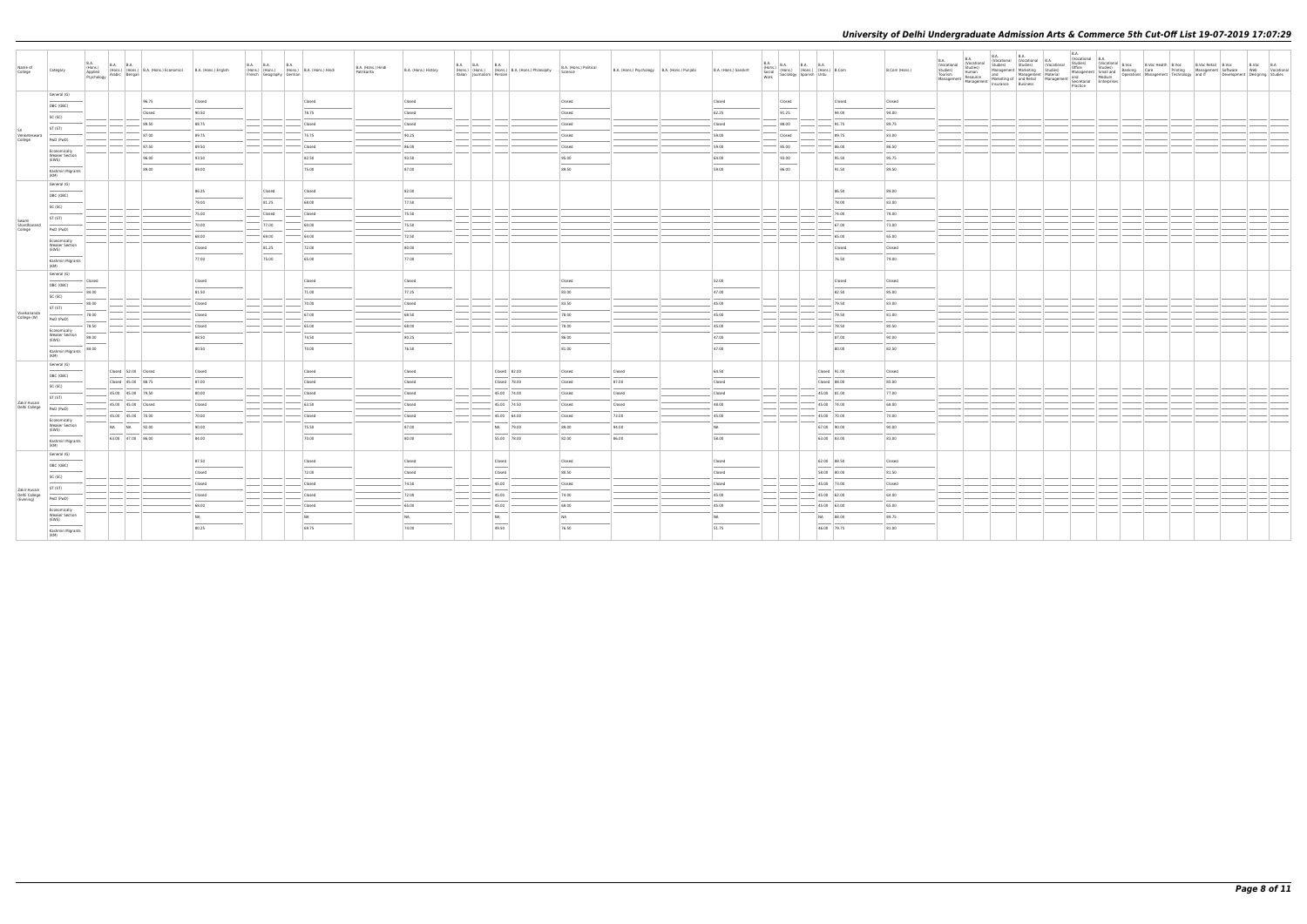| Name of<br>College                         | Category                                | <b>B.A.</b><br>(Hons.)<br>Applied<br>Psychology | B.A. B.A. (Hons.) B.A. (Hons.) Economics B.A. (Hons.) English<br>Iv Arabic Bengali |        | French Geography German | B.A. B.A. B.A. B.A. (Hons.) B.A. (Hons.) Hindi | B.A. (Hons.) Hindi<br>Patrikarita | B.A. (Hons.) History | B.A. B.A. B.A. B.A. (Hons.) B.A. (Hons.) Philosophy<br>Italian Journalism Persian                                                                                                                                                                                                                                                                                                                                                                                                | B.A. (Hons.) Political<br>Science | B.A. (Hons.) Psychology   B.A. (Hons.) Punjabi | B.A. (Hons.) Sanskrit | <b>B.A.</b><br>B.A. (Hons.) B.A. B.A. B.A. (Hons.) B.Com<br>Social (Hons.) (Hons.) (Hons.) B.Com<br>Work Sociology Spanish Urdu |                   | B.Com (Hons.) | B.A.<br>(Vocational<br>Studies)<br>Tourism | <b>B.A.</b><br>(Vocational<br>Studies)<br>Human<br>Resource<br>Management Management Material and Management and Medium<br>Management Management Marketing of and Retail Management Secretarial Enterprises | <b>B.A.</b><br>B.A.<br>(Vocational B.A.<br>Studies) Studies) (Vocational B.A.<br>Management Marketing Studies)<br>and Management Material<br>Insurance Business | <b>B.A.</b> |  |  |  | Development Designing Studies | B.Voc B.A<br>Web Vocational |
|--------------------------------------------|-----------------------------------------|-------------------------------------------------|------------------------------------------------------------------------------------|--------|-------------------------|------------------------------------------------|-----------------------------------|----------------------|----------------------------------------------------------------------------------------------------------------------------------------------------------------------------------------------------------------------------------------------------------------------------------------------------------------------------------------------------------------------------------------------------------------------------------------------------------------------------------|-----------------------------------|------------------------------------------------|-----------------------|---------------------------------------------------------------------------------------------------------------------------------|-------------------|---------------|--------------------------------------------|-------------------------------------------------------------------------------------------------------------------------------------------------------------------------------------------------------------|-----------------------------------------------------------------------------------------------------------------------------------------------------------------|-------------|--|--|--|-------------------------------|-----------------------------|
|                                            | General (G)                             |                                                 |                                                                                    |        |                         |                                                |                                   |                      |                                                                                                                                                                                                                                                                                                                                                                                                                                                                                  |                                   |                                                |                       |                                                                                                                                 |                   |               |                                            |                                                                                                                                                                                                             |                                                                                                                                                                 |             |  |  |  |                               |                             |
|                                            | OBC (OBC)                               |                                                 | 96.75                                                                              | Closed |                         | Closed                                         |                                   | Closed               |                                                                                                                                                                                                                                                                                                                                                                                                                                                                                  | Closed                            |                                                | Closed                | Closed                                                                                                                          | Closed            | Closed        |                                            |                                                                                                                                                                                                             |                                                                                                                                                                 |             |  |  |  |                               |                             |
|                                            | SC (SC)                                 |                                                 | Closed                                                                             | 90.50  |                         | 78.75                                          |                                   | Closed               |                                                                                                                                                                                                                                                                                                                                                                                                                                                                                  | Closed                            |                                                | 62.25                 | 91.25                                                                                                                           | 94.00             | 94.00         |                                            |                                                                                                                                                                                                             |                                                                                                                                                                 |             |  |  |  |                               |                             |
|                                            | ST (ST)                                 |                                                 | 89.50                                                                              | 88.75  |                         | Closed                                         |                                   | Closed               |                                                                                                                                                                                                                                                                                                                                                                                                                                                                                  | Closed                            |                                                | Closed                | 88.00                                                                                                                           | 91.75             | 89.75         |                                            |                                                                                                                                                                                                             |                                                                                                                                                                 |             |  |  |  |                               |                             |
| Venketeswara<br>College                    |                                         |                                                 | 87.00                                                                              | 89.75  |                         | 75.75                                          |                                   | 90.25                |                                                                                                                                                                                                                                                                                                                                                                                                                                                                                  | Closed                            |                                                | 59.00                 | Closed                                                                                                                          | 89.75             | 83.00         |                                            |                                                                                                                                                                                                             |                                                                                                                                                                 |             |  |  |  |                               |                             |
|                                            | PwD (PwD)                               |                                                 | $-87.50$                                                                           | 89.50  |                         | Closed                                         |                                   | 86.00                |                                                                                                                                                                                                                                                                                                                                                                                                                                                                                  | Closed                            |                                                | 59.00                 | 85.00                                                                                                                           | 86.00             | 86.50         |                                            |                                                                                                                                                                                                             |                                                                                                                                                                 |             |  |  |  |                               |                             |
|                                            | Economically<br><b>Weaker Section</b>   |                                                 | 96.00                                                                              | 93.50  |                         | 82.50                                          |                                   | 93.50                |                                                                                                                                                                                                                                                                                                                                                                                                                                                                                  | 95.00                             |                                                | 64.00                 | 93.00                                                                                                                           | 95.50             | 95.75         |                                            |                                                                                                                                                                                                             |                                                                                                                                                                 |             |  |  |  |                               |                             |
|                                            | (EWS)                                   |                                                 | 89.00                                                                              | 89.00  |                         | 75.00                                          |                                   | 87.00                |                                                                                                                                                                                                                                                                                                                                                                                                                                                                                  | 89.50                             |                                                | 59.00                 | 86.00                                                                                                                           | 91.50             | 89.50         |                                            |                                                                                                                                                                                                             |                                                                                                                                                                 |             |  |  |  |                               |                             |
|                                            | Kashmiri Migrants<br>(KM)               |                                                 |                                                                                    |        |                         |                                                |                                   |                      |                                                                                                                                                                                                                                                                                                                                                                                                                                                                                  |                                   |                                                |                       |                                                                                                                                 |                   |               |                                            |                                                                                                                                                                                                             |                                                                                                                                                                 |             |  |  |  |                               |                             |
|                                            | General (G)                             |                                                 |                                                                                    |        |                         |                                                |                                   |                      |                                                                                                                                                                                                                                                                                                                                                                                                                                                                                  |                                   |                                                |                       |                                                                                                                                 |                   |               |                                            |                                                                                                                                                                                                             |                                                                                                                                                                 |             |  |  |  |                               |                             |
|                                            | OBC (OBC)                               |                                                 |                                                                                    | 86.25  | Closed                  | Closed                                         |                                   | 82.00                |                                                                                                                                                                                                                                                                                                                                                                                                                                                                                  |                                   |                                                |                       |                                                                                                                                 | 86.50             | 89.00         |                                            |                                                                                                                                                                                                             |                                                                                                                                                                 |             |  |  |  |                               |                             |
|                                            | SC (SC)                                 |                                                 |                                                                                    | 79.00  | 81.25                   | 68.00                                          |                                   | 77.50                |                                                                                                                                                                                                                                                                                                                                                                                                                                                                                  |                                   |                                                |                       |                                                                                                                                 | 78.00             | 83.00         |                                            |                                                                                                                                                                                                             |                                                                                                                                                                 |             |  |  |  |                               |                             |
|                                            | ST (ST)                                 |                                                 |                                                                                    | 75.00  | Closed                  | Closed                                         |                                   | 75.50                |                                                                                                                                                                                                                                                                                                                                                                                                                                                                                  |                                   |                                                |                       |                                                                                                                                 | 74.00             | 78.00         |                                            |                                                                                                                                                                                                             |                                                                                                                                                                 |             |  |  |  |                               |                             |
| Swami<br>Shardhanand                       | PwD (PwD)                               |                                                 |                                                                                    | 70.00  | 77.00                   | 60.00                                          |                                   | 75.50                |                                                                                                                                                                                                                                                                                                                                                                                                                                                                                  |                                   |                                                |                       |                                                                                                                                 | 67.00             | 73.00         |                                            |                                                                                                                                                                                                             |                                                                                                                                                                 |             |  |  |  |                               |                             |
| College                                    |                                         |                                                 |                                                                                    | 68.00  | $- 69.00$               | 64.00                                          |                                   | 72.50                |                                                                                                                                                                                                                                                                                                                                                                                                                                                                                  |                                   |                                                |                       |                                                                                                                                 | 65.00             | 65.00         |                                            |                                                                                                                                                                                                             |                                                                                                                                                                 |             |  |  |  |                               |                             |
|                                            | Economically<br>Weaker Section<br>(EWS) |                                                 |                                                                                    | Closed | 81.25                   | 72.00                                          |                                   | 80.00                |                                                                                                                                                                                                                                                                                                                                                                                                                                                                                  |                                   |                                                |                       |                                                                                                                                 | Closed            | Closed        |                                            |                                                                                                                                                                                                             |                                                                                                                                                                 |             |  |  |  |                               |                             |
|                                            |                                         |                                                 |                                                                                    | 77.00  | 75.00                   | 65.00                                          |                                   | 77.00                |                                                                                                                                                                                                                                                                                                                                                                                                                                                                                  |                                   |                                                |                       |                                                                                                                                 | 76.50             | 79.00         |                                            |                                                                                                                                                                                                             |                                                                                                                                                                 |             |  |  |  |                               |                             |
|                                            | Kashmiri Migrants<br>(KM)               |                                                 |                                                                                    |        |                         |                                                |                                   |                      |                                                                                                                                                                                                                                                                                                                                                                                                                                                                                  |                                   |                                                |                       |                                                                                                                                 |                   |               |                                            |                                                                                                                                                                                                             |                                                                                                                                                                 |             |  |  |  |                               |                             |
|                                            | General (G)                             | Closed                                          |                                                                                    | Closed |                         | Closed                                         |                                   | Closed               |                                                                                                                                                                                                                                                                                                                                                                                                                                                                                  | Closed                            |                                                | 52.00                 |                                                                                                                                 | Closed            | Closed        |                                            |                                                                                                                                                                                                             |                                                                                                                                                                 |             |  |  |  |                               |                             |
|                                            | OBC (OBC)                               |                                                 |                                                                                    | 81.50  |                         | 71.00                                          |                                   | 77.25                |                                                                                                                                                                                                                                                                                                                                                                                                                                                                                  | 83.00                             |                                                |                       |                                                                                                                                 | 82.50             | 85.00         |                                            |                                                                                                                                                                                                             |                                                                                                                                                                 |             |  |  |  |                               |                             |
|                                            | SC (SC)                                 | 84.00                                           |                                                                                    |        |                         |                                                |                                   |                      |                                                                                                                                                                                                                                                                                                                                                                                                                                                                                  |                                   |                                                | 47.00                 |                                                                                                                                 |                   |               |                                            |                                                                                                                                                                                                             |                                                                                                                                                                 |             |  |  |  |                               |                             |
| Vivekananda                                | ST (ST)                                 | 80.00                                           |                                                                                    | Closed |                         | 70.00                                          |                                   | Closed               |                                                                                                                                                                                                                                                                                                                                                                                                                                                                                  | 83.50                             |                                                | 45.00                 |                                                                                                                                 | 79.50             | 83.00         |                                            |                                                                                                                                                                                                             |                                                                                                                                                                 |             |  |  |  |                               |                             |
| College (W)                                | PwD (PwD)                               | 78.00                                           |                                                                                    | Closed |                         | 67.00                                          |                                   | 68.50                |                                                                                                                                                                                                                                                                                                                                                                                                                                                                                  | 78.00                             |                                                | 45.00                 |                                                                                                                                 | 79.50             | 81.00         |                                            |                                                                                                                                                                                                             |                                                                                                                                                                 |             |  |  |  |                               |                             |
|                                            | Economically                            | 78.50                                           |                                                                                    | Closed |                         | 65.00                                          |                                   | 68.00                |                                                                                                                                                                                                                                                                                                                                                                                                                                                                                  | 78.00                             |                                                | 45.00                 |                                                                                                                                 | $\frac{1}{78.50}$ | 80.50         |                                            |                                                                                                                                                                                                             |                                                                                                                                                                 |             |  |  |  |                               |                             |
|                                            | <b>Weaker Section</b><br>(EWS)          | 89.00                                           |                                                                                    | 88.50  |                         | 74.50                                          |                                   | 80.25                |                                                                                                                                                                                                                                                                                                                                                                                                                                                                                  | 86.00                             |                                                | 47.00                 |                                                                                                                                 | 87.00             | 90.00         |                                            |                                                                                                                                                                                                             |                                                                                                                                                                 |             |  |  |  |                               |                             |
|                                            | Kashmiri Migrants<br>(KM)               | 84.00                                           |                                                                                    | 80.50  |                         | 70.00                                          |                                   | 76.50                |                                                                                                                                                                                                                                                                                                                                                                                                                                                                                  | 81.00                             |                                                | 47.00                 |                                                                                                                                 | 80.00             | 82.50         |                                            |                                                                                                                                                                                                             |                                                                                                                                                                 |             |  |  |  |                               |                             |
|                                            |                                         |                                                 |                                                                                    |        |                         |                                                |                                   |                      |                                                                                                                                                                                                                                                                                                                                                                                                                                                                                  |                                   |                                                |                       |                                                                                                                                 |                   |               |                                            |                                                                                                                                                                                                             |                                                                                                                                                                 |             |  |  |  |                               |                             |
|                                            | General (G)                             |                                                 | Closed 52.00 Closed                                                                | Closed |                         | Closed                                         |                                   | Closed               | Closed 82.00                                                                                                                                                                                                                                                                                                                                                                                                                                                                     | Closed                            | Closed                                         | 64.50                 |                                                                                                                                 | Closed 91.00      | Closed        |                                            |                                                                                                                                                                                                             |                                                                                                                                                                 |             |  |  |  |                               |                             |
|                                            | OBC (OBC)                               |                                                 | Closed 45.00 88.75                                                                 | 87.00  |                         | Closed                                         |                                   | Closed               | Closed 78.00                                                                                                                                                                                                                                                                                                                                                                                                                                                                     | Closed                            | 87.00                                          | Closed                |                                                                                                                                 | Closed 88.00      | 85.00         |                                            |                                                                                                                                                                                                             |                                                                                                                                                                 |             |  |  |  |                               |                             |
|                                            | SC (SC)                                 |                                                 | 45.00 45.00 79.50                                                                  | 80.00  |                         | Closed                                         |                                   | Closed               | 45.00 74.00                                                                                                                                                                                                                                                                                                                                                                                                                                                                      | Closed                            | Closed                                         | Closed                |                                                                                                                                 | $45.00$ 81.00     | 77.00         |                                            |                                                                                                                                                                                                             |                                                                                                                                                                 |             |  |  |  |                               |                             |
| Zakir Husain                               | ST (ST)                                 |                                                 |                                                                                    |        |                         |                                                |                                   |                      |                                                                                                                                                                                                                                                                                                                                                                                                                                                                                  |                                   |                                                |                       |                                                                                                                                 |                   |               |                                            |                                                                                                                                                                                                             |                                                                                                                                                                 |             |  |  |  |                               |                             |
| Delhi College                              | PwD (PwD)                               |                                                 | 45.00  45.00  Closed                                                               | Closed |                         | 63.50                                          |                                   | Closed               | 45.00 74.50                                                                                                                                                                                                                                                                                                                                                                                                                                                                      | Closed                            | Closed                                         | 48.00                 |                                                                                                                                 | 45.00 74.00       | 68.00         |                                            |                                                                                                                                                                                                             |                                                                                                                                                                 |             |  |  |  |                               |                             |
|                                            | Economically                            |                                                 | 45.00 45.00 70.00                                                                  | 70.00  |                         | Closed                                         |                                   | Closed               | 45.00 64.00                                                                                                                                                                                                                                                                                                                                                                                                                                                                      | Closed                            | 73.00                                          | 45.00                 |                                                                                                                                 | 45.00 70.00       | 70.00         |                                            |                                                                                                                                                                                                             |                                                                                                                                                                 |             |  |  |  |                               |                             |
|                                            | <b>Weaker Section</b><br>(EWS)          |                                                 | NA NA 92.00                                                                        | 90.00  |                         | 75.50                                          |                                   | 87.00                | NA 79.00                                                                                                                                                                                                                                                                                                                                                                                                                                                                         | 89.00                             | 94.00                                          | <b>NA</b>             |                                                                                                                                 | 67.00 90.00       | 90.00         |                                            |                                                                                                                                                                                                             |                                                                                                                                                                 |             |  |  |  |                               |                             |
|                                            | Kashmiri Migrants<br>(KM)               |                                                 | 63.00 47.00 86.00                                                                  | 84.00  |                         | 70.00                                          |                                   | 80.00                | 55.00 78.00                                                                                                                                                                                                                                                                                                                                                                                                                                                                      | 82.00                             | 86.00                                          | 58.00                 |                                                                                                                                 | 63.00 83.00       | 83.00         |                                            |                                                                                                                                                                                                             |                                                                                                                                                                 |             |  |  |  |                               |                             |
|                                            | General (G)                             |                                                 |                                                                                    |        |                         |                                                |                                   |                      |                                                                                                                                                                                                                                                                                                                                                                                                                                                                                  |                                   |                                                |                       |                                                                                                                                 |                   |               |                                            |                                                                                                                                                                                                             |                                                                                                                                                                 |             |  |  |  |                               |                             |
|                                            | OBC (OBC)                               |                                                 |                                                                                    | 87.50  |                         | Closed                                         |                                   | Closed               | Closed                                                                                                                                                                                                                                                                                                                                                                                                                                                                           | Closed                            |                                                | Closed                |                                                                                                                                 | 62.00 88.50       | Closed        |                                            |                                                                                                                                                                                                             |                                                                                                                                                                 |             |  |  |  |                               |                             |
|                                            |                                         |                                                 |                                                                                    | Closed |                         | 72.00                                          |                                   | Closed               | Closed                                                                                                                                                                                                                                                                                                                                                                                                                                                                           | 80.50                             |                                                | Closed                |                                                                                                                                 | 58.00 80.00       | 81.50         |                                            |                                                                                                                                                                                                             |                                                                                                                                                                 |             |  |  |  |                               |                             |
|                                            | SC (SC)                                 |                                                 |                                                                                    | Closed |                         | Closed                                         |                                   | 74.50                | 45.00                                                                                                                                                                                                                                                                                                                                                                                                                                                                            | Closed                            |                                                | Closed                |                                                                                                                                 | $45.00$ 73.00     | Closed        |                                            |                                                                                                                                                                                                             |                                                                                                                                                                 |             |  |  |  |                               |                             |
| Zakir Husain<br>Delhi College<br>(Evening) | ST (ST)                                 |                                                 |                                                                                    | Closed |                         | Closed                                         |                                   | 72.00                | 45.00                                                                                                                                                                                                                                                                                                                                                                                                                                                                            | 74.00                             |                                                | 45.00                 |                                                                                                                                 | 45.00 62.00       | 64.00         |                                            |                                                                                                                                                                                                             |                                                                                                                                                                 |             |  |  |  |                               |                             |
|                                            | PwD (PwD)                               |                                                 |                                                                                    | 68.00  |                         | Closed                                         |                                   | 65.00                | 45.00                                                                                                                                                                                                                                                                                                                                                                                                                                                                            | 68.00                             |                                                | 45.00                 |                                                                                                                                 | 45.00 63.00       | 65.00         |                                            |                                                                                                                                                                                                             |                                                                                                                                                                 |             |  |  |  |                               |                             |
|                                            | Economically<br><b>Weaker Section</b>   |                                                 |                                                                                    |        |                         |                                                |                                   |                      |                                                                                                                                                                                                                                                                                                                                                                                                                                                                                  |                                   |                                                |                       |                                                                                                                                 |                   |               |                                            |                                                                                                                                                                                                             |                                                                                                                                                                 |             |  |  |  |                               |                             |
|                                            | (EWS)                                   |                                                 |                                                                                    | NA     |                         | NA                                             |                                   | NA                   | NA<br>$\frac{1}{2} \left( \frac{1}{2} \right) \left( \frac{1}{2} \right) \left( \frac{1}{2} \right) \left( \frac{1}{2} \right) \left( \frac{1}{2} \right) \left( \frac{1}{2} \right) \left( \frac{1}{2} \right) \left( \frac{1}{2} \right) \left( \frac{1}{2} \right) \left( \frac{1}{2} \right) \left( \frac{1}{2} \right) \left( \frac{1}{2} \right) \left( \frac{1}{2} \right) \left( \frac{1}{2} \right) \left( \frac{1}{2} \right) \left( \frac{1}{2} \right) \left( \frac$ | NA                                |                                                | NA                    |                                                                                                                                 | NA 88.00          | 89.75         |                                            |                                                                                                                                                                                                             |                                                                                                                                                                 |             |  |  |  |                               |                             |
|                                            | Kashmiri Migrants<br>(KM)               |                                                 |                                                                                    | 80.25  |                         | 69.75                                          |                                   | 74.00                | 49.50                                                                                                                                                                                                                                                                                                                                                                                                                                                                            | 76.50                             |                                                | 51.75                 |                                                                                                                                 | 46.00 79.75       | 81.00         |                                            |                                                                                                                                                                                                             |                                                                                                                                                                 |             |  |  |  |                               |                             |
|                                            |                                         |                                                 |                                                                                    |        |                         |                                                |                                   |                      |                                                                                                                                                                                                                                                                                                                                                                                                                                                                                  |                                   |                                                |                       |                                                                                                                                 |                   |               |                                            |                                                                                                                                                                                                             |                                                                                                                                                                 |             |  |  |  |                               |                             |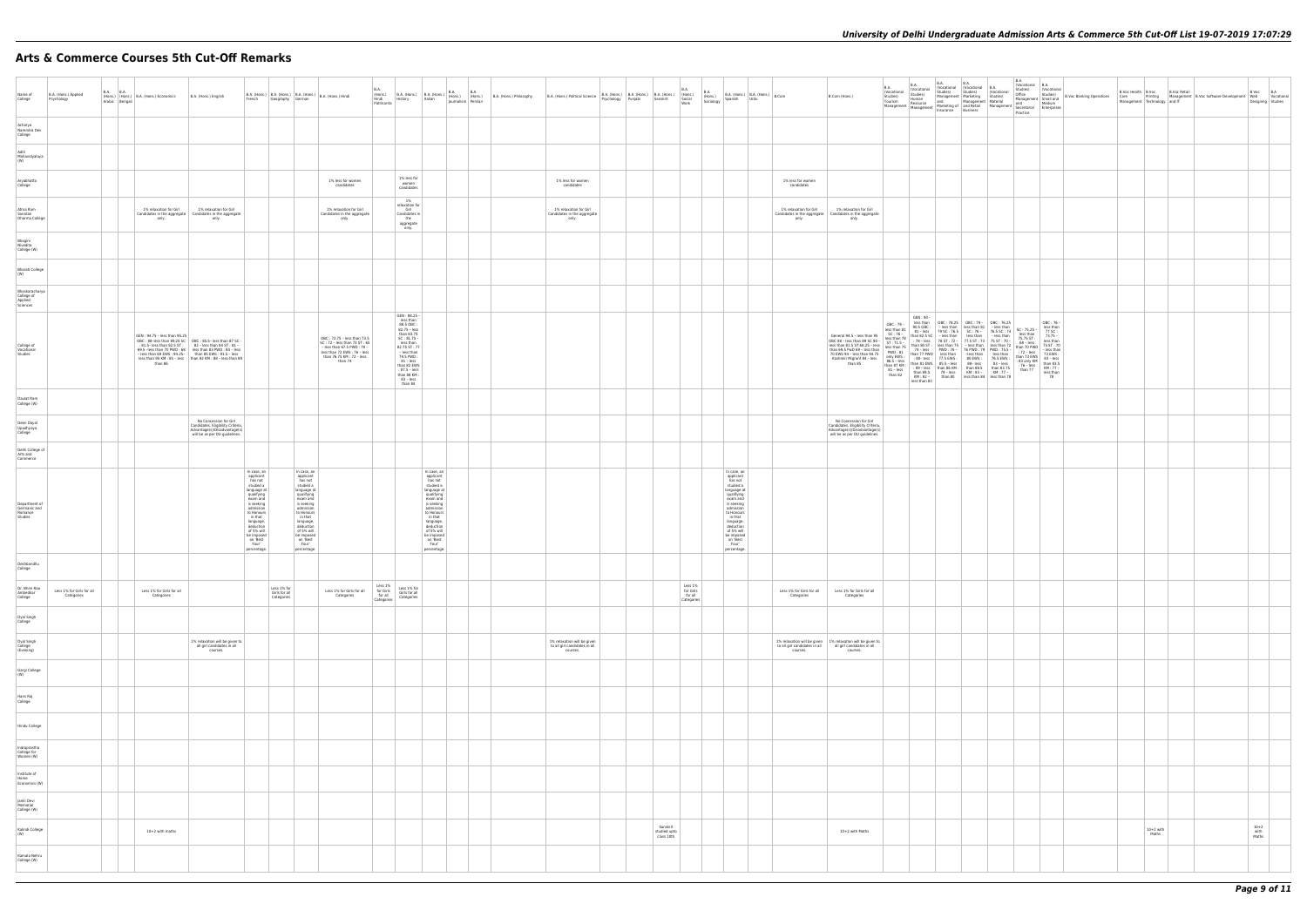# **Arts & Commerce Courses 5th Cut-Off Remarks**

| Name of<br>College                                  | B.A. (Hons.) Applied<br>Psychology      | <b>B.A. B.A.</b> | (Hons.) (Hons.) B.A. (Hons.) Economics<br>Arabic Bengali | B.A. (Hons.) English                                                                                                                                                                                                                                                                            | French                                                                                                                                                                                                                                  | Geography German                           |                                                                                                                                                                                                                                         | $\Bigg  \text{ B.A. (Hons.)} \Bigg  \text{ B.A. (Hons.)} \Bigg  \text{ B.A. (Hons.)} \Bigg  \text{ B.A. (Hons.) Hindi}$                                           | <b>B.A.</b><br>(Hons.)<br>Hindi<br>Patrikarita | B.A. (Hons.) B.A. (Hons.) B.A. (Hons.) B.A. (Hons.) B.A. (Hons.) B.A. (Hons.)                                                                                                                                                            |                                                                                                                                                                                                                                         |  | B.A. (Hons.) Philosophy | B.A. (Hons.) Political Science Psychology Punjabi                        | B.A. (Hons.) B.A. (Hons.) B.A. (Hons.) (Hons.)<br>Psychology Punjabi Sanskrit Social |                                        | B.A.<br>Work                                  | <b>B.A.</b><br>(Hons.)<br>Sociology | $\left $ B.A. (Hons.) $\left $ B.A. (Hons.) $\right $ B.Com<br>Spanish<br>Urdu                                                                                                                                                          |                                           | B.Com (Hons.)                                                                                                                                                                                                                                                                                                                                                                                                                                                                                                | <b>B.A.</b><br>B.A.<br>(Vocational (Vocational<br>Studies)<br>Studies)                       | B.A.<br>Human                                      | B.A.<br>(Vocational (Vocational B<br>Studies)<br>Management   Marketing<br>Tourism Human<br>Management Resource Marketing of and Retail<br>Management Management Insurance Business                                                                                                                                                                                    | <b>B.A.</b><br>Studies)                          | $\frac{0}{5}$ |
|-----------------------------------------------------|-----------------------------------------|------------------|----------------------------------------------------------|-------------------------------------------------------------------------------------------------------------------------------------------------------------------------------------------------------------------------------------------------------------------------------------------------|-----------------------------------------------------------------------------------------------------------------------------------------------------------------------------------------------------------------------------------------|--------------------------------------------|-----------------------------------------------------------------------------------------------------------------------------------------------------------------------------------------------------------------------------------------|-------------------------------------------------------------------------------------------------------------------------------------------------------------------|------------------------------------------------|------------------------------------------------------------------------------------------------------------------------------------------------------------------------------------------------------------------------------------------|-----------------------------------------------------------------------------------------------------------------------------------------------------------------------------------------------------------------------------------------|--|-------------------------|--------------------------------------------------------------------------|--------------------------------------------------------------------------------------|----------------------------------------|-----------------------------------------------|-------------------------------------|-----------------------------------------------------------------------------------------------------------------------------------------------------------------------------------------------------------------------------------------|-------------------------------------------|--------------------------------------------------------------------------------------------------------------------------------------------------------------------------------------------------------------------------------------------------------------------------------------------------------------------------------------------------------------------------------------------------------------------------------------------------------------------------------------------------------------|----------------------------------------------------------------------------------------------|----------------------------------------------------|------------------------------------------------------------------------------------------------------------------------------------------------------------------------------------------------------------------------------------------------------------------------------------------------------------------------------------------------------------------------|--------------------------------------------------|---------------|
| Acharya<br>Narendra Dev<br>College                  |                                         |                  |                                                          |                                                                                                                                                                                                                                                                                                 |                                                                                                                                                                                                                                         |                                            |                                                                                                                                                                                                                                         |                                                                                                                                                                   |                                                |                                                                                                                                                                                                                                          |                                                                                                                                                                                                                                         |  |                         |                                                                          |                                                                                      |                                        |                                               |                                     |                                                                                                                                                                                                                                         |                                           |                                                                                                                                                                                                                                                                                                                                                                                                                                                                                                              |                                                                                              |                                                    |                                                                                                                                                                                                                                                                                                                                                                        |                                                  |               |
| Aditi<br>Mahavidyalaya<br>(W)                       |                                         |                  |                                                          |                                                                                                                                                                                                                                                                                                 |                                                                                                                                                                                                                                         |                                            |                                                                                                                                                                                                                                         |                                                                                                                                                                   |                                                |                                                                                                                                                                                                                                          |                                                                                                                                                                                                                                         |  |                         |                                                                          |                                                                                      |                                        |                                               |                                     |                                                                                                                                                                                                                                         |                                           |                                                                                                                                                                                                                                                                                                                                                                                                                                                                                                              |                                                                                              |                                                    |                                                                                                                                                                                                                                                                                                                                                                        |                                                  |               |
| Aryabhatta<br>College                               |                                         |                  |                                                          |                                                                                                                                                                                                                                                                                                 |                                                                                                                                                                                                                                         |                                            |                                                                                                                                                                                                                                         | 1% less for women<br>candidates                                                                                                                                   |                                                | 1% less for<br>women<br>candidates                                                                                                                                                                                                       |                                                                                                                                                                                                                                         |  |                         | 1% less for women<br>candidates                                          |                                                                                      |                                        |                                               |                                     |                                                                                                                                                                                                                                         | 1% less for women<br>candidates           |                                                                                                                                                                                                                                                                                                                                                                                                                                                                                                              |                                                                                              |                                                    |                                                                                                                                                                                                                                                                                                                                                                        |                                                  |               |
| Atma Ram<br>Sanatan<br>Dharma College               |                                         |                  | 1% relaxation for Girl<br>only.                          | 1% relaxation for Girl<br>Candidates in the aggregate   Candidates in the aggregate<br>only.                                                                                                                                                                                                    |                                                                                                                                                                                                                                         |                                            |                                                                                                                                                                                                                                         | 1% relaxation for Girl<br>Candidates in the aggregate<br>only.                                                                                                    |                                                | 1%<br>relaxation for<br>Girl<br>Candidates in<br>the<br>aggregate<br>only.                                                                                                                                                               |                                                                                                                                                                                                                                         |  |                         | 1% relaxation for Girl<br>Candidates in the aggregate<br>only.           |                                                                                      |                                        |                                               |                                     |                                                                                                                                                                                                                                         | 1% relaxation for Girl<br>only.           | 1% relaxation for Girl<br>Candidates in the aggregate   Candidates in the aggregate<br>only.                                                                                                                                                                                                                                                                                                                                                                                                                 |                                                                                              |                                                    |                                                                                                                                                                                                                                                                                                                                                                        |                                                  |               |
| Bhagini<br>Nivedita<br>College (W)                  |                                         |                  |                                                          |                                                                                                                                                                                                                                                                                                 |                                                                                                                                                                                                                                         |                                            |                                                                                                                                                                                                                                         |                                                                                                                                                                   |                                                |                                                                                                                                                                                                                                          |                                                                                                                                                                                                                                         |  |                         |                                                                          |                                                                                      |                                        |                                               |                                     |                                                                                                                                                                                                                                         |                                           |                                                                                                                                                                                                                                                                                                                                                                                                                                                                                                              |                                                                                              |                                                    |                                                                                                                                                                                                                                                                                                                                                                        |                                                  |               |
| <b>Bharati College</b><br>(W)                       |                                         |                  |                                                          |                                                                                                                                                                                                                                                                                                 |                                                                                                                                                                                                                                         |                                            |                                                                                                                                                                                                                                         |                                                                                                                                                                   |                                                |                                                                                                                                                                                                                                          |                                                                                                                                                                                                                                         |  |                         |                                                                          |                                                                                      |                                        |                                               |                                     |                                                                                                                                                                                                                                         |                                           |                                                                                                                                                                                                                                                                                                                                                                                                                                                                                                              |                                                                                              |                                                    |                                                                                                                                                                                                                                                                                                                                                                        |                                                  |               |
| Bhaskaracharya<br>College of<br>Applied<br>Sciences |                                         |                  |                                                          |                                                                                                                                                                                                                                                                                                 |                                                                                                                                                                                                                                         |                                            |                                                                                                                                                                                                                                         |                                                                                                                                                                   |                                                |                                                                                                                                                                                                                                          |                                                                                                                                                                                                                                         |  |                         |                                                                          |                                                                                      |                                        |                                               |                                     |                                                                                                                                                                                                                                         |                                           |                                                                                                                                                                                                                                                                                                                                                                                                                                                                                                              |                                                                                              |                                                    |                                                                                                                                                                                                                                                                                                                                                                        |                                                  |               |
| College of<br>Vocational<br>Studies                 |                                         |                  | GEN: 94.75 - less than 95.25<br>than 86                  | 0.02 : 88-less than 89.25 SC 0BC : 85.5-less than 87 SC : 81.5-less than 88.25 SC 0BC : 85.5-less than 84 ST : 81.<br>89.5-less than 82.5 ST : 82 - less than 84 ST : 81.5-less than 84 ST : 81.5-less than 84 ST : 81.5-less -<br>less than 95 KM : 85 - less   than 92 KM : 88 - less than 89 |                                                                                                                                                                                                                                         |                                            |                                                                                                                                                                                                                                         | OBC: 72.75 - less than 73.5<br>SC: 72 - less than 73 ST: 65<br>- less than 67.5 PWD: 70 -<br>less than 72 EWS : 76 - less<br>than 76.75 KM : 72 - less<br>than 74 |                                                | GEN: 88.25 -<br>less than<br>88.5 OBC:<br>82.75 - less<br>than 83.75<br>$SC: 81.75 -$<br>less than<br>82.75 ST: 77<br>$-$ less than<br>79.5 PWD :<br>81 - less<br>than 82 EWS<br>$: 87.5 - less$<br>than 88 KM :<br>83 - less<br>than 84 |                                                                                                                                                                                                                                         |  |                         |                                                                          |                                                                                      |                                        |                                               |                                     |                                                                                                                                                                                                                                         |                                           | $\begin{tabular}{l c c c c c} \hline {\small \texttt{general 94.5} - less than 95} & \multicolumn{2}{c}{ \texttt{SC : 76 -}} & \multicolumn{2}{c}{ \texttt{B1} - less}} & \multicolumn{2}{c}{ \texttt{S1} - 765}} & \multicolumn{2}{c}{ \texttt{B2} - 765}} & \multicolumn{2}{c}{ \texttt{S3} - 765}} & \multicolumn{2}{c}{ \texttt{S4} - 765}} & \multicolumn{2}{c}{ \texttt{S5} - 765}} & \multicolumn{2}{c}{ \texttt{S1} - 715 -$<br>70 EWS 94 - less than 94.75<br>Kashmiri Migrant 84 - less<br>than 85 | OBC: 79 -<br>less than 81<br>only EWS :<br>86.5 - less<br>than 87 KM :<br>$81 - lessthan 82$ | GEN: 90 -<br>than 77 PWD less than<br>less than 83 | 90.5 OBC:<br>Pass T9 SC : 76.5<br>T9 SC : 76.5<br>Than 82.5 SC - less than<br>less than<br>78 ST: 72 - 77.5 ST: 73<br>than 80 ST: less than 75 - less than 16<br>74 - less PWD : 76 - 76 PWD : 79 P<br>: 80- less 77.5 EWS:<br>than 81 EWS 85.5 - less 88- less<br>89 - less than 86 KM : than 88.5<br>than 89.5 79 - less KM : 83 -<br>KM : 82 - than 80 less than 84 | -less than<br>80 EWS:<br>than 80 less than 84 li |               |
| Daulat Ram<br>College (W)                           |                                         |                  |                                                          |                                                                                                                                                                                                                                                                                                 |                                                                                                                                                                                                                                         |                                            |                                                                                                                                                                                                                                         |                                                                                                                                                                   |                                                |                                                                                                                                                                                                                                          |                                                                                                                                                                                                                                         |  |                         |                                                                          |                                                                                      |                                        |                                               |                                     |                                                                                                                                                                                                                                         |                                           |                                                                                                                                                                                                                                                                                                                                                                                                                                                                                                              |                                                                                              |                                                    |                                                                                                                                                                                                                                                                                                                                                                        |                                                  |               |
| Deen Dayal<br>Upadhyaya<br>College                  |                                         |                  |                                                          | No Concession for Girl<br>Candidates. Eligibility Criteria,<br>Advantage(s)/Disadvantage(s)<br>will be as per DU guidelines.                                                                                                                                                                    |                                                                                                                                                                                                                                         |                                            |                                                                                                                                                                                                                                         |                                                                                                                                                                   |                                                |                                                                                                                                                                                                                                          |                                                                                                                                                                                                                                         |  |                         |                                                                          |                                                                                      |                                        |                                               |                                     |                                                                                                                                                                                                                                         |                                           | No Concession for Girl<br>Candidates. Eligibility Criteria,<br>Advantage(s)/Disadvantage(s)<br>will be as per DU guidelines.                                                                                                                                                                                                                                                                                                                                                                                 |                                                                                              |                                                    |                                                                                                                                                                                                                                                                                                                                                                        |                                                  |               |
| Delhi College of<br>Arts and<br>Commerce            |                                         |                  |                                                          |                                                                                                                                                                                                                                                                                                 |                                                                                                                                                                                                                                         |                                            |                                                                                                                                                                                                                                         |                                                                                                                                                                   |                                                |                                                                                                                                                                                                                                          |                                                                                                                                                                                                                                         |  |                         |                                                                          |                                                                                      |                                        |                                               |                                     |                                                                                                                                                                                                                                         |                                           |                                                                                                                                                                                                                                                                                                                                                                                                                                                                                                              |                                                                                              |                                                    |                                                                                                                                                                                                                                                                                                                                                                        |                                                  |               |
| Department of<br>Germanic and<br>Romance<br>Studies |                                         |                  |                                                          |                                                                                                                                                                                                                                                                                                 | In case, an<br>applicant<br>has not<br>studied a<br>language at<br>qualifying<br>exam and<br>is seeking<br>admission<br>to Honours<br>in that<br>language,<br>deduction<br>of 5% will<br>be imposed<br>on 'Best<br>Four'<br>percentage. |                                            | In case, an<br>applicant<br>has not<br>studied a<br>language at<br>qualifying<br>exam and<br>is seeking<br>admission<br>to Honours<br>in that<br>language,<br>deduction<br>of 5% will<br>be imposed<br>on 'Best<br>Four'<br>percentage. |                                                                                                                                                                   |                                                |                                                                                                                                                                                                                                          | In case, an<br>applicant<br>has not<br>studied a<br>language at<br>qualifying<br>exam and<br>is seeking<br>admission<br>to Honours<br>in that<br>language,<br>deduction<br>of 5% will<br>be imposed<br>on 'Best<br>Four'<br>percentage. |  |                         |                                                                          |                                                                                      |                                        |                                               |                                     | In case, an<br>applicant<br>has not<br>studied a<br>language at<br>qualifying<br>exam and<br>is seeking<br>admission<br>to Honours<br>in that<br>language,<br>deduction<br>of 5% will<br>be imposed<br>on 'Best<br>Four'<br>percentage. |                                           |                                                                                                                                                                                                                                                                                                                                                                                                                                                                                                              |                                                                                              |                                                    |                                                                                                                                                                                                                                                                                                                                                                        |                                                  |               |
| Deshbandhu<br>College                               |                                         |                  |                                                          |                                                                                                                                                                                                                                                                                                 |                                                                                                                                                                                                                                         |                                            |                                                                                                                                                                                                                                         |                                                                                                                                                                   |                                                |                                                                                                                                                                                                                                          |                                                                                                                                                                                                                                         |  |                         |                                                                          |                                                                                      |                                        |                                               |                                     |                                                                                                                                                                                                                                         |                                           |                                                                                                                                                                                                                                                                                                                                                                                                                                                                                                              |                                                                                              |                                                    |                                                                                                                                                                                                                                                                                                                                                                        |                                                  |               |
| Dr. Bhim Rao<br>Ambedkar<br>College                 | Less 1% for Girls for all<br>Categories |                  | Less 1% for Girls for all<br>Categories                  |                                                                                                                                                                                                                                                                                                 |                                                                                                                                                                                                                                         | Less 1% for<br>Girls for all<br>Categories |                                                                                                                                                                                                                                         | Less 1% for Girls for all<br>Categories                                                                                                                           | Less 1%<br>for Girls<br>for all<br>Categories  | Less 1% for<br>Girls for all<br>Categories                                                                                                                                                                                               |                                                                                                                                                                                                                                         |  |                         |                                                                          |                                                                                      |                                        | Less 1%<br>for Girls<br>for all<br>Categories |                                     |                                                                                                                                                                                                                                         | Less 1% for Girls for all<br>Categories   | Less 1% for Girls for all<br>Categories                                                                                                                                                                                                                                                                                                                                                                                                                                                                      |                                                                                              |                                                    |                                                                                                                                                                                                                                                                                                                                                                        |                                                  |               |
| Dyal Singh<br>College                               |                                         |                  |                                                          |                                                                                                                                                                                                                                                                                                 |                                                                                                                                                                                                                                         |                                            |                                                                                                                                                                                                                                         |                                                                                                                                                                   |                                                |                                                                                                                                                                                                                                          |                                                                                                                                                                                                                                         |  |                         |                                                                          |                                                                                      |                                        |                                               |                                     |                                                                                                                                                                                                                                         |                                           |                                                                                                                                                                                                                                                                                                                                                                                                                                                                                                              |                                                                                              |                                                    |                                                                                                                                                                                                                                                                                                                                                                        |                                                  |               |
| Dyal Singh<br>College<br>(Evening)                  |                                         |                  |                                                          | 1% relaxation will be given to<br>all girl candidates in all<br>courses.                                                                                                                                                                                                                        |                                                                                                                                                                                                                                         |                                            |                                                                                                                                                                                                                                         |                                                                                                                                                                   |                                                |                                                                                                                                                                                                                                          |                                                                                                                                                                                                                                         |  |                         | 1% relaxation will be given<br>to all girl candidates in all<br>courses. |                                                                                      |                                        |                                               |                                     |                                                                                                                                                                                                                                         | to all girl candidates in all<br>courses. | 1% relaxation will be given 1% relaxation will be given to<br>all girl candidates in all<br>courses.                                                                                                                                                                                                                                                                                                                                                                                                         |                                                                                              |                                                    |                                                                                                                                                                                                                                                                                                                                                                        |                                                  |               |
| Gargi College<br>(W)                                |                                         |                  |                                                          |                                                                                                                                                                                                                                                                                                 |                                                                                                                                                                                                                                         |                                            |                                                                                                                                                                                                                                         |                                                                                                                                                                   |                                                |                                                                                                                                                                                                                                          |                                                                                                                                                                                                                                         |  |                         |                                                                          |                                                                                      |                                        |                                               |                                     |                                                                                                                                                                                                                                         |                                           |                                                                                                                                                                                                                                                                                                                                                                                                                                                                                                              |                                                                                              |                                                    |                                                                                                                                                                                                                                                                                                                                                                        |                                                  |               |
| Hans Raj<br>College                                 |                                         |                  |                                                          |                                                                                                                                                                                                                                                                                                 |                                                                                                                                                                                                                                         |                                            |                                                                                                                                                                                                                                         |                                                                                                                                                                   |                                                |                                                                                                                                                                                                                                          |                                                                                                                                                                                                                                         |  |                         |                                                                          |                                                                                      |                                        |                                               |                                     |                                                                                                                                                                                                                                         |                                           |                                                                                                                                                                                                                                                                                                                                                                                                                                                                                                              |                                                                                              |                                                    |                                                                                                                                                                                                                                                                                                                                                                        |                                                  |               |
| Hindu College                                       |                                         |                  |                                                          |                                                                                                                                                                                                                                                                                                 |                                                                                                                                                                                                                                         |                                            |                                                                                                                                                                                                                                         |                                                                                                                                                                   |                                                |                                                                                                                                                                                                                                          |                                                                                                                                                                                                                                         |  |                         |                                                                          |                                                                                      |                                        |                                               |                                     |                                                                                                                                                                                                                                         |                                           |                                                                                                                                                                                                                                                                                                                                                                                                                                                                                                              |                                                                                              |                                                    |                                                                                                                                                                                                                                                                                                                                                                        |                                                  |               |
| Indraprastha<br>College for<br>Women (W)            |                                         |                  |                                                          |                                                                                                                                                                                                                                                                                                 |                                                                                                                                                                                                                                         |                                            |                                                                                                                                                                                                                                         |                                                                                                                                                                   |                                                |                                                                                                                                                                                                                                          |                                                                                                                                                                                                                                         |  |                         |                                                                          |                                                                                      |                                        |                                               |                                     |                                                                                                                                                                                                                                         |                                           |                                                                                                                                                                                                                                                                                                                                                                                                                                                                                                              |                                                                                              |                                                    |                                                                                                                                                                                                                                                                                                                                                                        |                                                  |               |
| Institute of<br>Home<br>Economics (W)               |                                         |                  |                                                          |                                                                                                                                                                                                                                                                                                 |                                                                                                                                                                                                                                         |                                            |                                                                                                                                                                                                                                         |                                                                                                                                                                   |                                                |                                                                                                                                                                                                                                          |                                                                                                                                                                                                                                         |  |                         |                                                                          |                                                                                      |                                        |                                               |                                     |                                                                                                                                                                                                                                         |                                           |                                                                                                                                                                                                                                                                                                                                                                                                                                                                                                              |                                                                                              |                                                    |                                                                                                                                                                                                                                                                                                                                                                        |                                                  |               |
| Janki Devi<br>Memorial<br>College (W)               |                                         |                  |                                                          |                                                                                                                                                                                                                                                                                                 |                                                                                                                                                                                                                                         |                                            |                                                                                                                                                                                                                                         |                                                                                                                                                                   |                                                |                                                                                                                                                                                                                                          |                                                                                                                                                                                                                                         |  |                         |                                                                          |                                                                                      |                                        |                                               |                                     |                                                                                                                                                                                                                                         |                                           |                                                                                                                                                                                                                                                                                                                                                                                                                                                                                                              |                                                                                              |                                                    |                                                                                                                                                                                                                                                                                                                                                                        |                                                  |               |
| Kalindi College<br>(W)                              |                                         |                  | 10+2 with maths                                          |                                                                                                                                                                                                                                                                                                 |                                                                                                                                                                                                                                         |                                            |                                                                                                                                                                                                                                         |                                                                                                                                                                   |                                                |                                                                                                                                                                                                                                          |                                                                                                                                                                                                                                         |  |                         |                                                                          |                                                                                      | Sanskrit<br>studied upto<br>class 10th |                                               |                                     |                                                                                                                                                                                                                                         |                                           | 10+2 with Maths                                                                                                                                                                                                                                                                                                                                                                                                                                                                                              |                                                                                              |                                                    |                                                                                                                                                                                                                                                                                                                                                                        |                                                  |               |
| Kamala Nehru<br>College (W)                         |                                         |                  |                                                          |                                                                                                                                                                                                                                                                                                 |                                                                                                                                                                                                                                         |                                            |                                                                                                                                                                                                                                         |                                                                                                                                                                   |                                                |                                                                                                                                                                                                                                          |                                                                                                                                                                                                                                         |  |                         |                                                                          |                                                                                      |                                        |                                               |                                     |                                                                                                                                                                                                                                         |                                           |                                                                                                                                                                                                                                                                                                                                                                                                                                                                                                              |                                                                                              |                                                    |                                                                                                                                                                                                                                                                                                                                                                        |                                                  |               |
|                                                     |                                         |                  |                                                          |                                                                                                                                                                                                                                                                                                 |                                                                                                                                                                                                                                         |                                            |                                                                                                                                                                                                                                         |                                                                                                                                                                   |                                                |                                                                                                                                                                                                                                          |                                                                                                                                                                                                                                         |  |                         |                                                                          |                                                                                      |                                        |                                               |                                     |                                                                                                                                                                                                                                         |                                           |                                                                                                                                                                                                                                                                                                                                                                                                                                                                                                              |                                                                                              |                                                    |                                                                                                                                                                                                                                                                                                                                                                        |                                                  |               |

| B.A.<br>(Vocational<br>Studies)<br>Material<br>Management                              | B.A.<br>(Vocational<br>Studies)<br>Office<br>Management<br>and<br>Secretarial<br>Practice                     | B.A.<br>(Vocational<br>Studies)<br>Small and<br>Medium<br>Enterprises                                                        | <b>B.Voc Banking Operations</b> | <b>B.Voc Health</b><br>Care<br>Management | B.Voc<br>Printing<br>Technology | <b>B.Voc Retail</b><br>Management<br>and IT | <b>B.Voc Software Development</b> | B.Voc<br>Web<br>Designing                                              | B.A<br>Vocational<br>Studies |
|----------------------------------------------------------------------------------------|---------------------------------------------------------------------------------------------------------------|------------------------------------------------------------------------------------------------------------------------------|---------------------------------|-------------------------------------------|---------------------------------|---------------------------------------------|-----------------------------------|------------------------------------------------------------------------|------------------------------|
|                                                                                        |                                                                                                               |                                                                                                                              |                                 |                                           |                                 |                                             |                                   |                                                                        |                              |
|                                                                                        |                                                                                                               |                                                                                                                              |                                 |                                           |                                 |                                             |                                   |                                                                        |                              |
|                                                                                        |                                                                                                               |                                                                                                                              |                                 |                                           |                                 |                                             |                                   |                                                                        |                              |
|                                                                                        |                                                                                                               |                                                                                                                              |                                 |                                           |                                 |                                             |                                   |                                                                        |                              |
|                                                                                        |                                                                                                               |                                                                                                                              |                                 |                                           |                                 |                                             |                                   |                                                                        |                              |
|                                                                                        |                                                                                                               |                                                                                                                              |                                 |                                           |                                 |                                             |                                   |                                                                        |                              |
|                                                                                        |                                                                                                               |                                                                                                                              |                                 |                                           |                                 |                                             |                                   |                                                                        |                              |
| OBC: 76.25<br>- less than<br>76.5 SC : 74                                              |                                                                                                               | OBC: 76 -                                                                                                                    |                                 |                                           |                                 |                                             |                                   |                                                                        |                              |
| - less than<br>75 ST : 70 -<br>less than 72<br>PWD : 75.5 -<br>less than<br>76.5 EWS : | SC: 75.25 -<br>less than<br>75.75 ST:<br>68 - less<br>than 70 PWD<br>: 72 - less<br>than 73 EWS<br>83 only KM | OBC : 76 –<br>less than<br>77 SC :<br>73.75 –<br>less than<br>75 ST : 70<br>– less than<br>73 EMC :<br>73 EWS :<br>83 - less |                                 |                                           |                                 |                                             |                                   |                                                                        |                              |
| 83 - less<br>than 83.75<br>$KM: 77 -$<br>less than 78                                  | 83 only KM<br>: 76 - less<br>than 77                                                                          | than 83.5<br>$KM : 77 -$<br>$\frac{1}{78}$                                                                                   |                                 |                                           |                                 |                                             |                                   |                                                                        |                              |
|                                                                                        |                                                                                                               |                                                                                                                              |                                 |                                           |                                 |                                             |                                   |                                                                        |                              |
|                                                                                        |                                                                                                               |                                                                                                                              |                                 |                                           |                                 |                                             |                                   |                                                                        |                              |
|                                                                                        |                                                                                                               |                                                                                                                              |                                 |                                           |                                 |                                             |                                   |                                                                        |                              |
|                                                                                        |                                                                                                               |                                                                                                                              |                                 |                                           |                                 |                                             |                                   |                                                                        |                              |
|                                                                                        |                                                                                                               |                                                                                                                              |                                 |                                           |                                 |                                             |                                   |                                                                        |                              |
|                                                                                        |                                                                                                               |                                                                                                                              |                                 |                                           |                                 |                                             |                                   |                                                                        |                              |
|                                                                                        |                                                                                                               |                                                                                                                              |                                 |                                           |                                 |                                             |                                   |                                                                        |                              |
|                                                                                        |                                                                                                               |                                                                                                                              |                                 |                                           |                                 |                                             |                                   |                                                                        |                              |
|                                                                                        |                                                                                                               |                                                                                                                              |                                 |                                           |                                 |                                             |                                   |                                                                        |                              |
|                                                                                        |                                                                                                               |                                                                                                                              |                                 |                                           |                                 |                                             |                                   |                                                                        |                              |
|                                                                                        |                                                                                                               |                                                                                                                              |                                 |                                           |                                 |                                             |                                   |                                                                        |                              |
|                                                                                        |                                                                                                               |                                                                                                                              |                                 |                                           |                                 |                                             |                                   |                                                                        |                              |
|                                                                                        |                                                                                                               |                                                                                                                              |                                 |                                           |                                 |                                             |                                   |                                                                        |                              |
|                                                                                        |                                                                                                               |                                                                                                                              |                                 |                                           |                                 |                                             |                                   |                                                                        |                              |
|                                                                                        |                                                                                                               |                                                                                                                              |                                 |                                           |                                 |                                             |                                   |                                                                        |                              |
|                                                                                        |                                                                                                               |                                                                                                                              |                                 |                                           |                                 |                                             |                                   |                                                                        |                              |
|                                                                                        |                                                                                                               |                                                                                                                              |                                 |                                           | $10+2$ with<br>Maths            |                                             |                                   | $\begin{array}{c} 10\!+\!2 \\ \text{with} \\ \text{Maths} \end{array}$ |                              |
|                                                                                        |                                                                                                               |                                                                                                                              |                                 |                                           |                                 |                                             |                                   |                                                                        |                              |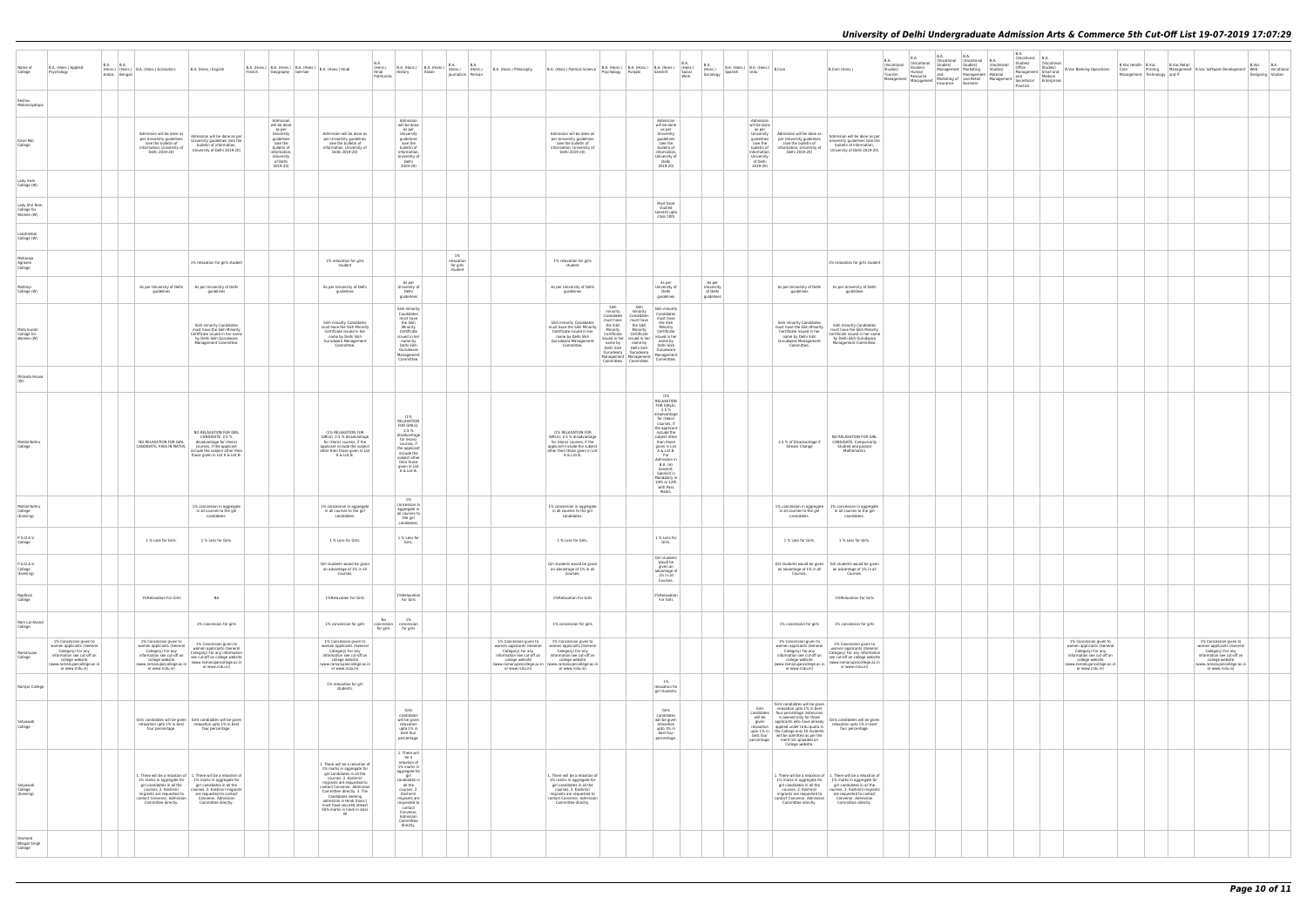| B.A.<br>(Vocational<br>Studies)<br>Material<br>Management | B.A.<br>(Vocational<br>Studies)<br>Office<br>Management<br>and<br>Secretarial<br>Practice | B.A.<br>(Vocational<br>Studies)<br>Small and<br>Medium<br>Enterprises | <b>B.Voc Banking Operations</b>                                                                                                                                                | B.Voc Health<br>Care Printing<br>Management Technology | <b>B.Voc Retail</b> | Management B.Voc Software Development<br>and IT                                                                                                                                | B.Voc<br>Web<br>Designing | B.A<br>Vocational<br>Studies |
|-----------------------------------------------------------|-------------------------------------------------------------------------------------------|-----------------------------------------------------------------------|--------------------------------------------------------------------------------------------------------------------------------------------------------------------------------|--------------------------------------------------------|---------------------|--------------------------------------------------------------------------------------------------------------------------------------------------------------------------------|---------------------------|------------------------------|
|                                                           |                                                                                           |                                                                       |                                                                                                                                                                                |                                                        |                     |                                                                                                                                                                                |                           |                              |
|                                                           |                                                                                           |                                                                       |                                                                                                                                                                                |                                                        |                     |                                                                                                                                                                                |                           |                              |
|                                                           |                                                                                           |                                                                       |                                                                                                                                                                                |                                                        |                     |                                                                                                                                                                                |                           |                              |
|                                                           |                                                                                           |                                                                       |                                                                                                                                                                                |                                                        |                     |                                                                                                                                                                                |                           |                              |
|                                                           |                                                                                           |                                                                       |                                                                                                                                                                                |                                                        |                     |                                                                                                                                                                                |                           |                              |
|                                                           |                                                                                           |                                                                       |                                                                                                                                                                                |                                                        |                     |                                                                                                                                                                                |                           |                              |
|                                                           |                                                                                           |                                                                       |                                                                                                                                                                                |                                                        |                     |                                                                                                                                                                                |                           |                              |
|                                                           |                                                                                           |                                                                       |                                                                                                                                                                                |                                                        |                     |                                                                                                                                                                                |                           |                              |
|                                                           |                                                                                           |                                                                       |                                                                                                                                                                                |                                                        |                     |                                                                                                                                                                                |                           |                              |
|                                                           |                                                                                           |                                                                       |                                                                                                                                                                                |                                                        |                     |                                                                                                                                                                                |                           |                              |
|                                                           |                                                                                           |                                                                       |                                                                                                                                                                                |                                                        |                     |                                                                                                                                                                                |                           |                              |
|                                                           |                                                                                           |                                                                       |                                                                                                                                                                                |                                                        |                     |                                                                                                                                                                                |                           |                              |
|                                                           |                                                                                           |                                                                       |                                                                                                                                                                                |                                                        |                     |                                                                                                                                                                                |                           |                              |
|                                                           |                                                                                           |                                                                       |                                                                                                                                                                                |                                                        |                     |                                                                                                                                                                                |                           |                              |
|                                                           |                                                                                           |                                                                       |                                                                                                                                                                                |                                                        |                     |                                                                                                                                                                                |                           |                              |
|                                                           |                                                                                           |                                                                       |                                                                                                                                                                                |                                                        |                     |                                                                                                                                                                                |                           |                              |
|                                                           |                                                                                           |                                                                       |                                                                                                                                                                                |                                                        |                     |                                                                                                                                                                                |                           |                              |
|                                                           |                                                                                           |                                                                       |                                                                                                                                                                                |                                                        |                     |                                                                                                                                                                                |                           |                              |
|                                                           |                                                                                           |                                                                       |                                                                                                                                                                                |                                                        |                     |                                                                                                                                                                                |                           |                              |
|                                                           |                                                                                           |                                                                       |                                                                                                                                                                                |                                                        |                     |                                                                                                                                                                                |                           |                              |
|                                                           |                                                                                           |                                                                       | $1\%$ Concession given to<br>women applicants (General<br>Category) For any<br>information see cut-off on<br>college website<br>(www.ramanujancollege.ac.in<br>or www.rcdu.in) |                                                        |                     | $1\%$ Concession given to<br>women applicants (General<br>Category) For any<br>information see cut-off on<br>college website<br>(www.ramanujancollege.ac.in<br>or www.rcdu.in) |                           |                              |
|                                                           |                                                                                           |                                                                       |                                                                                                                                                                                |                                                        |                     |                                                                                                                                                                                |                           |                              |
|                                                           |                                                                                           |                                                                       |                                                                                                                                                                                |                                                        |                     |                                                                                                                                                                                |                           |                              |
|                                                           |                                                                                           |                                                                       |                                                                                                                                                                                |                                                        |                     |                                                                                                                                                                                |                           |                              |
|                                                           |                                                                                           |                                                                       |                                                                                                                                                                                |                                                        |                     |                                                                                                                                                                                |                           |                              |

| Name of<br>College                        | B.A. (Hons.) Applied<br>Psychology                                                                                                                                          | B.A. | B.A.<br>Arabic Bengali | (Hons.) (Hons.) B.A. (Hons.) Economics                                                                                                                                     | B.A. (Hons.) English                                                                                                                                                                                                                                                                                              | French |                                                                                                                                                  | Geography German | B.A. (Hons.)   B.A. (Hons.)   B.A. (Hons.)   B.A. (Hons.) Hindi                                                                                                                                                                                                                                                                     | B.A.<br>(Hons.)<br>Hindi<br>Patrikarita | B.A. (Hons.) $B.A.$ (Hons.) $\Big \begin{array}{cc} B.A. & (Hons.) \\ (Hons.) \end{array}\Big $<br>History                                                                                                                          | Italian | B.A.<br>Journalism Persian               | <b>B.A.</b><br>(Hons.) | B.A. (Hons.) Philosophy                                                                                                                      | B.A. (Hons.) Political Science                                                                                                                                                                            | Psychology                                                                                                                                | B.A. (Hons.) B.A. (Hons.) B.A. (Hons.)<br>Punjabi                                                                                                                                               | Sanskrit                                                                                                                                                                                                                                                                                                          | B.A.<br>(Hons.)<br>Social<br>Work | B.A.<br>(Hons.)<br>Sociology                   | Spanish | B.A. (Hons.) $B.A.$ (Hons.) $B.Com$<br>Urdu                                                                                                      |                                                                                                                                                                                                                                                | B.Com (Hons.)                                                                                                                                                                                                                                                                                                     | <b>B.A.</b><br>(Vocational<br>Studies)<br>Tourism<br>Management | B.A.<br><b>Nocational</b><br>Studies)<br>Human<br>Resource<br>Management | B.A.<br>Studies)<br>Management Marketing<br>and<br>Insurance Business | B.A.<br>(Vocational (Vocational<br>Studies)<br>Managemen<br>Marketing of and Retail |
|-------------------------------------------|-----------------------------------------------------------------------------------------------------------------------------------------------------------------------------|------|------------------------|----------------------------------------------------------------------------------------------------------------------------------------------------------------------------|-------------------------------------------------------------------------------------------------------------------------------------------------------------------------------------------------------------------------------------------------------------------------------------------------------------------|--------|--------------------------------------------------------------------------------------------------------------------------------------------------|------------------|-------------------------------------------------------------------------------------------------------------------------------------------------------------------------------------------------------------------------------------------------------------------------------------------------------------------------------------|-----------------------------------------|-------------------------------------------------------------------------------------------------------------------------------------------------------------------------------------------------------------------------------------|---------|------------------------------------------|------------------------|----------------------------------------------------------------------------------------------------------------------------------------------|-----------------------------------------------------------------------------------------------------------------------------------------------------------------------------------------------------------|-------------------------------------------------------------------------------------------------------------------------------------------|-------------------------------------------------------------------------------------------------------------------------------------------------------------------------------------------------|-------------------------------------------------------------------------------------------------------------------------------------------------------------------------------------------------------------------------------------------------------------------------------------------------------------------|-----------------------------------|------------------------------------------------|---------|--------------------------------------------------------------------------------------------------------------------------------------------------|------------------------------------------------------------------------------------------------------------------------------------------------------------------------------------------------------------------------------------------------|-------------------------------------------------------------------------------------------------------------------------------------------------------------------------------------------------------------------------------------------------------------------------------------------------------------------|-----------------------------------------------------------------|--------------------------------------------------------------------------|-----------------------------------------------------------------------|-------------------------------------------------------------------------------------|
| Keshav<br>Mahavidyalaya                   |                                                                                                                                                                             |      |                        |                                                                                                                                                                            |                                                                                                                                                                                                                                                                                                                   |        |                                                                                                                                                  |                  |                                                                                                                                                                                                                                                                                                                                     |                                         |                                                                                                                                                                                                                                     |         |                                          |                        |                                                                                                                                              |                                                                                                                                                                                                           |                                                                                                                                           |                                                                                                                                                                                                 |                                                                                                                                                                                                                                                                                                                   |                                   |                                                |         |                                                                                                                                                  |                                                                                                                                                                                                                                                |                                                                                                                                                                                                                                                                                                                   |                                                                 |                                                                          |                                                                       |                                                                                     |
| Kirori Mal<br>College                     |                                                                                                                                                                             |      |                        | Admission will be done as<br>per University quidelines<br>(see the bulletin of<br>information, University of<br>Delhi 2019-20)                                             | Admission will be done as per<br>University guidelines (see the<br>bulletin of information,<br>University of Delhi 2019-20)                                                                                                                                                                                       |        | Admission<br>will be done<br>as per<br>University<br>guidelines<br>(see the<br>bulletin of<br>information,<br>University<br>of Delhi<br>2019-20) |                  | Admission will be done as<br>per University guidelines<br>(see the bulletin of<br>information, University of<br>Delhi 2019-20)                                                                                                                                                                                                      |                                         | Admission<br>will be done<br>as per<br>University<br>guidelines<br>(see the<br>bulletin of<br>information.<br>University of<br>Delhi<br>2019-20)                                                                                    |         |                                          |                        |                                                                                                                                              | Admission will be done as<br>per University guidelines<br>(see the bulletin of<br>information, University of<br>Delhi 2019-20)                                                                            |                                                                                                                                           |                                                                                                                                                                                                 | Admission<br>will be done<br>as per<br>University<br>quidelines<br>(see the<br>bulletin of<br>information<br>University of<br>Delhi<br>2019-20)                                                                                                                                                                   |                                   |                                                |         | Admission<br>will be done<br>as per<br>University<br>quidelines<br>(see the<br>bulletin of<br>information.<br>University<br>of Delhi<br>2019-20) | Admission will be done as<br>per University guidelines<br>(see the bulletin of<br>information, University of<br>Delhi 2019-20)                                                                                                                 | Admission will be done as per<br>University guidelines (see the<br>bulletin of information,<br>University of Delhi 2019-20)                                                                                                                                                                                       |                                                                 |                                                                          |                                                                       |                                                                                     |
| Lady Irwin<br>College (W)                 |                                                                                                                                                                             |      |                        |                                                                                                                                                                            |                                                                                                                                                                                                                                                                                                                   |        |                                                                                                                                                  |                  |                                                                                                                                                                                                                                                                                                                                     |                                         |                                                                                                                                                                                                                                     |         |                                          |                        |                                                                                                                                              |                                                                                                                                                                                                           |                                                                                                                                           |                                                                                                                                                                                                 |                                                                                                                                                                                                                                                                                                                   |                                   |                                                |         |                                                                                                                                                  |                                                                                                                                                                                                                                                |                                                                                                                                                                                                                                                                                                                   |                                                                 |                                                                          |                                                                       |                                                                                     |
| Lady Shri Ram<br>College for<br>Women (W) |                                                                                                                                                                             |      |                        |                                                                                                                                                                            |                                                                                                                                                                                                                                                                                                                   |        |                                                                                                                                                  |                  |                                                                                                                                                                                                                                                                                                                                     |                                         |                                                                                                                                                                                                                                     |         |                                          |                        |                                                                                                                                              |                                                                                                                                                                                                           |                                                                                                                                           |                                                                                                                                                                                                 | Must have<br>studied<br>sanskrit upto<br>class 10th                                                                                                                                                                                                                                                               |                                   |                                                |         |                                                                                                                                                  |                                                                                                                                                                                                                                                |                                                                                                                                                                                                                                                                                                                   |                                                                 |                                                                          |                                                                       |                                                                                     |
| Lakshmibai<br>College (W)                 |                                                                                                                                                                             |      |                        |                                                                                                                                                                            |                                                                                                                                                                                                                                                                                                                   |        |                                                                                                                                                  |                  |                                                                                                                                                                                                                                                                                                                                     |                                         |                                                                                                                                                                                                                                     |         |                                          |                        |                                                                                                                                              |                                                                                                                                                                                                           |                                                                                                                                           |                                                                                                                                                                                                 |                                                                                                                                                                                                                                                                                                                   |                                   |                                                |         |                                                                                                                                                  |                                                                                                                                                                                                                                                |                                                                                                                                                                                                                                                                                                                   |                                                                 |                                                                          |                                                                       |                                                                                     |
| Maharaja<br>Agrasen<br>College            |                                                                                                                                                                             |      |                        |                                                                                                                                                                            | 1% relaxation for girls student                                                                                                                                                                                                                                                                                   |        |                                                                                                                                                  |                  | 1% relaxation for girls<br>student                                                                                                                                                                                                                                                                                                  |                                         |                                                                                                                                                                                                                                     |         | 1%<br>relaxation<br>for girls<br>student |                        |                                                                                                                                              | 1% relaxation for girls<br>student                                                                                                                                                                        |                                                                                                                                           |                                                                                                                                                                                                 |                                                                                                                                                                                                                                                                                                                   |                                   |                                                |         |                                                                                                                                                  |                                                                                                                                                                                                                                                | 1% relaxation for girls student                                                                                                                                                                                                                                                                                   |                                                                 |                                                                          |                                                                       |                                                                                     |
| Maitreyi<br>College (W)                   |                                                                                                                                                                             |      |                        | As per University of Delhi<br>quidelines                                                                                                                                   | As per University of Delhi<br>guidelines                                                                                                                                                                                                                                                                          |        |                                                                                                                                                  |                  | As per University of Delhi<br>guidelines                                                                                                                                                                                                                                                                                            |                                         | As per<br>University of<br>Delhi<br>guidelines                                                                                                                                                                                      |         |                                          |                        |                                                                                                                                              | As per University of Delhi<br>guidelines                                                                                                                                                                  |                                                                                                                                           |                                                                                                                                                                                                 | As per<br>University of<br>Delhi<br>guidelines                                                                                                                                                                                                                                                                    |                                   | As per<br>University<br>of Delhi<br>quidelines |         |                                                                                                                                                  | As per University of Delhi<br>guidelines                                                                                                                                                                                                       | As per University of Delhi<br>guidelines                                                                                                                                                                                                                                                                          |                                                                 |                                                                          |                                                                       |                                                                                     |
| Mata Sundri<br>College for<br>Women (W)   |                                                                                                                                                                             |      |                        |                                                                                                                                                                            | Sikh minority Candidates<br>must have the Sikh Minority<br>Certificate issued in her name<br>by Delhi Sikh Gurudwara<br>Management Committee.                                                                                                                                                                     |        |                                                                                                                                                  |                  | Sikh minority Candidates<br>must have the Sikh Minority<br>Certificate issued in her<br>name by Delhi Sikh<br>Gurudwara Management<br>Committee.                                                                                                                                                                                    |                                         | Sikh minority<br>Candidates<br>must have<br>the Sikh<br>Minority<br>Certificate<br>issued in her<br>name by<br>Delhi Sikh<br>Gurudwara<br>Management<br>Committee.                                                                  |         |                                          |                        |                                                                                                                                              | Sikh minority Candidates<br>must have the Sikh Minority<br>Certificate issued in her<br>name by Delhi Sikh<br>Gurudwara Management<br>Committee.                                                          | Sikh<br>minority<br>Candidates<br>must have<br>the Sikh<br>Minority<br>Certificate<br>issued in her<br>name by<br>Delhi Sikh<br>Gurudwara | Sikh<br>minority<br>Candidates<br>must have<br>the Sikh<br>Minority<br>Certificate<br>issued in her<br>name by<br>Delhi Sikh<br>Gurudwara<br>Management   Management<br>Committee.   Committee. | Sikh minority<br>Candidates<br>must have<br>the Sikh<br>Minority<br>Certificate<br>issued in her<br>name by<br>Delhi Sikh<br>Gurudwara<br>Management<br>Committee.                                                                                                                                                |                                   |                                                |         |                                                                                                                                                  | Sikh minority Candidates<br>must have the Sikh Minority<br>Certificate issued in her<br>name by Delhi Sikh<br>Gurudwara Management<br>Committee.                                                                                               | Sikh minority Candidates<br>must have the Sikh Minority<br>Certificate issued in her name<br>by Delhi Sikh Gurudwara<br>Management Committee.                                                                                                                                                                     |                                                                 |                                                                          |                                                                       |                                                                                     |
| Miranda House<br>(W)                      |                                                                                                                                                                             |      |                        |                                                                                                                                                                            |                                                                                                                                                                                                                                                                                                                   |        |                                                                                                                                                  |                  |                                                                                                                                                                                                                                                                                                                                     |                                         |                                                                                                                                                                                                                                     |         |                                          |                        |                                                                                                                                              |                                                                                                                                                                                                           |                                                                                                                                           |                                                                                                                                                                                                 |                                                                                                                                                                                                                                                                                                                   |                                   |                                                |         |                                                                                                                                                  |                                                                                                                                                                                                                                                |                                                                                                                                                                                                                                                                                                                   |                                                                 |                                                                          |                                                                       |                                                                                     |
| Motilal Nehru<br>College                  |                                                                                                                                                                             |      |                        | NO RELAXATION FOR GIRL CANDIDATE, PASS IN MATHS.                                                                                                                           | NO RELAXATION FOR GIRL<br>CANDIDATE. 2.5 %<br>disadvantage for (Hons)<br>courses, if the applicant<br>include the subject other then<br>those given in List A & List B.                                                                                                                                           |        |                                                                                                                                                  |                  | (1% RELAXATION FOR<br>GIRLS). 2.5 % disadvantage<br>for (Hons) courses, if the<br>applicant include the subject<br>other then those given in List<br>A & List B.                                                                                                                                                                    |                                         | (1%<br>RELAXATION<br>FOR GIRLS).<br>2.5%<br>disadvantage<br>for (Hons)<br>courses, if<br>the applicant<br>include the<br>subject other<br>then those<br>given in List<br>A & List B.                                                |         |                                          |                        |                                                                                                                                              | (1% RELAXATION FOR<br>GIRLS). 2.5 % disadvantage<br>for (Hons) courses, if the<br>applicant include the subject<br>other then those given in List<br>A & List B.                                          |                                                                                                                                           |                                                                                                                                                                                                 | (1%<br>RELAXATION<br>FOR GIRLS)<br>2.5 %<br>disadvantage<br>for (Hons)<br>courses, if<br>the applicant<br>include the<br>subject other<br>then those<br>given in List<br>A & List B.<br>For<br>Admission in<br><b>B.A.</b> (H)<br>Sanskrit.<br>Sanskrit is<br>Mandatory in<br>10th or 12th<br>with Pass<br>Marks. |                                   |                                                |         |                                                                                                                                                  | 2.5 % of Disadvantage if<br>Stream Change                                                                                                                                                                                                      | NO RELAXATION FOR GIRL<br>CANDIDATE. Compulsorily<br>Studied and passed<br>Mathematics                                                                                                                                                                                                                            |                                                                 |                                                                          |                                                                       |                                                                                     |
| Motilal Nehru<br>College<br>(Evening)     |                                                                                                                                                                             |      |                        |                                                                                                                                                                            | 1% concession in aggregate<br>in all courses to the girl<br>candidates.                                                                                                                                                                                                                                           |        |                                                                                                                                                  |                  | 1% concession in aggregate<br>in all courses to the girl<br>candidates.                                                                                                                                                                                                                                                             |                                         | 1%<br>concession in<br>aggregate in<br>all courses to<br>the girl                                                                                                                                                                   |         |                                          |                        |                                                                                                                                              | 1% concession in aggregate<br>in all courses to the girl<br>candidates.                                                                                                                                   |                                                                                                                                           |                                                                                                                                                                                                 |                                                                                                                                                                                                                                                                                                                   |                                   |                                                |         |                                                                                                                                                  | 1% concession in aggregate<br>in all courses to the girl<br>candidates.                                                                                                                                                                        | 1% concession in aggregate<br>in all courses to the girl<br>candidates.                                                                                                                                                                                                                                           |                                                                 |                                                                          |                                                                       |                                                                                     |
| P.G.D.A.V.<br>College                     |                                                                                                                                                                             |      |                        | 1 % Less for Girls.                                                                                                                                                        | 1 % Less for Girls.                                                                                                                                                                                                                                                                                               |        |                                                                                                                                                  |                  | 1 % Less for Girls.                                                                                                                                                                                                                                                                                                                 |                                         | candidates.<br>1 % Less for<br>Girls.                                                                                                                                                                                               |         |                                          |                        |                                                                                                                                              | 1 % Less for Girls.                                                                                                                                                                                       |                                                                                                                                           |                                                                                                                                                                                                 | 1 % Less for<br>Girls.                                                                                                                                                                                                                                                                                            |                                   |                                                |         |                                                                                                                                                  | 1 % Less for Girls.                                                                                                                                                                                                                            | 1 % Less for Girls.                                                                                                                                                                                                                                                                                               |                                                                 |                                                                          |                                                                       |                                                                                     |
| P.G.D.A.V.<br>College<br>(Evening)        |                                                                                                                                                                             |      |                        |                                                                                                                                                                            |                                                                                                                                                                                                                                                                                                                   |        |                                                                                                                                                  |                  | Girl students would be given<br>an advantage of 1% in all<br>Courses.                                                                                                                                                                                                                                                               |                                         |                                                                                                                                                                                                                                     |         |                                          |                        |                                                                                                                                              | Girl students would be given<br>an advantage of 1% in all<br>Courses.                                                                                                                                     |                                                                                                                                           |                                                                                                                                                                                                 | Girl students<br>would be<br>given an<br>advantage of<br>1% in all<br>Courses.                                                                                                                                                                                                                                    |                                   |                                                |         |                                                                                                                                                  | an advantage of 1% in all<br>Courses.                                                                                                                                                                                                          | Girl students would be given Girl students would be given<br>an advantage of 1% in all<br>Courses.                                                                                                                                                                                                                |                                                                 |                                                                          |                                                                       |                                                                                     |
| Rajdhani<br>College                       |                                                                                                                                                                             |      |                        | 1%Relaxation For Girls                                                                                                                                                     | <b>NA</b>                                                                                                                                                                                                                                                                                                         |        |                                                                                                                                                  |                  | 1%Relaxation For Girls                                                                                                                                                                                                                                                                                                              |                                         | 1%Relaxation<br>For Girls                                                                                                                                                                                                           |         |                                          |                        |                                                                                                                                              | 1%Relaxation For Girls                                                                                                                                                                                    |                                                                                                                                           |                                                                                                                                                                                                 | 1%Relaxation<br>For Girls                                                                                                                                                                                                                                                                                         |                                   |                                                |         |                                                                                                                                                  |                                                                                                                                                                                                                                                | 1%Relaxation For Girls                                                                                                                                                                                                                                                                                            |                                                                 |                                                                          |                                                                       |                                                                                     |
| Ram Lal Anand<br>College                  |                                                                                                                                                                             |      |                        |                                                                                                                                                                            | 1% concession for girls                                                                                                                                                                                                                                                                                           |        |                                                                                                                                                  |                  | 1% concession for girls                                                                                                                                                                                                                                                                                                             | No<br>concession<br>for girls           | 1%<br>concession<br>for girls                                                                                                                                                                                                       |         |                                          |                        |                                                                                                                                              | 1% concession for girls                                                                                                                                                                                   |                                                                                                                                           |                                                                                                                                                                                                 |                                                                                                                                                                                                                                                                                                                   |                                   |                                                |         |                                                                                                                                                  | 1% concession for girls                                                                                                                                                                                                                        | 1% concession for girls                                                                                                                                                                                                                                                                                           |                                                                 |                                                                          |                                                                       |                                                                                     |
| Ramanujan<br>College<br>Ramjas College    | 1% Concession given to<br>women applicants (General<br>Category) For any<br>information see cut-off on<br>college website<br>(www.ramanujancollege.ac.in<br>or www.rcdu.in) |      |                        | 1% Concession given to<br>women applicants (General<br>Category) For any<br>information see cut-off on<br>college website<br>www.ramanujancollege.ac.in<br>or www.rcdu.in) | 1% Concession given to<br>women applicants (General<br>Category) For any information<br>see cut-off on college website<br>(www.ramanujancollege.ac.in<br>or www.rcdu.in)                                                                                                                                          |        |                                                                                                                                                  |                  | 1% Concession given to<br>women applicants (General<br>Category) For any<br>information see cut-off on<br>college website<br>www.ramanujancollege.ac.in<br>or www.rcdu.in)<br>1% relaxation for girl                                                                                                                                |                                         |                                                                                                                                                                                                                                     |         |                                          |                        | 1% Concession given to<br>women applicants (General<br>Category) For any<br>information see cut-off on<br>college website<br>or www.rcdu.in) | 1% Concession given to<br>women applicants (General<br>Category) For any<br>information see cut-off on<br>college website<br>(www.ramanujancollege.ac.in   (www.ramanujancollege.ac.in<br>or www.rcdu.in) |                                                                                                                                           |                                                                                                                                                                                                 | 1%<br>relaxation for                                                                                                                                                                                                                                                                                              |                                   |                                                |         |                                                                                                                                                  | 1% Concession given to<br>women applicants (General<br>Category) For any<br>information see cut-off on<br>college website<br>(www.ramanujancollege.ac.in<br>or www.rcdu.in)                                                                    | 1% Concession given to<br>women applicants (General<br>Category) For any information<br>see cut-off on college website<br>(www.ramanujancollege.ac.in<br>or www.rcdu.in)                                                                                                                                          |                                                                 |                                                                          |                                                                       |                                                                                     |
|                                           |                                                                                                                                                                             |      |                        |                                                                                                                                                                            |                                                                                                                                                                                                                                                                                                                   |        |                                                                                                                                                  |                  | students.                                                                                                                                                                                                                                                                                                                           |                                         | Girls                                                                                                                                                                                                                               |         |                                          |                        |                                                                                                                                              |                                                                                                                                                                                                           |                                                                                                                                           |                                                                                                                                                                                                 | girl students.<br>Girls                                                                                                                                                                                                                                                                                           |                                   |                                                |         | Girls                                                                                                                                            | Girls candidates will be given<br>relaxation upto 1% in best                                                                                                                                                                                   |                                                                                                                                                                                                                                                                                                                   |                                                                 |                                                                          |                                                                       |                                                                                     |
| Satyawati<br>College                      |                                                                                                                                                                             |      |                        | four percentage.                                                                                                                                                           | Girls candidates will be given Girls candidates will be given<br>relaxation upto 1% in best relaxation upto 1% in best<br>four percentage.                                                                                                                                                                        |        |                                                                                                                                                  |                  |                                                                                                                                                                                                                                                                                                                                     |                                         | candidates<br>will be given<br>relaxation<br>upto 1% in<br>best four<br>percentage.                                                                                                                                                 |         |                                          |                        |                                                                                                                                              |                                                                                                                                                                                                           |                                                                                                                                           |                                                                                                                                                                                                 | candidates<br>will be given<br>relaxation<br>upto 1% in<br>best four<br>percentage.                                                                                                                                                                                                                               |                                   |                                                |         | candidates<br>will be<br>given<br>relaxation<br>best four<br>percentage.                                                                         | four percentage. Admission<br>is opened only for those<br>applicants who have already<br>applied under Urdu quota in<br>upto 1% in   the College only 10 students<br>will be admitted as per the<br>merit list uploaded on<br>College website. | Girls candidates will be given<br>relaxation upto 1% in best<br>four percentage.                                                                                                                                                                                                                                  |                                                                 |                                                                          |                                                                       |                                                                                     |
| Satyawati<br>College<br>(Evening)         |                                                                                                                                                                             |      |                        | courses. 2. Kashmiri<br>migrants are requested to<br>contact Convenor, Admission<br>Committee directly.                                                                    | 1. There will be a relaxtion of $\begin{array}{ c c } 1.$ There will be a relaxtion of<br>1% marks in aggregate for 1% marks in aggregate for<br>girl candidates in all the girl candidates in all the<br>courses. 2. Kashmiri migrants<br>are requested to contact<br>Convenor, Admission<br>Committee directly. |        |                                                                                                                                                  |                  | 1. There will be a relaxtion of<br>1% marks in aggregate for<br>girl candidates in all the<br>courses. 2. Kashmiri<br>migrants are requested to<br>contact Convenor, Admission<br>Committee directly. 3. The<br>Candidates seeking<br>admission in Hindi (hons.)<br>must have secured atleast<br>55% marks in hindi in class<br>XII |                                         | 1. There will<br>be a<br>relaxtion of<br>1% marks in<br>aggregate for<br>girl<br>candidates in<br>all the<br>courses. 2.<br>Kashmiri<br>migrants are<br>requested to<br>contact<br>Convenor,<br>Admission<br>Committee<br>directly. |         |                                          |                        |                                                                                                                                              | 1. There will be a relaxtion of<br>1% marks in aggregate for<br>girl candidates in all the<br>courses. 2. Kashmiri<br>migrants are requested to<br>contact Convenor, Admission<br>Committee directly.     |                                                                                                                                           |                                                                                                                                                                                                 |                                                                                                                                                                                                                                                                                                                   |                                   |                                                |         |                                                                                                                                                  | courses. 2. Kashmiri<br>migrants are requested to<br>contact Convenor, Admission<br>Committee directly.                                                                                                                                        | 1. There will be a relaxtion of $\begin{array}{ c c } 1.$ There will be a relaxtion of<br>1% marks in aggregate for 1% marks in aggregate for<br>girl candidates in all the girl candidates in all the<br>courses. 2. Kashmiri migrants<br>are requested to contact<br>Convenor, Admission<br>Committee directly. |                                                                 |                                                                          |                                                                       |                                                                                     |
| Shaheed<br><b>Bhagat Singh</b><br>College |                                                                                                                                                                             |      |                        |                                                                                                                                                                            |                                                                                                                                                                                                                                                                                                                   |        |                                                                                                                                                  |                  |                                                                                                                                                                                                                                                                                                                                     |                                         |                                                                                                                                                                                                                                     |         |                                          |                        |                                                                                                                                              |                                                                                                                                                                                                           |                                                                                                                                           |                                                                                                                                                                                                 |                                                                                                                                                                                                                                                                                                                   |                                   |                                                |         |                                                                                                                                                  |                                                                                                                                                                                                                                                |                                                                                                                                                                                                                                                                                                                   |                                                                 |                                                                          |                                                                       |                                                                                     |